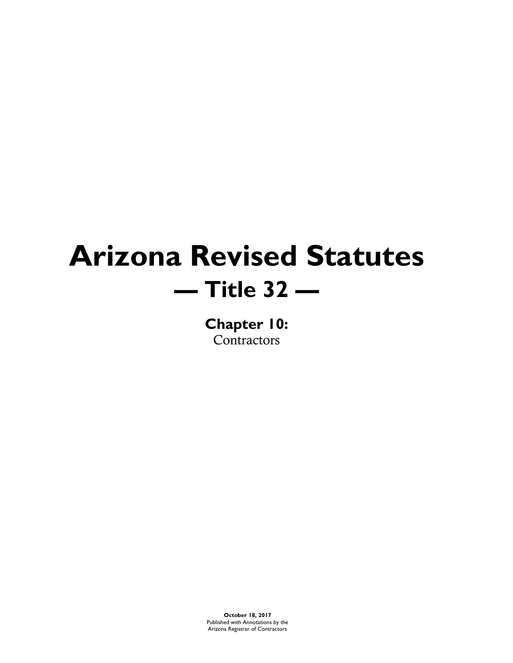# **Arizona Revised Statutes — Title 32 —**

**Chapter 10:** Contractors

**October 18, 2017** Published with Annotations by the Arizona Registrar of Contractors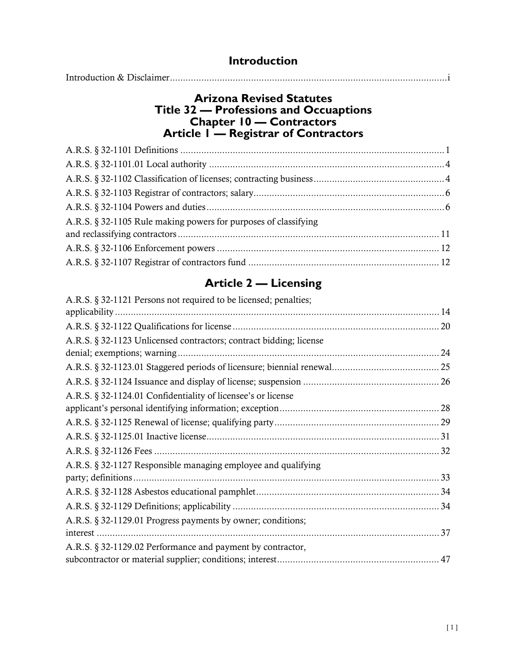| <b>Introduction</b> |
|---------------------|
|                     |

### **Arizona Revised Statutes Title 32 — Professions and Occuaptions Chapter 10 — Contractors Article 1 — Registrar of Contractors**

| A.R.S. § 32-1105 Rule making powers for purposes of classifying |  |
|-----------------------------------------------------------------|--|
|                                                                 |  |
|                                                                 |  |
|                                                                 |  |
|                                                                 |  |

### **Article 2 — Licensing**

| A.R.S. § 32-1121 Persons not required to be licensed; penalties;   |  |
|--------------------------------------------------------------------|--|
|                                                                    |  |
|                                                                    |  |
| A.R.S. § 32-1123 Unlicensed contractors; contract bidding; license |  |
|                                                                    |  |
|                                                                    |  |
|                                                                    |  |
| A.R.S. § 32-1124.01 Confidentiality of licensee's or license       |  |
|                                                                    |  |
|                                                                    |  |
|                                                                    |  |
|                                                                    |  |
| A.R.S. § 32-1127 Responsible managing employee and qualifying      |  |
|                                                                    |  |
|                                                                    |  |
|                                                                    |  |
| A.R.S. § 32-1129.01 Progress payments by owner; conditions;        |  |
|                                                                    |  |
| A.R.S. § 32-1129.02 Performance and payment by contractor,         |  |
|                                                                    |  |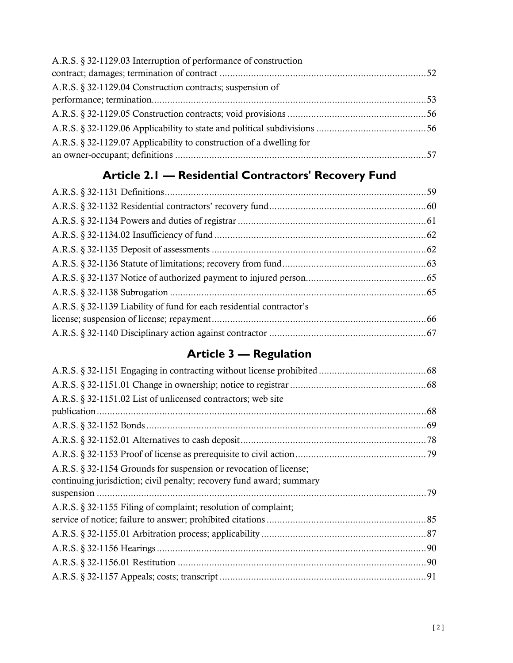| A.R.S. § 32-1129.03 Interruption of performance of construction     |  |
|---------------------------------------------------------------------|--|
|                                                                     |  |
| A.R.S. § 32-1129.04 Construction contracts; suspension of           |  |
|                                                                     |  |
|                                                                     |  |
|                                                                     |  |
| A.R.S. § 32-1129.07 Applicability to construction of a dwelling for |  |
|                                                                     |  |

### **Article 2.1 — Residential Contractors' Recovery Fund**

| A.R.S. § 32-1139 Liability of fund for each residential contractor's |  |
|----------------------------------------------------------------------|--|
|                                                                      |  |
|                                                                      |  |
|                                                                      |  |

### **Article 3 — Regulation**

| A.R.S. § 32-1151.02 List of unlicensed contractors; web site                                                                              |  |
|-------------------------------------------------------------------------------------------------------------------------------------------|--|
|                                                                                                                                           |  |
|                                                                                                                                           |  |
|                                                                                                                                           |  |
|                                                                                                                                           |  |
| A.R.S. § 32-1154 Grounds for suspension or revocation of license;<br>continuing jurisdiction; civil penalty; recovery fund award; summary |  |
|                                                                                                                                           |  |
| A.R.S. § 32-1155 Filing of complaint; resolution of complaint;                                                                            |  |
|                                                                                                                                           |  |
|                                                                                                                                           |  |
|                                                                                                                                           |  |
|                                                                                                                                           |  |
|                                                                                                                                           |  |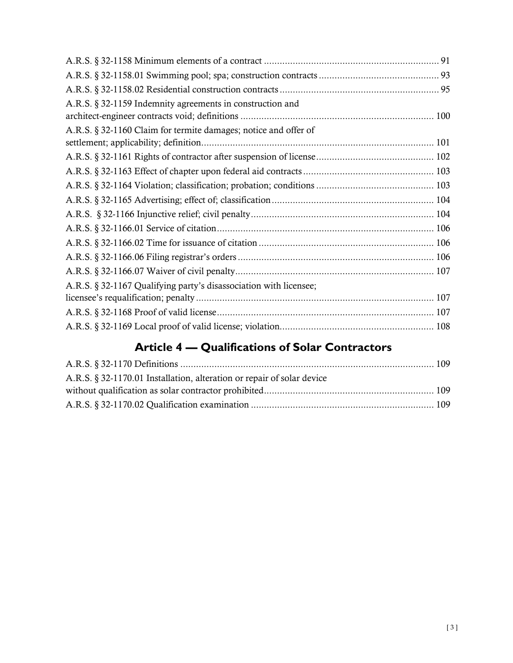| A.R.S. § 32-1159 Indemnity agreements in construction and         |  |
|-------------------------------------------------------------------|--|
|                                                                   |  |
| A.R.S. § 32-1160 Claim for termite damages; notice and offer of   |  |
|                                                                   |  |
|                                                                   |  |
|                                                                   |  |
|                                                                   |  |
|                                                                   |  |
|                                                                   |  |
|                                                                   |  |
|                                                                   |  |
|                                                                   |  |
|                                                                   |  |
| A.R.S. § 32-1167 Qualifying party's disassociation with licensee; |  |
|                                                                   |  |
|                                                                   |  |
|                                                                   |  |

### **Article 4 — Qualifications of Solar Contractors**

| A.R.S. § 32-1170.01 Installation, alteration or repair of solar device |  |
|------------------------------------------------------------------------|--|
|                                                                        |  |
|                                                                        |  |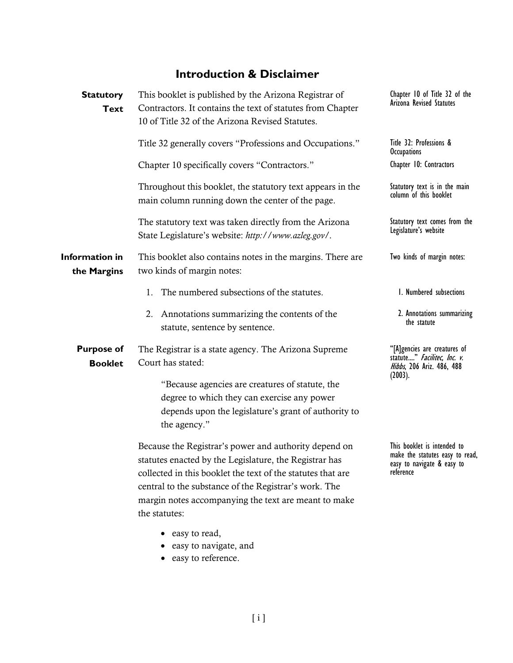### **Introduction & Disclaimer**

| <b>Statutory</b><br><b>Text</b>      | This booklet is published by the Arizona Registrar of<br>Contractors. It contains the text of statutes from Chapter<br>10 of Title 32 of the Arizona Revised Statutes.                                                                                                                                           | Chapter 10 of Title 32 of the<br>Arizona Revised Statutes                                                 |  |
|--------------------------------------|------------------------------------------------------------------------------------------------------------------------------------------------------------------------------------------------------------------------------------------------------------------------------------------------------------------|-----------------------------------------------------------------------------------------------------------|--|
|                                      | Title 32 generally covers "Professions and Occupations."                                                                                                                                                                                                                                                         | Title 32: Professions &<br><b>Occupations</b>                                                             |  |
|                                      | Chapter 10 specifically covers "Contractors."                                                                                                                                                                                                                                                                    | Chapter 10: Contractors                                                                                   |  |
|                                      | Throughout this booklet, the statutory text appears in the<br>main column running down the center of the page.                                                                                                                                                                                                   | Statutory text is in the main<br>column of this booklet                                                   |  |
|                                      | The statutory text was taken directly from the Arizona<br>State Legislature's website: http://www.azleg.gov/.                                                                                                                                                                                                    | Statutory text comes from the<br>Legislature's website                                                    |  |
| <b>Information in</b><br>the Margins | This booklet also contains notes in the margins. There are<br>two kinds of margin notes:                                                                                                                                                                                                                         | Two kinds of margin notes:                                                                                |  |
|                                      | The numbered subsections of the statutes.<br>1.                                                                                                                                                                                                                                                                  | 1. Numbered subsections                                                                                   |  |
|                                      | 2. Annotations summarizing the contents of the<br>statute, sentence by sentence.                                                                                                                                                                                                                                 | 2. Annotations summarizing<br>the statute                                                                 |  |
| <b>Purpose of</b><br><b>Booklet</b>  | The Registrar is a state agency. The Arizona Supreme<br>Court has stated:                                                                                                                                                                                                                                        | "[A]gencies are creatures of<br>statute" Facilitec, Inc. v.<br>Hibbs, 206 Ariz. 486, 488                  |  |
|                                      | "Because agencies are creatures of statute, the<br>degree to which they can exercise any power<br>depends upon the legislature's grant of authority to<br>the agency."                                                                                                                                           | (2003).                                                                                                   |  |
|                                      | Because the Registrar's power and authority depend on<br>statutes enacted by the Legislature, the Registrar has<br>collected in this booklet the text of the statutes that are<br>central to the substance of the Registrar's work. The<br>margin notes accompanying the text are meant to make<br>the statutes: | This booklet is intended to<br>make the statutes easy to read,<br>easy to navigate & easy to<br>reference |  |
|                                      | easy to read,<br>easy to navigate, and<br>easy to reference.                                                                                                                                                                                                                                                     |                                                                                                           |  |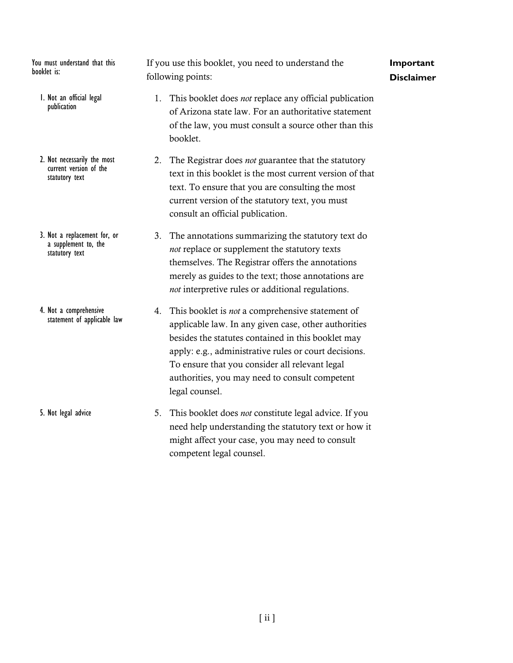You must understand that this booklet is:

- 1. Not an official legal publication
- 2. Not necessarily the most current version of the statutory text
- 3. Not a replacement for, or a supplement to, the statutory text
- 4. Not a comprehensive statement of applicable law

5. Not legal advice

If you use this booklet, you need to understand the following points:

#### **Important Disclaimer**

- 1. This booklet does *not* replace any official publication of Arizona state law. For an authoritative statement of the law, you must consult a source other than this booklet.
- 2. The Registrar does *not* guarantee that the statutory text in this booklet is the most current version of that text. To ensure that you are consulting the most current version of the statutory text, you must consult an official publication.
	- 3. The annotations summarizing the statutory text do *not* replace or supplement the statutory texts themselves. The Registrar offers the annotations merely as guides to the text; those annotations are *not* interpretive rules or additional regulations.
- 4. This booklet is *not* a comprehensive statement of applicable law. In any given case, other authorities besides the statutes contained in this booklet may apply: e.g., administrative rules or court decisions. To ensure that you consider all relevant legal authorities, you may need to consult competent legal counsel.
- 5. This booklet does *not* constitute legal advice. If you need help understanding the statutory text or how it might affect your case, you may need to consult competent legal counsel.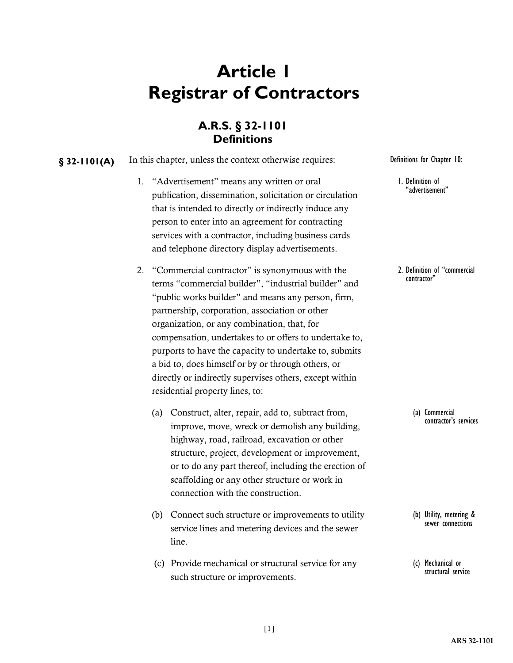## **Article 1 Registrar of Contractors**

### **A.R.S. § 32-1101 Definitions**

**§** 32-1101(A) In this chapter, unless the context otherwise requires: Definitions for Chapter 10:

- 1. "Advertisement" means any written or oral publication, dissemination, solicitation or circulation that is intended to directly or indirectly induce any person to enter into an agreement for contracting services with a contractor, including business cards and telephone directory display advertisements.
- 2. "Commercial contractor" is synonymous with the terms "commercial builder", "industrial builder" and "public works builder" and means any person, firm, partnership, corporation, association or other organization, or any combination, that, for compensation, undertakes to or offers to undertake to, purports to have the capacity to undertake to, submits a bid to, does himself or by or through others, or directly or indirectly supervises others, except within residential property lines, to:
	- (a) Construct, alter, repair, add to, subtract from, improve, move, wreck or demolish any building, highway, road, railroad, excavation or other structure, project, development or improvement, or to do any part thereof, including the erection of scaffolding or any other structure or work in connection with the construction.
	- (b) Connect such structure or improvements to utility service lines and metering devices and the sewer line.
	- (c) Provide mechanical or structural service for any such structure or improvements.

1. Definition of "advertisement"

2. Definition of "commercial contractor"

> (a) Commercial contractor's services

(b) Utility, metering & sewer connections

(c) Mechanical or structural service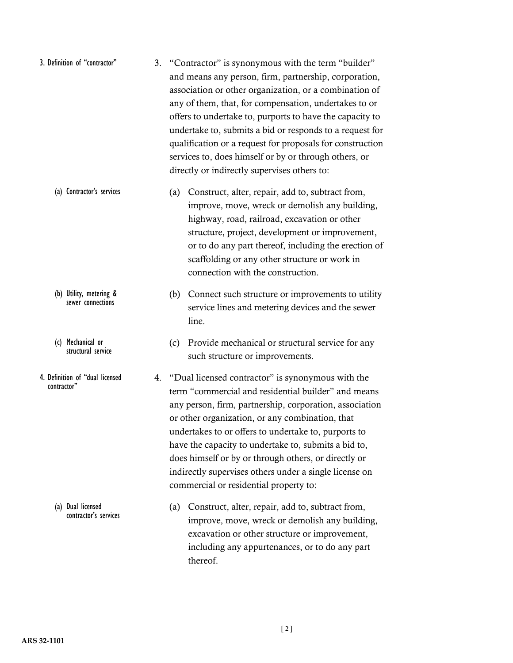| 3. Definition of "contractor" | 3. "Contractor" is synonymous with the term "builder"     |  |
|-------------------------------|-----------------------------------------------------------|--|
|                               | and means any person, firm, partnership, corporation,     |  |
|                               | association or other organization, or a combination of    |  |
|                               | any of them, that, for compensation, undertakes to or     |  |
|                               | offers to undertake to, purports to have the capacity to  |  |
|                               | undertake to, submits a bid or responds to a request for  |  |
|                               | qualification or a request for proposals for construction |  |
|                               | services to, does himself or by or through others, or     |  |
|                               | directly or indirectly supervises others to:              |  |

- (a) Construct, alter, repair, add to, subtract from, improve, move, wreck or demolish any building, highway, road, railroad, excavation or other structure, project, development or improvement, or to do any part thereof, including the erection of scaffolding or any other structure or work in connection with the construction. (a) Contractor's services
	- (b) Connect such structure or improvements to utility service lines and metering devices and the sewer line.
		- (c) Provide mechanical or structural service for any such structure or improvements.
	- 4. "Dual licensed contractor" is synonymous with the term "commercial and residential builder" and means any person, firm, partnership, corporation, association or other organization, or any combination, that undertakes to or offers to undertake to, purports to have the capacity to undertake to, submits a bid to, does himself or by or through others, or directly or indirectly supervises others under a single license on commercial or residential property to:
		- (a) Construct, alter, repair, add to, subtract from, improve, move, wreck or demolish any building, excavation or other structure or improvement, including any appurtenances, or to do any part thereof.

sewer connections

(b) Utility, metering &

(c) Mechanical or structural service

4. Definition of "dual licensed contractor"

> (a) Dual licensed contractor's services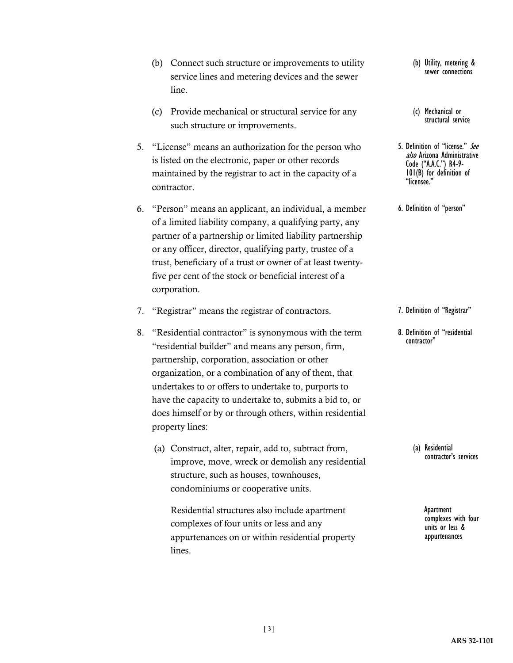- (b) Connect such structure or improvements to utility service lines and metering devices and the sewer line.
- (c) Provide mechanical or structural service for any such structure or improvements.
- 5. "License" means an authorization for the person who is listed on the electronic, paper or other records maintained by the registrar to act in the capacity of a contractor.
- 6. "Person" means an applicant, an individual, a member of a limited liability company, a qualifying party, any partner of a partnership or limited liability partnership or any officer, director, qualifying party, trustee of a trust, beneficiary of a trust or owner of at least twentyfive per cent of the stock or beneficial interest of a corporation.
- 7. "Registrar" means the registrar of contractors.
- 8. "Residential contractor" is synonymous with the term "residential builder" and means any person, firm, partnership, corporation, association or other organization, or a combination of any of them, that undertakes to or offers to undertake to, purports to have the capacity to undertake to, submits a bid to, or does himself or by or through others, within residential property lines:
	- (a) Construct, alter, repair, add to, subtract from, improve, move, wreck or demolish any residential structure, such as houses, townhouses, condominiums or cooperative units.

Residential structures also include apartment complexes of four units or less and any appurtenances on or within residential property lines.

(b) Utility, metering & sewer connections

- (c) Mechanical or structural service
- 5. Definition of "license." See also Arizona Administrative Code ("A.A.C.") R4-9-<br>101(B) for definition of "licensee."

6. Definition of "person"

7. Definition of "Registrar"

8. Definition of "residential contractor"

> (a) Residential contractor's services

> > Apartment complexes with four units or less & appurtenances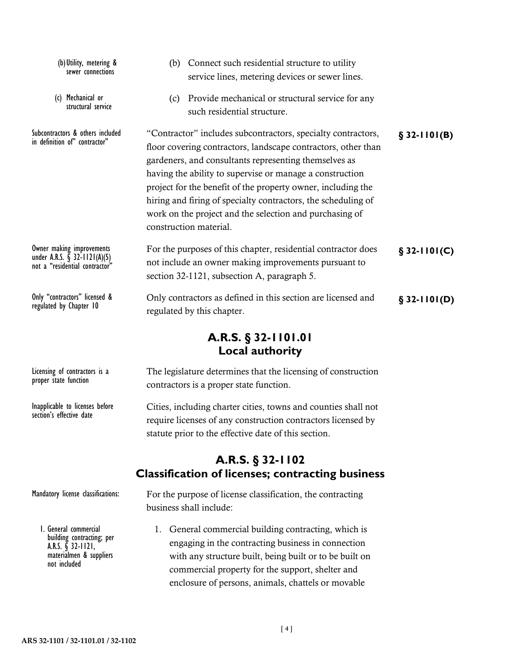(b) Connect such residential structure to utility service lines, metering devices or sewer lines. (c) Provide mechanical or structural service for any such residential structure. Subcontractors & others included "Contractor" includes subcontractors, specialty contractors, §**32-1101(B)** floor covering contractors, landscape contractors, other than gardeners, and consultants representing themselves as having the ability to supervise or manage a construction project for the benefit of the property owner, including the hiring and firing of specialty contractors, the scheduling of work on the project and the selection and purchasing of construction material. Owner making improvements For the purposes of this chapter, residential contractor does **§** 32-1101(C) not include an owner making improvements pursuant to section 32-1121, subsection A, paragraph 5. Only "contractors" licensed & Only contractors as defined in this section are licensed and **§** 32-1101(D) regulated by this chapter. (b)Utility, metering & sewer connections (c) Mechanical or structural service in definition of" contractor" Owner making improvements<br>under A.R.S. § 32-1121(A)(5) not a "residential contractor" regulated by Chapter 10

### **A.R.S. § 32-1101.01 Local authority**

Licensing of contractors is a proper state function

Inapplicable to licenses before section's effective date

The legislature determines that the licensing of construction contractors is a proper state function.

Cities, including charter cities, towns and counties shall not require licenses of any construction contractors licensed by statute prior to the effective date of this section.

### **A.R.S. § 32-1102 Classification of licenses; contracting business**

Mandatory license classifications:

1. General commercial building contracting; per A.R.S. § 32-1121, materialmen & suppliers not included

For the purpose of license classification, the contracting business shall include:

1. General commercial building contracting, which is engaging in the contracting business in connection with any structure built, being built or to be built on commercial property for the support, shelter and enclosure of persons, animals, chattels or movable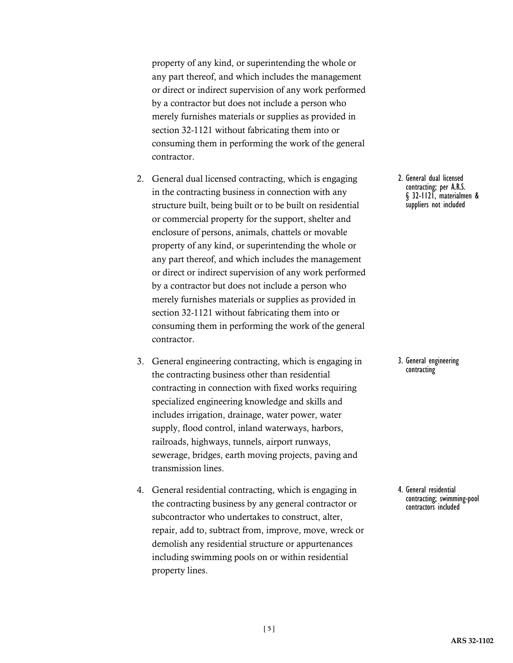property of any kind, or superintending the whole or any part thereof, and which includes the management or direct or indirect supervision of any work performed by a contractor but does not include a person who merely furnishes materials or supplies as provided in section 32-1121 without fabricating them into or consuming them in performing the work of the general contractor.

- 2. General dual licensed contracting, which is engaging in the contracting business in connection with any structure built, being built or to be built on residential or commercial property for the support, shelter and enclosure of persons, animals, chattels or movable property of any kind, or superintending the whole or any part thereof, and which includes the management or direct or indirect supervision of any work performed by a contractor but does not include a person who merely furnishes materials or supplies as provided in section 32-1121 without fabricating them into or consuming them in performing the work of the general contractor.
- 3. General engineering contracting, which is engaging in the contracting business other than residential contracting in connection with fixed works requiring specialized engineering knowledge and skills and includes irrigation, drainage, water power, water supply, flood control, inland waterways, harbors, railroads, highways, tunnels, airport runways, sewerage, bridges, earth moving projects, paving and transmission lines.
- 4. General residential contracting, which is engaging in the contracting business by any general contractor or subcontractor who undertakes to construct, alter, repair, add to, subtract from, improve, move, wreck or demolish any residential structure or appurtenances including swimming pools on or within residential property lines.

2. General dual licensed contracting; per A.R.S. § 32-1121, materialmen & suppliers not included

#### 3. General engineering contracting

4. General residential contracting; swimming-pool contractors included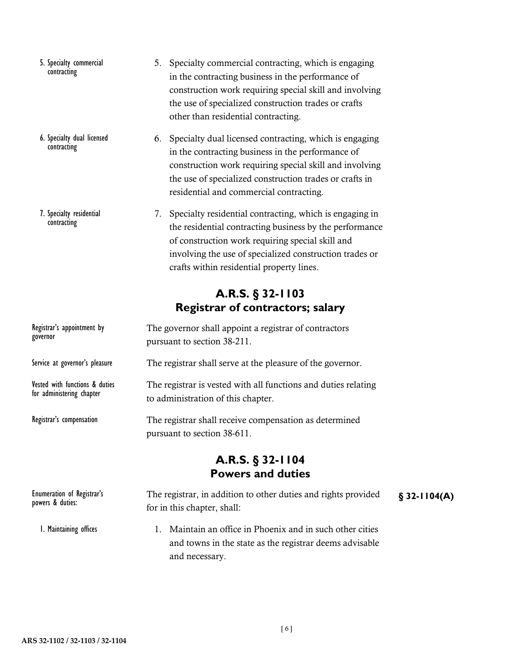- 5. Specialty commercial contracting
- 6. Specialty dual licensed contracting
- 7. Specialty residential contracting
- 5. Specialty commercial contracting, which is engaging in the contracting business in the performance of construction work requiring special skill and involving the use of specialized construction trades or crafts other than residential contracting.
- 6. Specialty dual licensed contracting, which is engaging in the contracting business in the performance of construction work requiring special skill and involving the use of specialized construction trades or crafts in residential and commercial contracting.
- 7. Specialty residential contracting, which is engaging in the residential contracting business by the performance of construction work requiring special skill and involving the use of specialized construction trades or crafts within residential property lines.

### **A.R.S. § 32-1103 Registrar of contractors; salary**

| Registrar's appointment by<br>governor                      | The governor shall appoint a registrar of contractors<br>pursuant to section 38-211.                 |               |  |  |  |
|-------------------------------------------------------------|------------------------------------------------------------------------------------------------------|---------------|--|--|--|
| Service at governor's pleasure                              | The registrar shall serve at the pleasure of the governor.                                           |               |  |  |  |
| Vested with functions & duties<br>for administering chapter | The registrar is vested with all functions and duties relating<br>to administration of this chapter. |               |  |  |  |
| Registrar's compensation                                    | The registrar shall receive compensation as determined<br>pursuant to section 38-611.                |               |  |  |  |
|                                                             | A.R.S. $\S$ 32-1104<br><b>Powers and duties</b>                                                      |               |  |  |  |
| Enumeration of Registrar's<br>$\ldots$ 0 $\ldots$           | The registrar, in addition to other duties and rights provided                                       | $$32-1104(A)$ |  |  |  |

for in this chapter, shall: 1. Maintain an office in Phoenix and in such other cities powers & duties: 1. Maintaining offices

and towns in the state as the registrar deems advisable and necessary.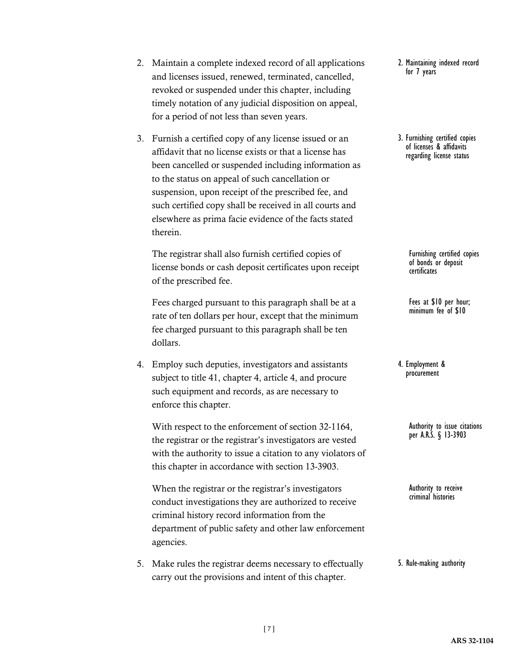**ARS 32-1104**

- 2. Maintain a complete indexed record of all applications and licenses issued, renewed, terminated, cancelled, revoked or suspended under this chapter, including timely notation of any judicial disposition on appeal, for a period of not less than seven years.
- 3. Furnish a certified copy of any license issued or an affidavit that no license exists or that a license has been cancelled or suspended including information as to the status on appeal of such cancellation or suspension, upon receipt of the prescribed fee, and such certified copy shall be received in all courts and elsewhere as prima facie evidence of the facts stated therein.

The registrar shall also furnish certified copies of license bonds or cash deposit certificates upon receipt of the prescribed fee.

Fees charged pursuant to this paragraph shall be at a rate of ten dollars per hour, except that the minimum fee charged pursuant to this paragraph shall be ten dollars.

4. Employ such deputies, investigators and assistants subject to title 41, chapter 4, article 4, and procure such equipment and records, as are necessary to enforce this chapter.

With respect to the enforcement of section 32-1164, the registrar or the registrar's investigators are vested with the authority to issue a citation to any violators of this chapter in accordance with section 13-3903.

When the registrar or the registrar's investigators conduct investigations they are authorized to receive criminal history record information from the department of public safety and other law enforcement agencies.

5. Make rules the registrar deems necessary to effectually carry out the provisions and intent of this chapter.

2. Maintaining indexed record for 7 years

3. Furnishing certified copies of licenses & affidavits regarding license status

> Furnishing certified copies of bonds or deposit certificates

Fees at \$10 per hour; minimum fee of \$10

4. Employment & procurement

> Authority to issue citations per A.R.S. § 13-3903

Authority to receive criminal histories

5. Rule-making authority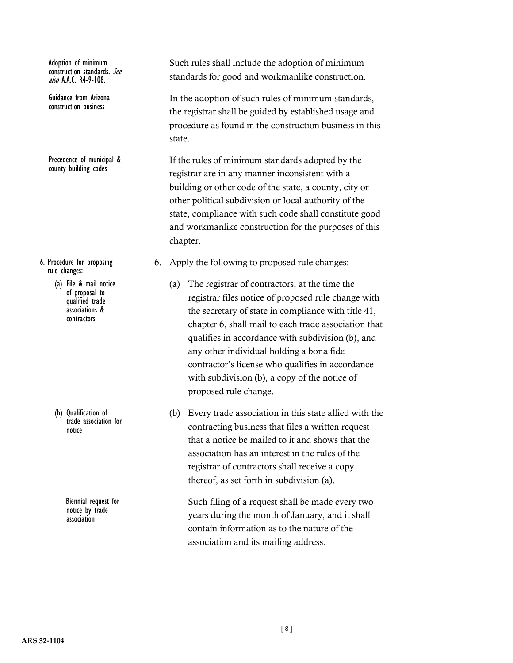Adoption of minimum construction standards. See  $a$ ko AACR4-9-108

Guidance from Arizona construction business

Precedence of municipal & county building codes

- 6. Procedure for proposing rule changes:
	- (a) File & mail notice of proposal to qualified trade associations & contractors

(b) Qualification of trade association for notice

> Biennial request for notice by trade association

Such rules shall include the adoption of minimum standards for good and workmanlike construction.

In the adoption of such rules of minimum standards, the registrar shall be guided by established usage and procedure as found in the construction business in this state.

If the rules of minimum standards adopted by the registrar are in any manner inconsistent with a building or other code of the state, a county, city or other political subdivision or local authority of the state, compliance with such code shall constitute good and workmanlike construction for the purposes of this chapter.

- 6. Apply the following to proposed rule changes:
	- (a) The registrar of contractors, at the time the registrar files notice of proposed rule change with the secretary of state in compliance with title 41, chapter 6, shall mail to each trade association that qualifies in accordance with subdivision (b), and any other individual holding a bona fide contractor's license who qualifies in accordance with subdivision (b), a copy of the notice of proposed rule change.
	- (b) Every trade association in this state allied with the contracting business that files a written request that a notice be mailed to it and shows that the association has an interest in the rules of the registrar of contractors shall receive a copy thereof, as set forth in subdivision (a).

Such filing of a request shall be made every two years during the month of January, and it shall contain information as to the nature of the association and its mailing address.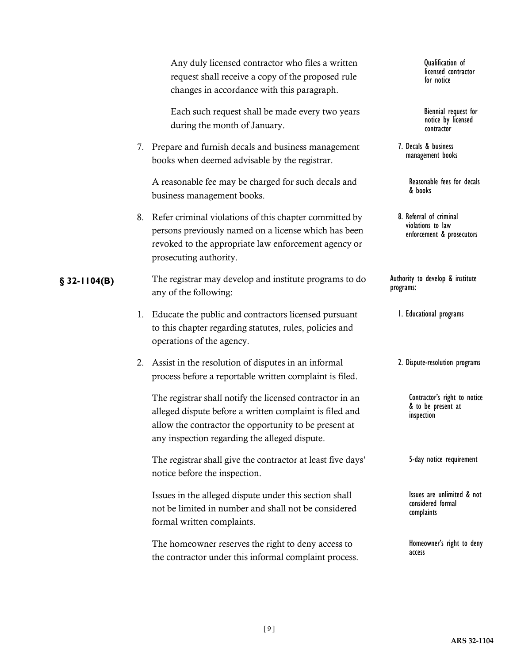|               | Any duly licensed contractor who files a written<br>request shall receive a copy of the proposed rule<br>changes in accordance with this paragraph.                                                                           | Qualification of<br>licensed contractor<br>for notice                     |
|---------------|-------------------------------------------------------------------------------------------------------------------------------------------------------------------------------------------------------------------------------|---------------------------------------------------------------------------|
|               | Each such request shall be made every two years<br>during the month of January.                                                                                                                                               | Biennial request for<br>notice by licensed<br>contractor                  |
|               | 7. Prepare and furnish decals and business management<br>books when deemed advisable by the registrar.                                                                                                                        | 7. Decals & business<br>management books                                  |
|               | A reasonable fee may be charged for such decals and<br>business management books.                                                                                                                                             | Reasonable fees for decals<br>& books                                     |
|               | 8. Refer criminal violations of this chapter committed by<br>persons previously named on a license which has been<br>revoked to the appropriate law enforcement agency or<br>prosecuting authority.                           | 8. Referral of criminal<br>violations to law<br>enforcement & prosecutors |
| $$32-1104(B)$ | The registrar may develop and institute programs to do<br>any of the following:                                                                                                                                               | Authority to develop & institute<br>programs:                             |
|               | 1. Educate the public and contractors licensed pursuant<br>to this chapter regarding statutes, rules, policies and<br>operations of the agency.                                                                               | I. Educational programs                                                   |
|               | 2. Assist in the resolution of disputes in an informal<br>process before a reportable written complaint is filed.                                                                                                             | 2. Dispute-resolution programs                                            |
|               | The registrar shall notify the licensed contractor in an<br>alleged dispute before a written complaint is filed and<br>allow the contractor the opportunity to be present at<br>any inspection regarding the alleged dispute. | Contractor's right to notice<br>& to be present at<br>inspection          |
|               | The registrar shall give the contractor at least five days'<br>notice before the inspection.                                                                                                                                  | 5-day notice requirement                                                  |
|               | Issues in the alleged dispute under this section shall<br>not be limited in number and shall not be considered<br>formal written complaints.                                                                                  | Issues are unlimited & not<br>considered formal<br>complaints             |
|               | The homeowner reserves the right to deny access to<br>the contractor under this informal complaint process.                                                                                                                   | Homeowner's right to deny<br>access                                       |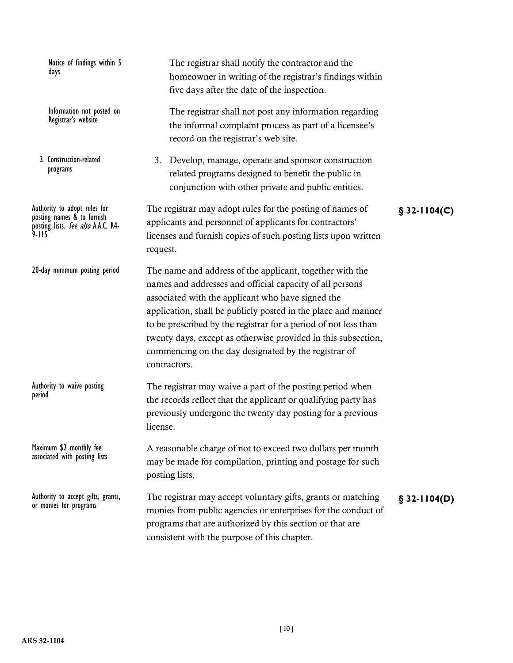| Notice of findings within 5<br>days                                                                           | The registrar shall notify the contractor and the<br>homeowner in writing of the registrar's findings within<br>five days after the date of the inspection.                                                                                                                                                                                                                                                                                            |  |  |  |
|---------------------------------------------------------------------------------------------------------------|--------------------------------------------------------------------------------------------------------------------------------------------------------------------------------------------------------------------------------------------------------------------------------------------------------------------------------------------------------------------------------------------------------------------------------------------------------|--|--|--|
| Information not posted on<br>Registrar's website                                                              | The registrar shall not post any information regarding<br>the informal complaint process as part of a licensee's<br>record on the registrar's web site.                                                                                                                                                                                                                                                                                                |  |  |  |
| 3. Construction-related<br>programs                                                                           | 3. Develop, manage, operate and sponsor construction<br>related programs designed to benefit the public in<br>conjunction with other private and public entities.                                                                                                                                                                                                                                                                                      |  |  |  |
| Authority to adopt rules for<br>posting names & to furnish<br>posting lists. See also A.A.C. R4-<br>$9 - 115$ | The registrar may adopt rules for the posting of names of<br>$$32-1104(C)$<br>applicants and personnel of applicants for contractors'<br>licenses and furnish copies of such posting lists upon written<br>request.                                                                                                                                                                                                                                    |  |  |  |
| 20-day minimum posting period                                                                                 | The name and address of the applicant, together with the<br>names and addresses and official capacity of all persons<br>associated with the applicant who have signed the<br>application, shall be publicly posted in the place and manner<br>to be prescribed by the registrar for a period of not less than<br>twenty days, except as otherwise provided in this subsection,<br>commencing on the day designated by the registrar of<br>contractors. |  |  |  |
| Authority to waive posting<br>period                                                                          | The registrar may waive a part of the posting period when<br>the records reflect that the applicant or qualifying party has<br>previously undergone the twenty day posting for a previous<br>license.                                                                                                                                                                                                                                                  |  |  |  |
| Maximum \$2 monthly fee<br>associated with posting lists                                                      | A reasonable charge of not to exceed two dollars per month<br>may be made for compilation, printing and postage for such<br>posting lists.                                                                                                                                                                                                                                                                                                             |  |  |  |
| Authority to accept gifts, grants,<br>or monies for programs                                                  | The registrar may accept voluntary gifts, grants or matching<br>$$32-1104(D)$<br>monies from public agencies or enterprises for the conduct of<br>programs that are authorized by this section or that are<br>consistent with the purpose of this chapter.                                                                                                                                                                                             |  |  |  |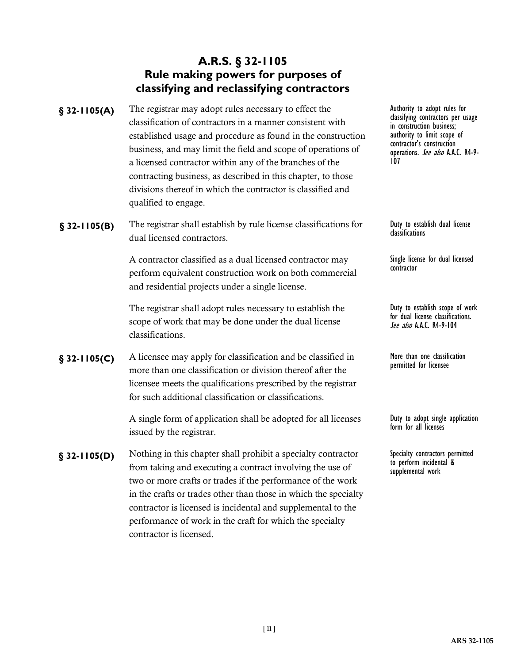### **A.R.S. § 32-1105 Rule making powers for purposes of classifying and reclassifying contractors**

- The registrar may adopt rules necessary to effect the classification of contractors in a manner consistent with established usage and procedure as found in the construction business, and may limit the field and scope of operations of a licensed contractor within any of the branches of the contracting business, as described in this chapter, to those divisions thereof in which the contractor is classified and qualified to engage. **§ 32-1105(A)**
- **§ 32-1105(B)** The registrar shall establish by rule license classifications for Duty to estal<br>dassifications duel licensed contractors dual licensed contractors.

A contractor classified as a dual licensed contractor may perform equivalent construction work on both commercial and residential projects under a single license.

The registrar shall adopt rules necessary to establish the scope of work that may be done under the dual license classifications.

**§ 32-1105(C)** A licensee may apply for classification and be classified in More than one classified m more than one classification or division thereof after the permitted for licensee more than one classification or division thereof after the licensee meets the qualifications prescribed by the registrar for such additional classification or classifications.

> A single form of application shall be adopted for all licenses issued by the registrar.

Nothing in this chapter shall prohibit a specialty contractor from taking and executing a contract involving the use of two or more crafts or trades if the performance of the work in the crafts or trades other than those in which the specialty contractor is licensed is incidental and supplemental to the performance of work in the craft for which the specialty contractor is licensed. **§ 32-1105(D)**

Authority to adopt rules for classifying contractors per usage in construction business; authority to limit scope of contractor's construction operations. See also A.A.C. R4-9-<br>107

Duty to establish dual license<br>classifications

Single license for dual licensed contractor

Duty to establish scope of work for dual license classifications. See also A.A.C. R4-9-104

More than one classification<br>permitted for licensee

Duty to adopt single application form for all licenses

Specialty contractors permitted to perform incidental & supplemental work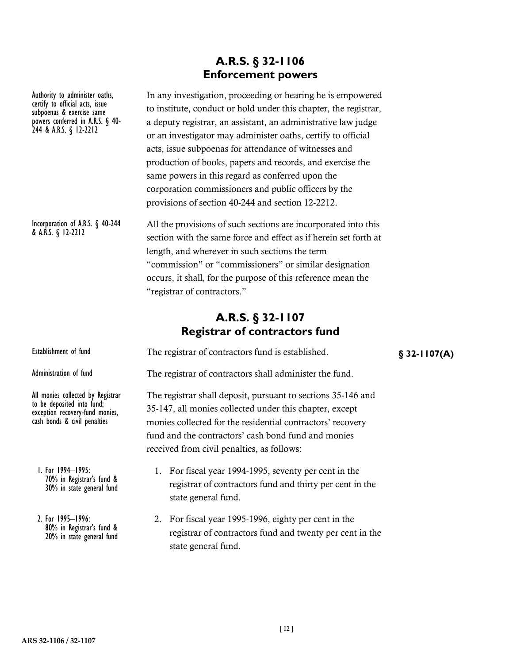### **A.R.S. § 32-1106 Enforcement powers**

In any investigation, proceeding or hearing he is empowered to institute, conduct or hold under this chapter, the registrar, a deputy registrar, an assistant, an administrative law judge or an investigator may administer oaths, certify to official acts, issue subpoenas for attendance of witnesses and production of books, papers and records, and exercise the same powers in this regard as conferred upon the corporation commissioners and public officers by the provisions of section 40-244 and section 12-2212. All the provisions of such sections are incorporated into this section with the same force and effect as if herein set forth at length, and wherever in such sections the term "commission" or "commissioners" or similar designation occurs, it shall, for the purpose of this reference mean the "registrar of contractors." **A.R.S. § 32-1107 Registrar of contractors fund** Establishment of fund **Figure 1** The registrar of contractors fund is established. **§** 32-1107(A) The registrar of contractors shall administer the fund. The registrar shall deposit, pursuant to sections 35-146 and 35-147, all monies collected under this chapter, except monies collected for the residential contractors' recovery fund and the contractors' cash bond fund and monies received from civil penalties, as follows: 1. For fiscal year 1994-1995, seventy per cent in the registrar of contractors fund and thirty per cent in the state general fund. Authority to administer oaths, certify to official acts, issue subpoenas & exercise same powers conferred in A.R.S. § 40- 244 & A.R.S. § 12-2212 Incorporation of A.R.S. § 40-244 & A.R.S. § 12-2212 Administration of fund All monies collected by Registrar to be deposited into fund; exception recovery-fund monies, cash bonds & civil penalties 1. For 1994–1995: 70% in Registrar's fund & 30% in state general fund

> 2. For fiscal year 1995-1996, eighty per cent in the registrar of contractors fund and twenty per cent in the state general fund.

**ARS 32-1106 / 32-1107**

2. For 1995–1996:

80% in Registrar's fund & 20% in state general fund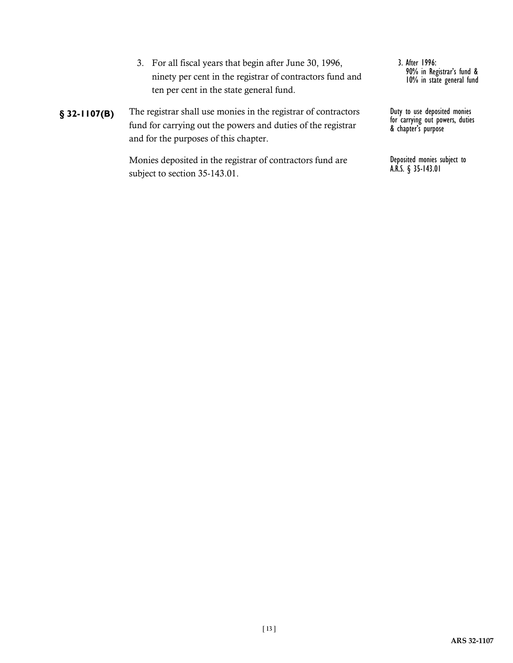- 3. For all fiscal years that begin after June 30, 1996, ninety per cent in the registrar of contractors fund and ten per cent in the state general fund.
- The registrar shall use monies in the registrar of contractors fund for carrying out the powers and duties of the registrar and for the purposes of this chapter. **§ 32-1107(B)**

Monies deposited in the registrar of contractors fund are subject to section 35-143.01.

3. After 1996: 90% in Registrar's fund & 10% in state general fund

Duty to use deposited monies for carrying out powers, duties & chapter's purpose

Deposited monies subject to A.R.S. § 35-143.01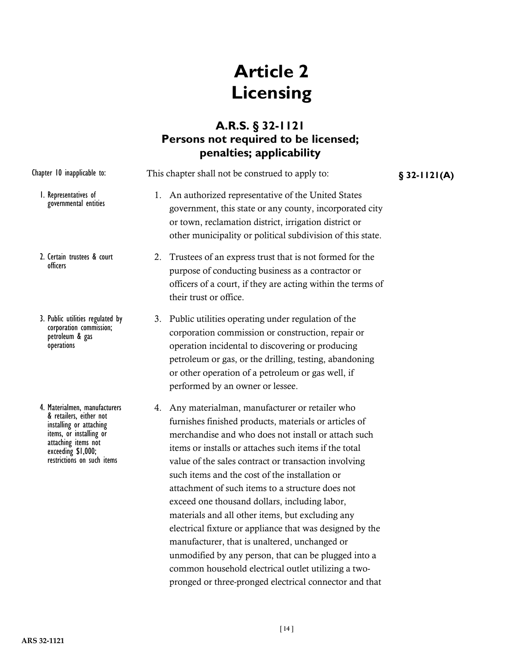# **Article 2 Licensing**

### **A.R.S. § 32-1121 Persons not required to be licensed; penalties; applicability**

| Chapter 10 inapplicable to:                                                                                                                                                               | This chapter shall not be construed to apply to:                                                                                                                                                                                                                                                                                                                                                                                                                                                                                                                                                                                                                                                                            |  |  |
|-------------------------------------------------------------------------------------------------------------------------------------------------------------------------------------------|-----------------------------------------------------------------------------------------------------------------------------------------------------------------------------------------------------------------------------------------------------------------------------------------------------------------------------------------------------------------------------------------------------------------------------------------------------------------------------------------------------------------------------------------------------------------------------------------------------------------------------------------------------------------------------------------------------------------------------|--|--|
| I. Representatives of<br>governmental entities                                                                                                                                            | An authorized representative of the United States<br>1.<br>government, this state or any county, incorporated city<br>or town, reclamation district, irrigation district or<br>other municipality or political subdivision of this state.                                                                                                                                                                                                                                                                                                                                                                                                                                                                                   |  |  |
| 2. Certain trustees & court<br>officers                                                                                                                                                   | Trustees of an express trust that is not formed for the<br>2.<br>purpose of conducting business as a contractor or<br>officers of a court, if they are acting within the terms of<br>their trust or office.                                                                                                                                                                                                                                                                                                                                                                                                                                                                                                                 |  |  |
| 3. Public utilities regulated by<br>corporation commission;<br>petroleum & gas<br>operations                                                                                              | 3. Public utilities operating under regulation of the<br>corporation commission or construction, repair or<br>operation incidental to discovering or producing<br>petroleum or gas, or the drilling, testing, abandoning<br>or other operation of a petroleum or gas well, if<br>performed by an owner or lessee.                                                                                                                                                                                                                                                                                                                                                                                                           |  |  |
| 4. Materialmen, manufacturers<br>& retailers, either not<br>installing or attaching<br>items, or installing or<br>attaching items not<br>exceeding \$1,000;<br>restrictions on such items | Any materialman, manufacturer or retailer who<br>4.<br>furnishes finished products, materials or articles of<br>merchandise and who does not install or attach such<br>items or installs or attaches such items if the total<br>value of the sales contract or transaction involving<br>such items and the cost of the installation or<br>attachment of such items to a structure does not<br>exceed one thousand dollars, including labor,<br>materials and all other items, but excluding any<br>electrical fixture or appliance that was designed by the<br>manufacturer, that is unaltered, unchanged or<br>unmodified by any person, that can be plugged into a<br>common household electrical outlet utilizing a two- |  |  |

pronged or three-pronged electrical connector and that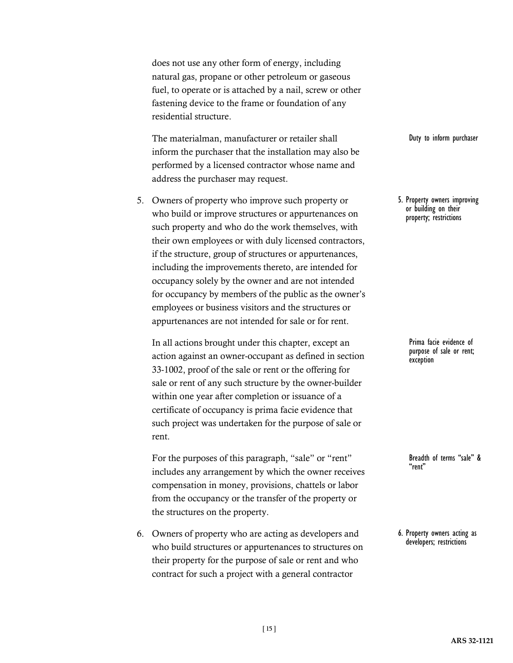does not use any other form of energy, including natural gas, propane or other petroleum or gaseous fuel, to operate or is attached by a nail, screw or other fastening device to the frame or foundation of any residential structure.

The materialman, manufacturer or retailer shall inform the purchaser that the installation may also be performed by a licensed contractor whose name and address the purchaser may request.

5. Owners of property who improve such property or who build or improve structures or appurtenances on such property and who do the work themselves, with their own employees or with duly licensed contractors, if the structure, group of structures or appurtenances, including the improvements thereto, are intended for occupancy solely by the owner and are not intended for occupancy by members of the public as the owner's employees or business visitors and the structures or appurtenances are not intended for sale or for rent.

In all actions brought under this chapter, except an action against an owner-occupant as defined in section 33-1002, proof of the sale or rent or the offering for sale or rent of any such structure by the owner-builder within one year after completion or issuance of a certificate of occupancy is prima facie evidence that such project was undertaken for the purpose of sale or rent.

For the purposes of this paragraph, "sale" or "rent" includes any arrangement by which the owner receives compensation in money, provisions, chattels or labor from the occupancy or the transfer of the property or the structures on the property.

6. Owners of property who are acting as developers and who build structures or appurtenances to structures on their property for the purpose of sale or rent and who contract for such a project with a general contractor

Duty to inform purchaser

5. Property owners improving or building on their property; restrictions

> Prima facie evidence of purpose of sale or rent; exception

Breadth of terms "sale" & "rent"

6. Property owners acting as developers; restrictions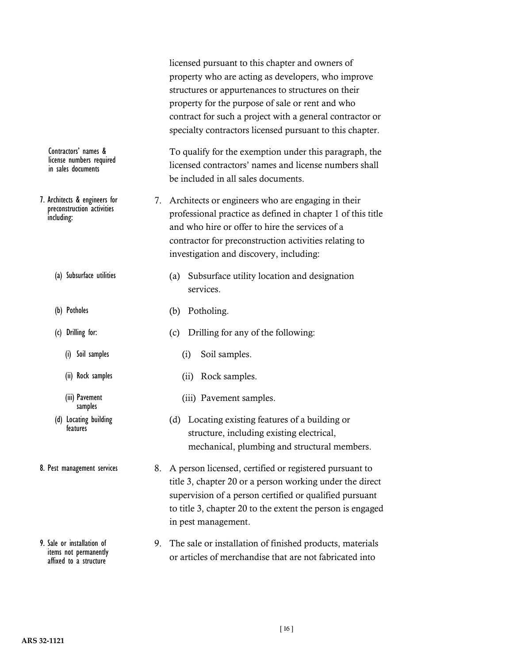|                                                                           |    | licensed pursuant to this chapter and owners of<br>property who are acting as developers, who improve<br>structures or appurtenances to structures on their<br>property for the purpose of sale or rent and who<br>contract for such a project with a general contractor or<br>specialty contractors licensed pursuant to this chapter. |
|---------------------------------------------------------------------------|----|-----------------------------------------------------------------------------------------------------------------------------------------------------------------------------------------------------------------------------------------------------------------------------------------------------------------------------------------|
| Contractors' names &<br>license numbers required<br>in sales documents    |    | To qualify for the exemption under this paragraph, the<br>licensed contractors' names and license numbers shall<br>be included in all sales documents.                                                                                                                                                                                  |
| 7. Architects & engineers for<br>preconstruction activities<br>including: | 7. | Architects or engineers who are engaging in their<br>professional practice as defined in chapter 1 of this title<br>and who hire or offer to hire the services of a<br>contractor for preconstruction activities relating to<br>investigation and discovery, including:                                                                 |
| (a) Subsurface utilities                                                  |    | Subsurface utility location and designation<br>(a)<br>services.                                                                                                                                                                                                                                                                         |
| (b) Potholes                                                              |    | Potholing.<br>(b)                                                                                                                                                                                                                                                                                                                       |
| (c) Drilling for:                                                         |    | Drilling for any of the following:<br>(c)                                                                                                                                                                                                                                                                                               |
| Soil samples<br>(i)                                                       |    | Soil samples.<br>(i)                                                                                                                                                                                                                                                                                                                    |
| (ii) Rock samples                                                         |    | Rock samples.<br>(ii)                                                                                                                                                                                                                                                                                                                   |
| (iii) Pavement<br>samples                                                 |    | (iii) Pavement samples.                                                                                                                                                                                                                                                                                                                 |
| (d) Locating building<br>features                                         |    | Locating existing features of a building or<br>(d)<br>structure, including existing electrical,<br>mechanical, plumbing and structural members.                                                                                                                                                                                         |
| 8. Pest management services                                               | 8. | A person licensed, certified or registered pursuant to<br>title 3, chapter 20 or a person working under the direct<br>supervision of a person certified or qualified pursuant<br>to title 3, chapter 20 to the extent the person is engaged<br>in pest management.                                                                      |
| 9. Sale or installation of                                                | 9. | The sale or installation of finished products, materials                                                                                                                                                                                                                                                                                |

9. The sale or installation of finished products, materials or articles of merchandise that are not fabricated into

items not permanently affixed to a structure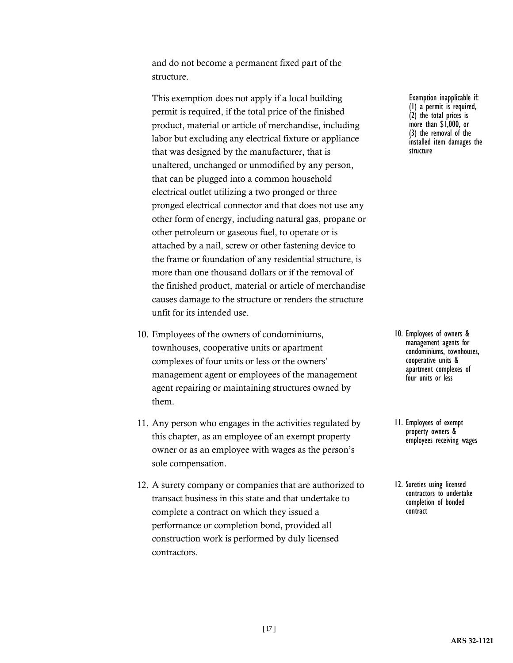and do not become a permanent fixed part of the structure.

This exemption does not apply if a local building permit is required, if the total price of the finished product, material or article of merchandise, including labor but excluding any electrical fixture or appliance that was designed by the manufacturer, that is unaltered, unchanged or unmodified by any person, that can be plugged into a common household electrical outlet utilizing a two pronged or three pronged electrical connector and that does not use any other form of energy, including natural gas, propane or other petroleum or gaseous fuel, to operate or is attached by a nail, screw or other fastening device to the frame or foundation of any residential structure, is more than one thousand dollars or if the removal of the finished product, material or article of merchandise causes damage to the structure or renders the structure unfit for its intended use.

- 10. Employees of the owners of condominiums, townhouses, cooperative units or apartment complexes of four units or less or the owners' management agent or employees of the management agent repairing or maintaining structures owned by them.
- 11. Any person who engages in the activities regulated by this chapter, as an employee of an exempt property owner or as an employee with wages as the person's sole compensation.
- 12. A surety company or companies that are authorized to transact business in this state and that undertake to complete a contract on which they issued a performance or completion bond, provided all construction work is performed by duly licensed contractors.

Exemption inapplicable if: (1) a permit is required, (2) the total prices is more than \$1,000, or (3) the removal of the installed item damages the structure

- 10. Employees of owners & management agents for condominiums, townhouses, cooperative units & apartment complexes of four units or less
- 11. Employees of exempt property owners & employees receiving wages
- 12. Sureties using licensed contractors to undertake completion of bonded contract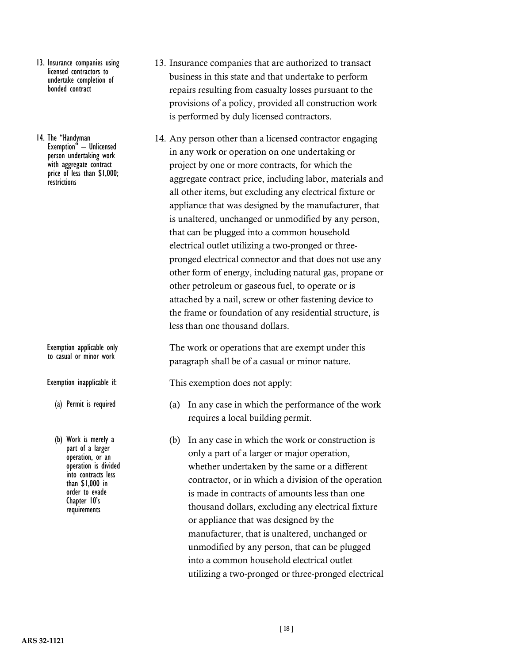- 13. Insurance companies using licensed contractors to undertake completion of bonded contract
- 14. The "Handyman Exemption" – Unlicensed person undertaking work with aggregate contract price of less than \$1,000; **restrictions**

Exemption applicable only to casual or minor work

Exemption inapplicable if:

- (a) Permit is required
- (b) Work is merely a part of a larger operation, or an operation is divided into contracts less than \$1,000 in order to evade Chapter 10's requirements
- 13. Insurance companies that are authorized to transact business in this state and that undertake to perform repairs resulting from casualty losses pursuant to the provisions of a policy, provided all construction work is performed by duly licensed contractors.
- 14. Any person other than a licensed contractor engaging in any work or operation on one undertaking or project by one or more contracts, for which the aggregate contract price, including labor, materials and all other items, but excluding any electrical fixture or appliance that was designed by the manufacturer, that is unaltered, unchanged or unmodified by any person, that can be plugged into a common household electrical outlet utilizing a two-pronged or threepronged electrical connector and that does not use any other form of energy, including natural gas, propane or other petroleum or gaseous fuel, to operate or is attached by a nail, screw or other fastening device to the frame or foundation of any residential structure, is less than one thousand dollars.

The work or operations that are exempt under this paragraph shall be of a casual or minor nature.

This exemption does not apply:

- (a) In any case in which the performance of the work requires a local building permit.
- (b) In any case in which the work or construction is only a part of a larger or major operation, whether undertaken by the same or a different contractor, or in which a division of the operation is made in contracts of amounts less than one thousand dollars, excluding any electrical fixture or appliance that was designed by the manufacturer, that is unaltered, unchanged or unmodified by any person, that can be plugged into a common household electrical outlet utilizing a two-pronged or three-pronged electrical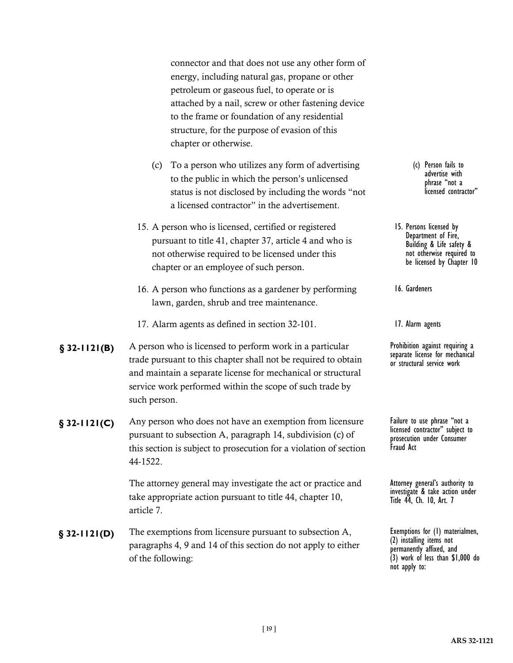connector and that does not use any other form of energy, including natural gas, propane or other petroleum or gaseous fuel, to operate or is attached by a nail, screw or other fastening device to the frame or foundation of any residential structure, for the purpose of evasion of this chapter or otherwise.

- (c) To a person who utilizes any form of advertising to the public in which the person's unlicensed status is not disclosed by including the words "not a licensed contractor" in the advertisement.
- 15. A person who is licensed, certified or registered pursuant to title 41, chapter 37, article 4 and who is not otherwise required to be licensed under this chapter or an employee of such person.
- 16. A person who functions as a gardener by performing lawn, garden, shrub and tree maintenance.
- 17. Alarm agents as defined in section 32-101.
- **§ 32-1121(B)** A person who is licensed to perform work in a particular Prohibition against requiring a trade pursuant to this chapter shall not be required to obtain and maintain a separate license for mechanical or structural service work performed within the scope of such trade by such person.
- **§ 32-1121(C)** Any person who does not have an exemption from licensure Failure to use phrase "not a pursuant to subsection A, paragraph 14, subdivision (c) of this section is subject to prosecution for a violation of section 44-1522.

The attorney general may investigate the act or practice and take appropriate action pursuant to title 44, chapter 10, article 7.

The exemptions from licensure pursuant to subsection A, paragraphs 4, 9 and 14 of this section do not apply to either of the following: **§ 32-1121(D)**

(c) Person fails to advertise with phrase "not a licensed contractor"

15. Persons licensed by Department of Fire, Building & Life safety & not otherwise required to be licensed by Chapter 10

16. Gardeners

17. Alarm agents

separate license for mechanical or structural service work

licensed contractor" subject to prosecution under Consumer Fraud Act

Attorney general's authority to investigate & take action under Title 44, Ch. 10, Art. 7

Exemptions for (1) materialmen, (2) installing items not permanently affixed, and (3) work of less than \$1,000 do not apply to: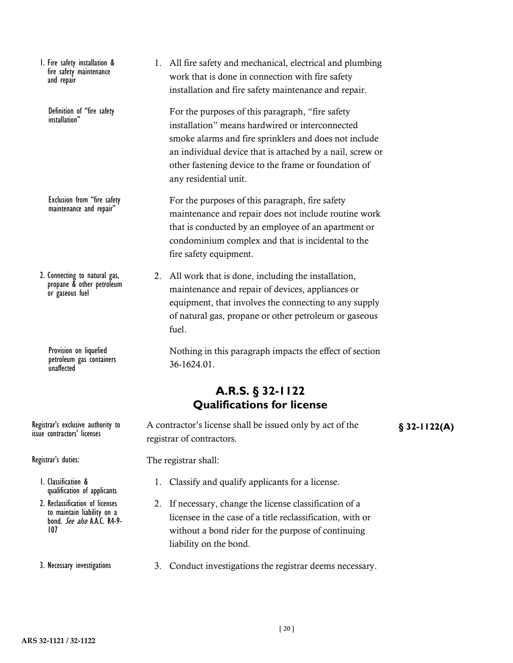Definition of "fire safety installation"

Exclusion from "fire safety maintenance and repair"

2. Connecting to natural gas, propane & other petroleum or gaseous fuel

> Provision on liquefied petroleum gas containers **unaffected**

1. All fire safety and mechanical, electrical and plumbing work that is done in connection with fire safety installation and fire safety maintenance and repair.

For the purposes of this paragraph, "fire safety installation" means hardwired or interconnected smoke alarms and fire sprinklers and does not include an individual device that is attached by a nail, screw or other fastening device to the frame or foundation of any residential unit.

For the purposes of this paragraph, fire safety maintenance and repair does not include routine work that is conducted by an employee of an apartment or condominium complex and that is incidental to the fire safety equipment.

2. All work that is done, including the installation, maintenance and repair of devices, appliances or equipment, that involves the connecting to any supply of natural gas, propane or other petroleum or gaseous fuel.

Nothing in this paragraph impacts the effect of section 36-1624.01.

### **A.R.S. § 32-1122 Qualifications for license**

Registrar's exclusive authority to A contractor's license shall be issued only by act of the **§** 32-1122(A) registrar of contractors.

Registrar's duties:

issue contractors' licenses

- 1. Classification & qualification of applicants
- 2. Reclassification of licenses to maintain liability on a bond. *See also* A.A.C. R4-9-<br>107
- 3. Necessary investigations

The registrar shall:

- 1. Classify and qualify applicants for a license.
- 2. If necessary, change the license classification of a licensee in the case of a title reclassification, with or without a bond rider for the purpose of continuing liability on the bond.
- 3. Conduct investigations the registrar deems necessary.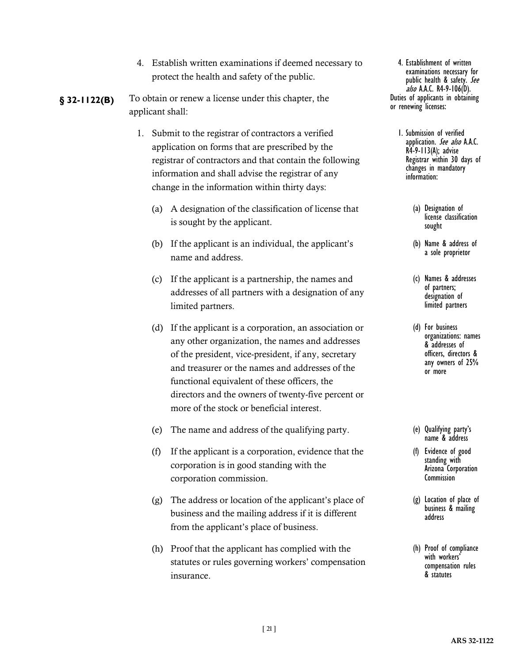- 4. Establish written examinations if deemed necessary to protect the health and safety of the public.
- **§ 32-1122(B)** To obtain or renew a license under this chapter, the **Duties of applicants in obtaining** applicant shall:
	- 1. Submit to the registrar of contractors a verified application on forms that are prescribed by the registrar of contractors and that contain the following information and shall advise the registrar of any change in the information within thirty days:
		- (a) A designation of the classification of license that is sought by the applicant.
		- (b) If the applicant is an individual, the applicant's name and address.
		- (c) If the applicant is a partnership, the names and addresses of all partners with a designation of any limited partners.
		- (d) If the applicant is a corporation, an association or any other organization, the names and addresses of the president, vice-president, if any, secretary and treasurer or the names and addresses of the functional equivalent of these officers, the directors and the owners of twenty-five percent or more of the stock or beneficial interest.
		- (e) The name and address of the qualifying party.
		- (f) If the applicant is a corporation, evidence that the corporation is in good standing with the corporation commission.
		- (g) The address or location of the applicant's place of business and the mailing address if it is different from the applicant's place of business.
		- (h) Proof that the applicant has complied with the statutes or rules governing workers' compensation insurance.

4. Establishment of written examinations necessary for public health & safety. See  $a/s$  A.A.C. R4-9-106(D).<br>Duties of applicants in obtaining or renewing licenses:

- 1. Submission of verified application. See also A.A.C. R4-9-113(A); advise Registrar within 30 days of changes in mandatory information:
	- (a) Designation of license classification sought
	- (b) Name & address of a sole proprietor
	- (c) Names & addresses of partners; designation of limited partners
	- (d) For business organizations: names & addresses of officers, directors & any owners of 25% or more
	- (e) Qualifying party's name & address
	- (f) Evidence of good standing with Arizona Corporation **Commission**
	- (g) Location of place of business & mailing address
	- (h) Proof of compliance compensation rules & statutes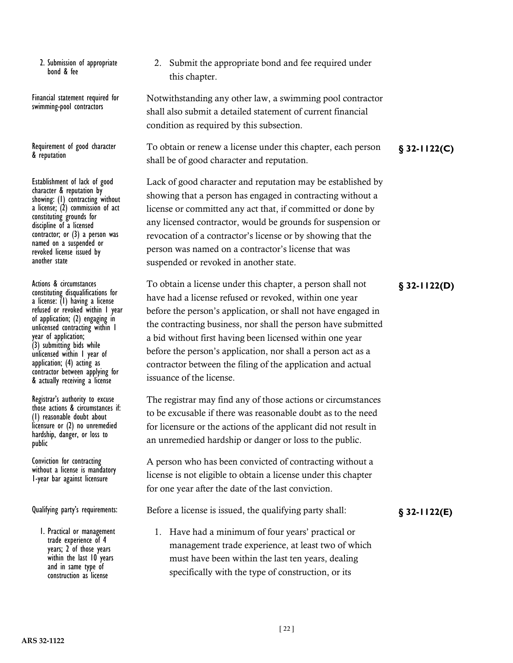2. Submission of appropriate bond & fee

Financial statement required for swimming-pool contractors

& reputation

Establishment of lack of good character & reputation by showing: (1) contracting without a license;  $(2)$  commission of act constituting grounds for discipline of a licensed contractor; or (3) a person was named on a suspended or revoked license issued by another state

constituting disqualifications for a license: (1) having a license refused or revoked within 1 year of application; (2) engaging in unlicensed contracting within 1 year of application; (3) submitting bids while unlicensed within 1 year of application; (4) acting as contractor between applying for & actually receiving a license

Registrar's authority to excuse those actions & circumstances if: (1) reasonable doubt about licensure or (2) no unremedied hardship, danger, or loss to public

Conviction for contracting without a license is mandatory 1-year bar against licensure

1. Practical or management trade experience of 4 years; 2 of those years within the last 10 years and in same type of construction as license

2. Submit the appropriate bond and fee required under this chapter.

Notwithstanding any other law, a swimming pool contractor shall also submit a detailed statement of current financial condition as required by this subsection.

Requirement of good character To obtain or renew a license under this chapter, each person **§** 32-1122(C) shall be of good character and reputation.

> Lack of good character and reputation may be established by showing that a person has engaged in contracting without a license or committed any act that, if committed or done by any licensed contractor, would be grounds for suspension or revocation of a contractor's license or by showing that the person was named on a contractor's license that was suspended or revoked in another state.

Actions & circumstances **Folder Extends To obtain a license under this chapter**, a person shall not **§** 32-1122(D) have had a license refused or revoked, within one year before the person's application, or shall not have engaged in the contracting business, nor shall the person have submitted a bid without first having been licensed within one year before the person's application, nor shall a person act as a contractor between the filing of the application and actual issuance of the license.

> The registrar may find any of those actions or circumstances to be excusable if there was reasonable doubt as to the need for licensure or the actions of the applicant did not result in an unremedied hardship or danger or loss to the public.

A person who has been convicted of contracting without a license is not eligible to obtain a license under this chapter for one year after the date of the last conviction.

Qualifying party's requirements: Before a license is issued, the qualifying party shall: **§** 32-1122(E)

1. Have had a minimum of four years' practical or management trade experience, at least two of which must have been within the last ten years, dealing specifically with the type of construction, or its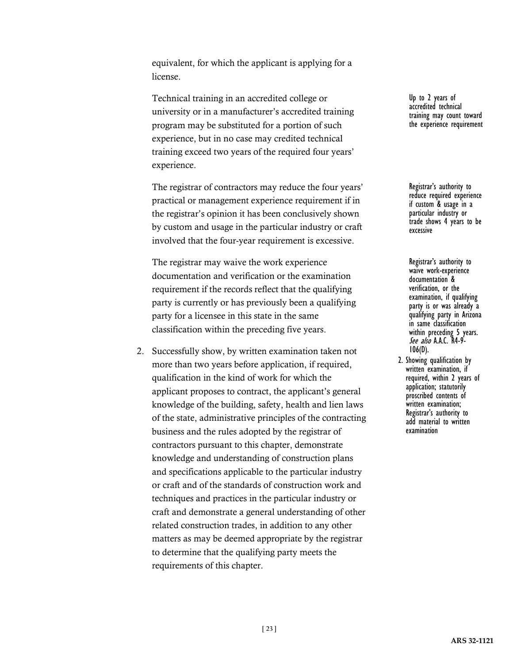equivalent, for which the applicant is applying for a license.

Technical training in an accredited college or university or in a manufacturer's accredited training program may be substituted for a portion of such experience, but in no case may credited technical training exceed two years of the required four years' experience.

The registrar of contractors may reduce the four years' practical or management experience requirement if in the registrar's opinion it has been conclusively shown by custom and usage in the particular industry or craft involved that the four-year requirement is excessive.

The registrar may waive the work experience documentation and verification or the examination requirement if the records reflect that the qualifying party is currently or has previously been a qualifying party for a licensee in this state in the same classification within the preceding five years.

2. Successfully show, by written examination taken not more than two years before application, if required, qualification in the kind of work for which the applicant proposes to contract, the applicant's general knowledge of the building, safety, health and lien laws of the state, administrative principles of the contracting business and the rules adopted by the registrar of contractors pursuant to this chapter, demonstrate knowledge and understanding of construction plans and specifications applicable to the particular industry or craft and of the standards of construction work and techniques and practices in the particular industry or craft and demonstrate a general understanding of other related construction trades, in addition to any other matters as may be deemed appropriate by the registrar to determine that the qualifying party meets the requirements of this chapter.

Up to 2 years of accredited technical training may count toward the experience requirement

Registrar's authority to reduce required experience if custom & usage in a particular industry or trade shows 4 years to be excessive

Registrar's authority to waive work-experience documentation & verification, or the examination, if qualifying party is or was already a qualifying party in Arizona in same classification within preceding 5 years. See also A.A.C. R4-9-<br>106(D).

2. Showing qualification by written examination, if required, within 2 years of application; statutorily proscribed contents of written examination; Registrar's authority to add material to written examination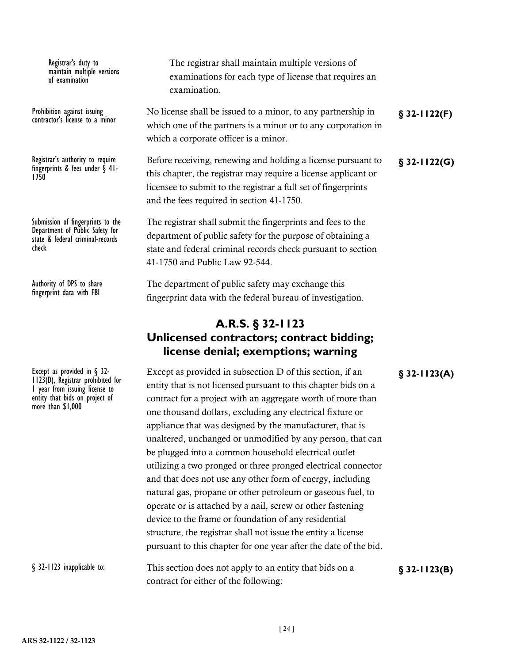Registrar's duty to maintain multiple versions of examination

contractor's license to a minor

fingerprints & fees under § 41-<br>1750

Submission of fingerprints to the Department of Public Safety for state & federal criminal-records check

Authority of DPS to share fingerprint data with FBI

1 year from issuing license to entity that bids on project of more than \$1,000

The registrar shall maintain multiple versions of examinations for each type of license that requires an examination.

Prohibition against issuing No license shall be issued to a minor, to any partnership in **§** 32-1122(F) which one of the partners is a minor or to any corporation in which a corporate officer is a minor.

Registrar's authority to require Before receiving, renewing and holding a license pursuant to **§** 32-1122(G) this chapter, the registrar may require a license applicant or licensee to submit to the registrar a full set of fingerprints and the fees required in section 41-1750.

> The registrar shall submit the fingerprints and fees to the department of public safety for the purpose of obtaining a state and federal criminal records check pursuant to section 41-1750 and Public Law 92-544.

The department of public safety may exchange this fingerprint data with the federal bureau of investigation.

### **A.R.S. § 32-1123 Unlicensed contractors; contract bidding; license denial; exemptions; warning**

Except as provided in § 32-<br> **Except as provided in S** 32-1123(A)<br>
1123(D), Registrar prohibited for<br> **on the final property that is not lisensed pursuant to this shapter hide an a** entity that is not licensed pursuant to this chapter bids on a contract for a project with an aggregate worth of more than one thousand dollars, excluding any electrical fixture or appliance that was designed by the manufacturer, that is unaltered, unchanged or unmodified by any person, that can be plugged into a common household electrical outlet utilizing a two pronged or three pronged electrical connector and that does not use any other form of energy, including natural gas, propane or other petroleum or gaseous fuel, to operate or is attached by a nail, screw or other fastening device to the frame or foundation of any residential structure, the registrar shall not issue the entity a license pursuant to this chapter for one year after the date of the bid.

This section does not apply to an entity that bids on a **§ 32-1123(B)** § 32-1123 inapplicable to: contract for either of the following: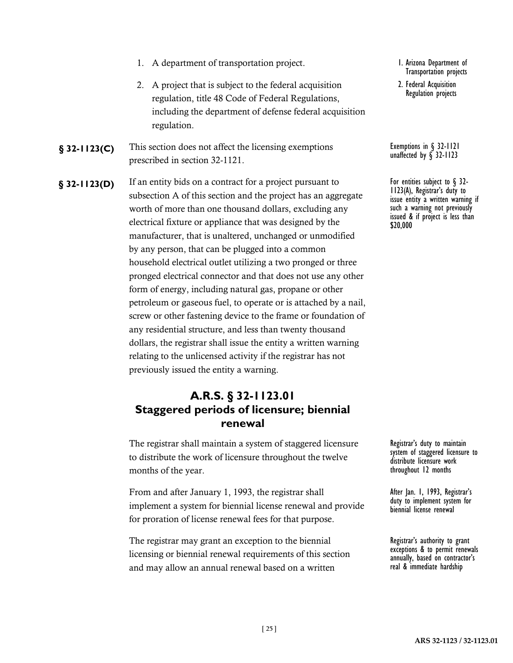- 1. A department of transportation project.
- 2. A project that is subject to the federal acquisition regulation, title 48 Code of Federal Regulations, including the department of defense federal acquisition regulation.
- **§ 32-1123(C)** This section does not affect the licensing exemptions Exemptions in § 32-1121 prescribed in section 32-1121.
- **§ 32-1123(D)** If an entity bids on a contract for a project pursuant to **For entities subject to §** 32-<br>
For entities subject to § 32-<br> **S 1123(A)**, Registrar's duty to subsection A of this section and the project has an aggregate worth of more than one thousand dollars, excluding any electrical fixture or appliance that was designed by the manufacturer, that is unaltered, unchanged or unmodified by any person, that can be plugged into a common household electrical outlet utilizing a two pronged or three pronged electrical connector and that does not use any other form of energy, including natural gas, propane or other petroleum or gaseous fuel, to operate or is attached by a nail, screw or other fastening device to the frame or foundation of any residential structure, and less than twenty thousand dollars, the registrar shall issue the entity a written warning relating to the unlicensed activity if the registrar has not previously issued the entity a warning.

### **A.R.S. § 32-1123.01 Staggered periods of licensure; biennial renewal**

The registrar shall maintain a system of staggered licensure to distribute the work of licensure throughout the twelve months of the year.

From and after January 1, 1993, the registrar shall implement a system for biennial license renewal and provide for proration of license renewal fees for that purpose.

The registrar may grant an exception to the biennial licensing or biennial renewal requirements of this section and may allow an annual renewal based on a written

- 1. Arizona Department of Transportation projects
- 2. Federal Acquisition Regulation projects

Exemptions in § 32-1121<br>unaffected by § 32-1123

issue entity a written warning if such a warning not previously issued & if project is less than \$20,000

Registrar's duty to maintain system of staggered licensure to distribute licensure work throughout 12 months

After Jan. 1, 1993, Registrar's duty to implement system for biennial license renewal

Registrar's authority to grant exceptions & to permit renewals annually, based on contractor's real & immediate hardship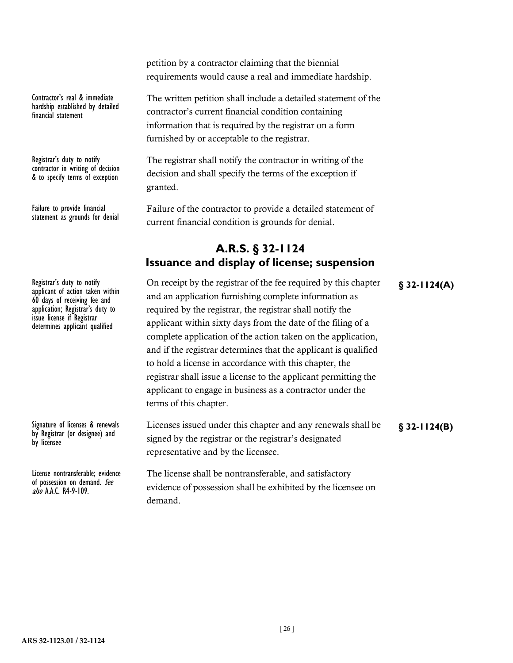petition by a contractor claiming that the biennial requirements would cause a real and immediate hardship.

The written petition shall include a detailed statement of the contractor's current financial condition containing information that is required by the registrar on a form furnished by or acceptable to the registrar.

The registrar shall notify the contractor in writing of the decision and shall specify the terms of the exception if granted.

Failure of the contractor to provide a detailed statement of current financial condition is grounds for denial.

### **A.R.S. § 32-1124 Issuance and display of license; suspension**

Registrar's duty to notify **On receipt by the registrar of the fee required by this chapter <b>§** 32-1124(A) and an application furnishing complete information as required by the registrar, the registrar shall notify the applicant within sixty days from the date of the filing of a complete application of the action taken on the application, and if the registrar determines that the applicant is qualified to hold a license in accordance with this chapter, the registrar shall issue a license to the applicant permitting the applicant to engage in business as a contractor under the terms of this chapter.

> Licenses issued under this chapter and any renewals shall be signed by the registrar or the registrar's designated representative and by the licensee.

The license shall be nontransferable, and satisfactory evidence of possession shall be exhibited by the licensee on demand.

**§ 32-1124(B)**

Contractor's real & immediate hardship established by detailed financial statement

Registrar's duty to notify contractor in writing of decision & to specify terms of exception

Failure to provide financial statement as grounds for denial

Registrar's duty to notify<br>applicant of action taken within 60 days of receiving fee and application; Registrar's duty to issue license if Registrar determines applicant qualified

Signature of licenses & renewals by Registrar (or designee) and by licensee

License nontransferable; evidence of possession on demand. See also A.A.C. R4-9-109.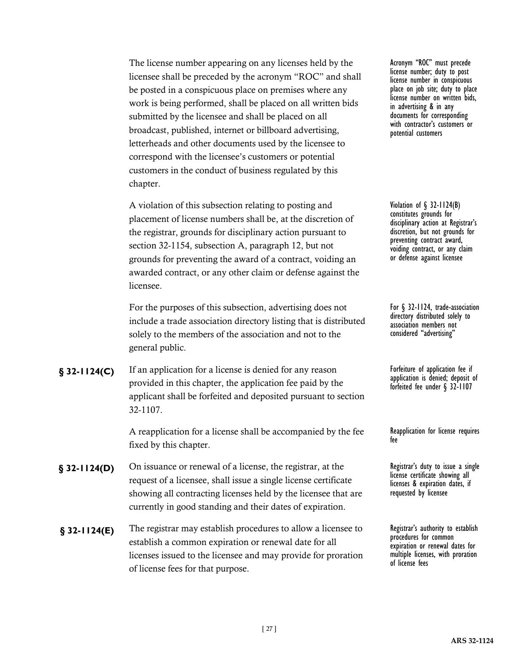The license number appearing on any licenses held by the licensee shall be preceded by the acronym "ROC" and shall be posted in a conspicuous place on premises where any work is being performed, shall be placed on all written bids submitted by the licensee and shall be placed on all broadcast, published, internet or billboard advertising, letterheads and other documents used by the licensee to correspond with the licensee's customers or potential customers in the conduct of business regulated by this chapter.

A violation of this subsection relating to posting and placement of license numbers shall be, at the discretion of the registrar, grounds for disciplinary action pursuant to section 32-1154, subsection A, paragraph 12, but not grounds for preventing the award of a contract, voiding an awarded contract, or any other claim or defense against the licensee.

For the purposes of this subsection, advertising does not include a trade association directory listing that is distributed solely to the members of the association and not to the general public.

**§** 32-1124(C) If an application for a license is denied for any reason **For Forteiture** of application fee if provided in this chapter, the application fee paid by the applicant shall be forfeited and deposited pursuant to section 32-1107.

> A reapplication for a license shall be accompanied by the fee fixed by this chapter.

- **§ 32-1124(D)** On issuance or renewal of a license, the registrar, at the Registrar's duty to issue a single request of a licensee, shall issue a single license certificate showing all contracting licenses held by the licensee that are currently in good standing and their dates of expiration.
- **§ 32-1124(E)** The registrar may establish procedures to allow a licensee to Registrar's authority to establish establish a common expiration or renewal date for all licenses issued to the licensee and may provide for proration of license fees for that purpose.

Acronym "ROC" must precede license number; duty to post license number in conspicuous place on job site; duty to place license number on written bids, in advertising & in any documents for corresponding with contractor's customers or potential customers

Violation of § 32-1124(B) constitutes grounds for disciplinary action at Registrar's discretion, but not grounds for preventing contract award, voiding contract, or any claim or defense against licensee

For § 32-1124, trade-association directory distributed solely to association members not considered "advertising"

application is denied; deposit of forfeited fee under § 32-1107

Reapplication for license requires fee

license certificate showing all licenses & expiration dates, if requested by licensee

procedures for common expiration or renewal dates for multiple licenses, with proration of license fees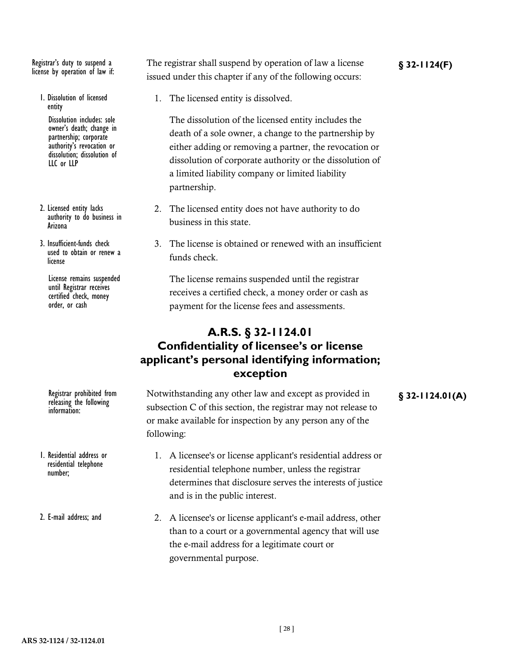license by operation of law if:

- 1. Dissolution of licensed entity Dissolution includes: sole owner's death; change in partnership; corporate authority's revocation or dissolution; dissolution of LLC or LLP
- 2. Licensed entity lacks authority to do business in Arizona
- 3. Insufficient-funds check used to obtain or renew a license

License remains suspended until Registrar receives certified check, money order, or cash

releasing the following information:

1. Residential address or residential telephone number;

2. E-mail address; and

Registrar's duty to suspend a The registrar shall suspend by operation of law a license **§** 32-1124(F) issued under this chapter if any of the following occurs:

1. The licensed entity is dissolved.

The dissolution of the licensed entity includes the death of a sole owner, a change to the partnership by either adding or removing a partner, the revocation or dissolution of corporate authority or the dissolution of a limited liability company or limited liability partnership.

- 2. The licensed entity does not have authority to do business in this state.
- 3. The license is obtained or renewed with an insufficient funds check.

The license remains suspended until the registrar receives a certified check, a money order or cash as payment for the license fees and assessments.

### **A.R.S. § 32-1124.01 Confidentiality of licensee's or license applicant's personal identifying information; exception**

- Registrar prohibited from Motwithstanding any other law and except as provided in **§** 32-1124.01(A) subsection C of this section, the registrar may not release to or make available for inspection by any person any of the following:
	- 1. A licensee's or license applicant's residential address or residential telephone number, unless the registrar determines that disclosure serves the interests of justice and is in the public interest.
	- 2. A licensee's or license applicant's e-mail address, other than to a court or a governmental agency that will use the e-mail address for a legitimate court or governmental purpose.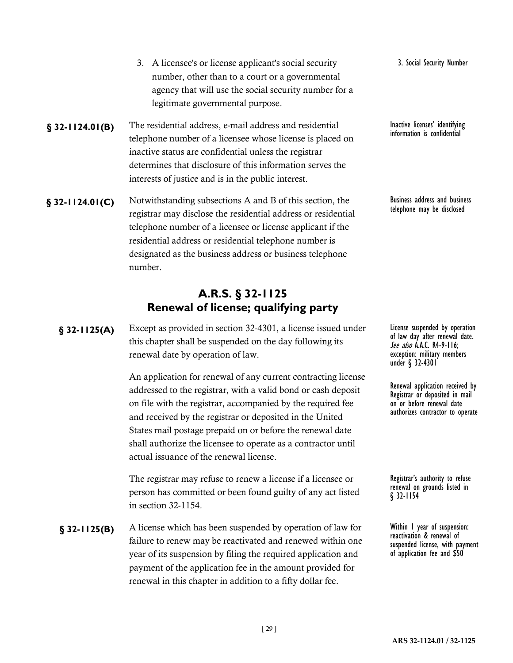- number, other than to a court or a governmental agency that will use the social security number for a legitimate governmental purpose. **§ 32-1124.01(B)** The residential address, e-mail address and residential lnactive licenses' identifying telephone number of a licensee whose license is placed on inactive status are confidential unless the registrar determines that disclosure of this information serves the interests of justice and is in the public interest. **§** 32-1124.01(C) Notwithstanding subsections A and B of this section, the Business address and business registrar may disclose the residential address or residential telephone number of a licensee or license applicant if the
	- residential address or residential telephone number is designated as the business address or business telephone number.

3. A licensee's or license applicant's social security

# **A.R.S. § 32-1125 Renewal of license; qualifying party**

Except as provided in section 32-4301, a license issued under **§ 32-1125(A)** License suspended by operation this chapter shall be suspended on the day following its renewal date by operation of law.

> An application for renewal of any current contracting license addressed to the registrar, with a valid bond or cash deposit on file with the registrar, accompanied by the required fee and received by the registrar or deposited in the United States mail postage prepaid on or before the renewal date shall authorize the licensee to operate as a contractor until actual issuance of the renewal license.

The registrar may refuse to renew a license if a licensee or person has committed or been found guilty of any act listed in section 32-1154.

**§** 32-1125(B) A license which has been suspended by operation of law for Within 1 year of suspension: failure to renew may be reactivated and renewed within one year of its suspension by filing the required application and payment of the application fee in the amount provided for renewal in this chapter in addition to a fifty dollar fee.

3. Social Security Number

information is confidential

telephone may be disclosed

of law day after renewal date. See also A.A.C. R4-9-116; exception: military members under § 32-4301

Renewal application received by Registrar or deposited in mail on or before renewal date authorizes contractor to operate

Registrar's authority to refuse renewal on grounds listed in § 32-1154

reactivation & renewal of suspended license, with payment of application fee and \$50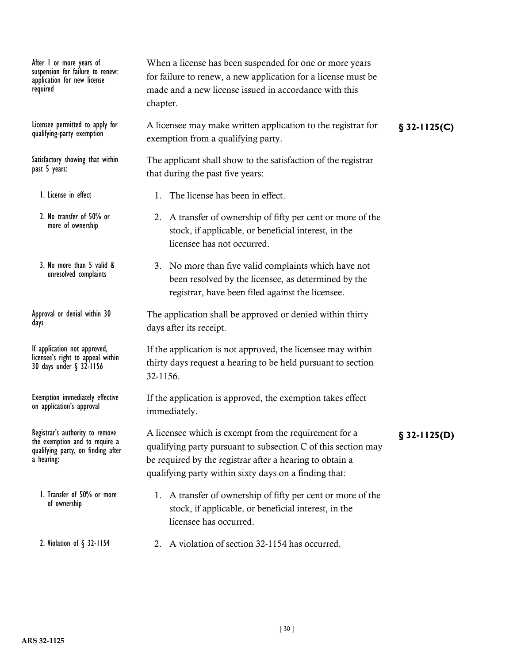After 1 or more years of suspension for failure to renew: application for new license required

qualifying-party exemption

Satisfactory showing that within past 5 years:

- 1. License in effect
- 2. No transfer of 50% or more of ownership
- 3. No more than 5 valid & unresolved complaints

Approval or denial within 30 days

If application not approved, licensee's right to appeal within 30 days under § 32-1156

Exemption immediately effective on application's approval

the exemption and to require a qualifying party, on finding after a hearing:

1. Transfer of 50% or more of ownership

2. Violation of § 32-1154

When a license has been suspended for one or more years for failure to renew, a new application for a license must be made and a new license issued in accordance with this chapter.

Licensee permitted to apply for Alicensee may make written application to the registrar for **§** 32-1125(C) exemption from a qualifying party.

The applicant shall show to the satisfaction of the registrar that during the past five years:

- 1. The license has been in effect.
- 2. A transfer of ownership of fifty per cent or more of the stock, if applicable, or beneficial interest, in the licensee has not occurred.
- 3. No more than five valid complaints which have not been resolved by the licensee, as determined by the registrar, have been filed against the licensee.

The application shall be approved or denied within thirty days after its receipt.

If the application is not approved, the licensee may within thirty days request a hearing to be held pursuant to section 32-1156.

If the application is approved, the exemption takes effect immediately.

Registrar's authority to remove A licensee which is exempt from the requirement for a **§** 32-1125(D) qualifying party pursuant to subsection C of this section may be required by the registrar after a hearing to obtain a qualifying party within sixty days on a finding that:

- 1. A transfer of ownership of fifty per cent or more of the stock, if applicable, or beneficial interest, in the licensee has occurred.
- 2. A violation of section 32-1154 has occurred.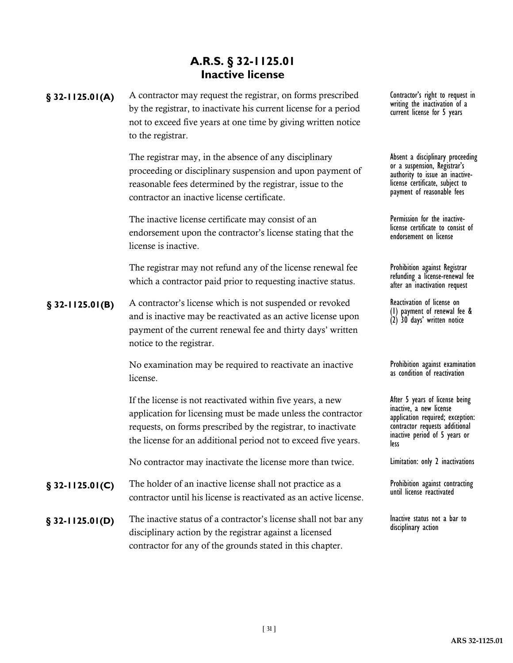# **A.R.S. § 32-1125.01 Inactive license**

by the registrar, to inactivate his current license for a period not to exceed five years at one time by giving written notice

|                   | to the registrar.                                                                                                                                                                                                                                             |                                                                                                                                                                          |
|-------------------|---------------------------------------------------------------------------------------------------------------------------------------------------------------------------------------------------------------------------------------------------------------|--------------------------------------------------------------------------------------------------------------------------------------------------------------------------|
|                   | The registrar may, in the absence of any disciplinary<br>proceeding or disciplinary suspension and upon payment of<br>reasonable fees determined by the registrar, issue to the<br>contractor an inactive license certificate.                                | Absent a disciplinary proceedin<br>or a suspension, Registrar's<br>authority to issue an inactive-<br>license certificate, subject to<br>payment of reasonable fees      |
|                   | The inactive license certificate may consist of an<br>endorsement upon the contractor's license stating that the<br>license is inactive.                                                                                                                      | Permission for the inactive-<br>license certificate to consist of<br>endorsement on license                                                                              |
|                   | The registrar may not refund any of the license renewal fee<br>which a contractor paid prior to requesting inactive status.                                                                                                                                   | Prohibition against Registrar<br>refunding a license-renewal fee<br>after an inactivation request                                                                        |
| $$32-1125.01(B)$  | A contractor's license which is not suspended or revoked<br>and is inactive may be reactivated as an active license upon<br>payment of the current renewal fee and thirty days' written<br>notice to the registrar.                                           | Reactivation of license on<br>(1) payment of renewal fee &<br>(2) 30 days' written notice                                                                                |
|                   | No examination may be required to reactivate an inactive<br>license.                                                                                                                                                                                          | Prohibition against examination<br>as condition of reactivation                                                                                                          |
|                   | If the license is not reactivated within five years, a new<br>application for licensing must be made unless the contractor<br>requests, on forms prescribed by the registrar, to inactivate<br>the license for an additional period not to exceed five years. | After 5 years of license being<br>inactive, a new license<br>application required; exception:<br>contractor requests additional<br>inactive period of 5 years or<br>less |
|                   | No contractor may inactivate the license more than twice.                                                                                                                                                                                                     | Limitation: only 2 inactivations                                                                                                                                         |
| $§$ 32-1125.01(C) | The holder of an inactive license shall not practice as a<br>contractor until his license is reactivated as an active license.                                                                                                                                | Prohibition against contracting<br>until license reactivated                                                                                                             |
| $§$ 32-1125.01(D) | The inactive status of a contractor's license shall not bar any<br>disciplinary action by the registrar against a licensed<br>contractor for any of the grounds stated in this chapter.                                                                       | Inactive status not a bar to<br>disciplinary action                                                                                                                      |
|                   |                                                                                                                                                                                                                                                               |                                                                                                                                                                          |

§ 32-1125.01(A) A contractor may request the registrar, on forms prescribed Contractor's right to request in Contractor's right to request in<br>writing the inactivation of a current license for 5 years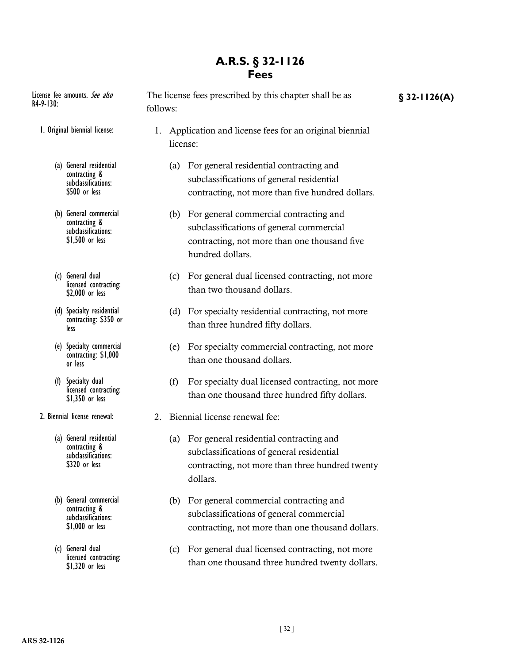### **A.R.S. § 32-1126 Fees**

| I. Original biennial license:                                                         | Application and license fees for an original biennial<br>license:                                                                               |  |
|---------------------------------------------------------------------------------------|-------------------------------------------------------------------------------------------------------------------------------------------------|--|
| General residential<br>(a)<br>contracting &<br>subclassifications:<br>\$500 or less   | For general residential contracting and<br>(a)<br>subclassifications of general residential<br>contracting, not more than five hundred dollars. |  |
| General commercial<br>(b)<br>contracting &<br>subclassifications:<br>$$1,500$ or less | For general commercial contracting and<br>(b)<br>subclassifications of general commercial<br>contracting, not more than one thousand five       |  |

License fee amounts. See also The license fees prescribed by this chapter shall be as **§** 32-1126(A)

follows:

(c) General dual licensed contracting: \$2,000 or less

R4-9-130:

- (d) Specialty residential contracting: \$350 or less
- (e) Specialty commercial contracting: \$1,000 or less
- (f) Specialty dual licensed contracting: \$1,350 or less
- 2. Biennial license renewal:
	- (a) General residential contracting & subclassifications: \$320 or less
	- (b) General commercial contracting & subclassifications: \$1,000 or less
	- (c) General dual licensed contracting: \$1,320 or less
- hundred dollars.
- (c) For general dual licensed contracting, not more than two thousand dollars.
- (d) For specialty residential contracting, not more than three hundred fifty dollars.
- (e) For specialty commercial contracting, not more than one thousand dollars.
- (f) For specialty dual licensed contracting, not more than one thousand three hundred fifty dollars.
- 2. Biennial license renewal fee:
	- (a) For general residential contracting and subclassifications of general residential contracting, not more than three hundred twenty dollars.
	- (b) For general commercial contracting and subclassifications of general commercial contracting, not more than one thousand dollars.
	- (c) For general dual licensed contracting, not more than one thousand three hundred twenty dollars.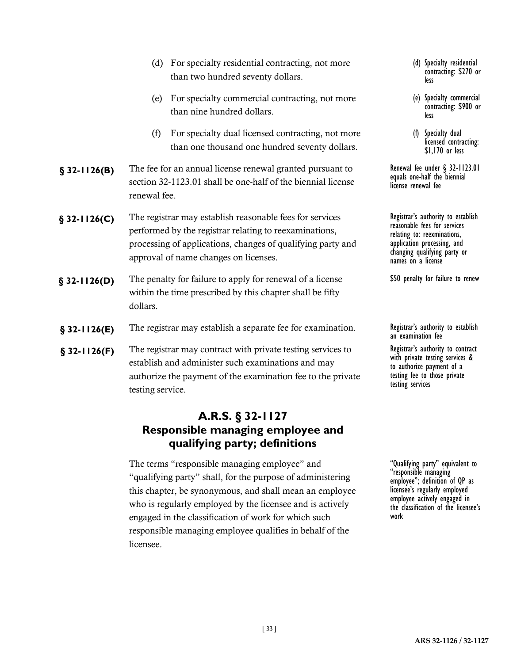|               | (d) For specialty residential contracting, not more<br>than two hundred seventy dollars.                                                                                                                                   | (d) Specialty residential<br>contracting: \$270 or<br>less                                                                                                                             |
|---------------|----------------------------------------------------------------------------------------------------------------------------------------------------------------------------------------------------------------------------|----------------------------------------------------------------------------------------------------------------------------------------------------------------------------------------|
|               | For specialty commercial contracting, not more<br>(e)<br>than nine hundred dollars.                                                                                                                                        | (e) Specialty commercial<br>contracting: \$900 or<br>less                                                                                                                              |
|               | For specialty dual licensed contracting, not more<br>(f)<br>than one thousand one hundred seventy dollars.                                                                                                                 | Specialty dual<br>(f)<br>licensed contracting:<br>\$1,170 or less                                                                                                                      |
| $$32-1126(B)$ | The fee for an annual license renewal granted pursuant to<br>section 32-1123.01 shall be one-half of the biennial license<br>renewal fee.                                                                                  | Renewal fee under $\S$ 32-1123.01<br>equals one-half the biennial<br>license renewal fee                                                                                               |
| $$32-1126(C)$ | The registrar may establish reasonable fees for services<br>performed by the registrar relating to reexaminations,<br>processing of applications, changes of qualifying party and<br>approval of name changes on licenses. | Registrar's authority to establish<br>reasonable fees for services<br>relating to: reexminations,<br>application processing, and<br>changing qualifying party or<br>names on a license |
| $$32-1126(D)$ | The penalty for failure to apply for renewal of a license<br>within the time prescribed by this chapter shall be fifty<br>dollars.                                                                                         | \$50 penalty for failure to renew                                                                                                                                                      |
| $$32-1126(E)$ | The registrar may establish a separate fee for examination.                                                                                                                                                                | Registrar's authority to establish<br>an examination fee                                                                                                                               |
| $$32-1126(F)$ | The registrar may contract with private testing services to<br>establish and administer such examinations and may<br>authorize the payment of the examination fee to the private<br>testing service.                       | Registrar's authority to contract<br>with private testing services &<br>to authorize payment of a<br>testing fee to those private<br>testing services                                  |

# **A.R.S. § 32-1127 Responsible managing employee and qualifying party; definitions**

The terms "responsible managing employee" and "qualifying party" shall, for the purpose of administering this chapter, be synonymous, and shall mean an employee who is regularly employed by the licensee and is actively engaged in the classification of work for which such responsible managing employee qualifies in behalf of the licensee.

"Qualifying party" equivalent to "responsible managing employee"; definition of QP as licensee's regularly employed employee actively engaged in the classification of the licensee's work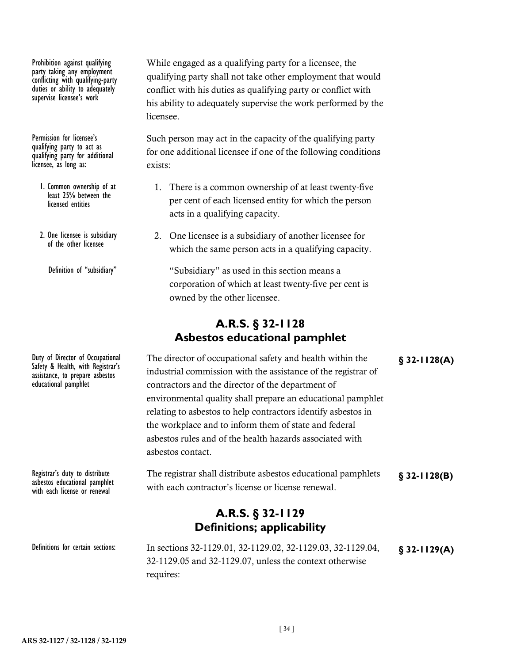Prohibition against qualifying party taking any employment conflicting with qualifying-party duties or ability to adequately supervise licensee's work

Permission for licensee's qualifying party to act as qualifying party for additional licensee, as long as:

- 1. Common ownership of at least 25% between the licensed entities
- 2. One licensee is subsidiary of the other licensee

Definition of "subsidiary"

Safety & Health, with Registrar's assistance, to prepare asbestos educational pamphlet

asbestos educational pamphlet with each license or renewal

While engaged as a qualifying party for a licensee, the qualifying party shall not take other employment that would conflict with his duties as qualifying party or conflict with his ability to adequately supervise the work performed by the licensee.

Such person may act in the capacity of the qualifying party for one additional licensee if one of the following conditions exists:

- 1. There is a common ownership of at least twenty-five per cent of each licensed entity for which the person acts in a qualifying capacity.
- 2. One licensee is a subsidiary of another licensee for which the same person acts in a qualifying capacity.

"Subsidiary" as used in this section means a corporation of which at least twenty-five per cent is owned by the other licensee.

# **A.R.S. § 32-1128 Asbestos educational pamphlet**

Duty of Director of Occupational The director of occupational safety and health within the **§** 32-1128(A) industrial commission with the assistance of the registrar of contractors and the director of the department of environmental quality shall prepare an educational pamphlet relating to asbestos to help contractors identify asbestos in the workplace and to inform them of state and federal asbestos rules and of the health hazards associated with asbestos contact.

Registrar's duty to distribute The registrar shall distribute asbestos educational pamphlets **§** 32-1128(B) with each contractor's license or license renewal.

# **A.R.S. § 32-1129 Definitions; applicability**

In sections 32-1129.01, 32-1129.02, 32-1129.03, 32-1129.04, **§ 32-1129(A)** Definitions for certain sections: 32-1129.05 and 32-1129.07, unless the context otherwise requires: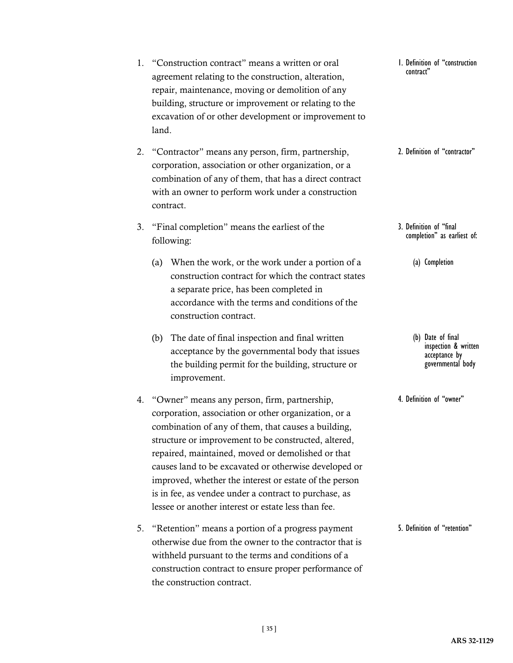|    |     | following:                                                                                                                                                                                                                                                                                                                                                                                                                                                                                                  | completion                           |
|----|-----|-------------------------------------------------------------------------------------------------------------------------------------------------------------------------------------------------------------------------------------------------------------------------------------------------------------------------------------------------------------------------------------------------------------------------------------------------------------------------------------------------------------|--------------------------------------|
|    |     | (a) When the work, or the work under a portion of a<br>construction contract for which the contract states<br>a separate price, has been completed in<br>accordance with the terms and conditions of the<br>construction contract.                                                                                                                                                                                                                                                                          | (a) Comp                             |
|    | (b) | The date of final inspection and final written<br>acceptance by the governmental body that issues<br>the building permit for the building, structure or<br>improvement.                                                                                                                                                                                                                                                                                                                                     | (b) Date<br>inspec<br>ассер<br>gover |
| 4. |     | "Owner" means any person, firm, partnership,<br>corporation, association or other organization, or a<br>combination of any of them, that causes a building,<br>structure or improvement to be constructed, altered,<br>repaired, maintained, moved or demolished or that<br>causes land to be excavated or otherwise developed or<br>improved, whether the interest or estate of the person<br>is in fee, as vendee under a contract to purchase, as<br>lessee or another interest or estate less than fee. | 4. Definition of                     |
| 5. |     | "Retention" means a portion of a progress payment<br>otherwise due from the owner to the contractor that is<br>withheld pursuant to the terms and conditions of a                                                                                                                                                                                                                                                                                                                                           | 5. Definition of                     |

3. "Final completion" means the earliest of the follo

contract.

- land.
- 1. "Construction contract" means a written or oral agreement relating to the construction, alteration, repair, maintenance, moving or demolition of any building, structure or improvement or relating to the excavation of or other development or improvement to
	-
- 2. "Contractor" means any person, firm, partnership, corporation, association or other organization, or a combination of any of them, that has a direct contract with an owner to perform work under a construction

**ARS 32-1129**

"retention"

construction contract to ensure proper performance of

the construction contract.

1. Definition of "construction contract"

### 2. Definition of "contractor"

- 3. Definition of "final completion" as earliest of:
	- letion
	- of final ction & written tance by mmental<sup>'</sup> body

"owner"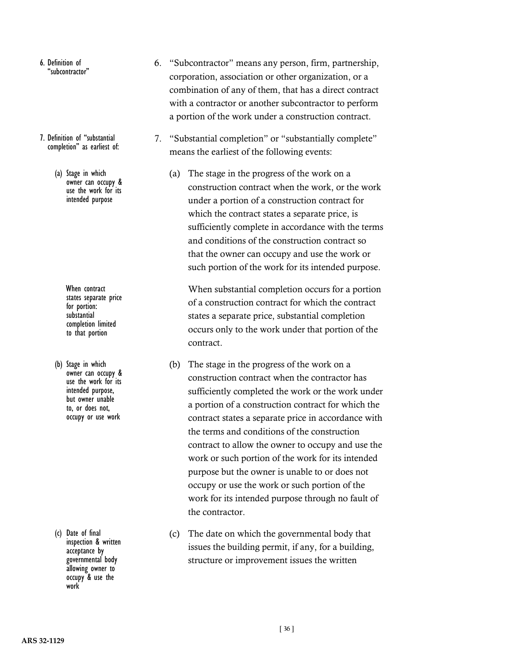- 6. Definition of "subcontractor"
- 7. Definition of "substantial completion" as earliest of:
	- (a) Stage in which owner can occupy & use the work for its intended purpose

When contract states separate price for portion: substantial completion limited to that portion

(b) Stage in which owner can occupy & use the work for its intended purpose, but owner unable<br>to, or does not, occupy or use work

(c) Date of final inspection & written acceptance by governmental body allowing owner to occupy & use the work

- 6. "Subcontractor" means any person, firm, partnership, corporation, association or other organization, or a combination of any of them, that has a direct contract with a contractor or another subcontractor to perform a portion of the work under a construction contract.
- 7. "Substantial completion" or "substantially complete" means the earliest of the following events:
	- (a) The stage in the progress of the work on a construction contract when the work, or the work under a portion of a construction contract for which the contract states a separate price, is sufficiently complete in accordance with the terms and conditions of the construction contract so that the owner can occupy and use the work or such portion of the work for its intended purpose.

When substantial completion occurs for a portion of a construction contract for which the contract states a separate price, substantial completion occurs only to the work under that portion of the contract.

- (b) The stage in the progress of the work on a construction contract when the contractor has sufficiently completed the work or the work under a portion of a construction contract for which the contract states a separate price in accordance with the terms and conditions of the construction contract to allow the owner to occupy and use the work or such portion of the work for its intended purpose but the owner is unable to or does not occupy or use the work or such portion of the work for its intended purpose through no fault of the contractor.
- (c) The date on which the governmental body that issues the building permit, if any, for a building, structure or improvement issues the written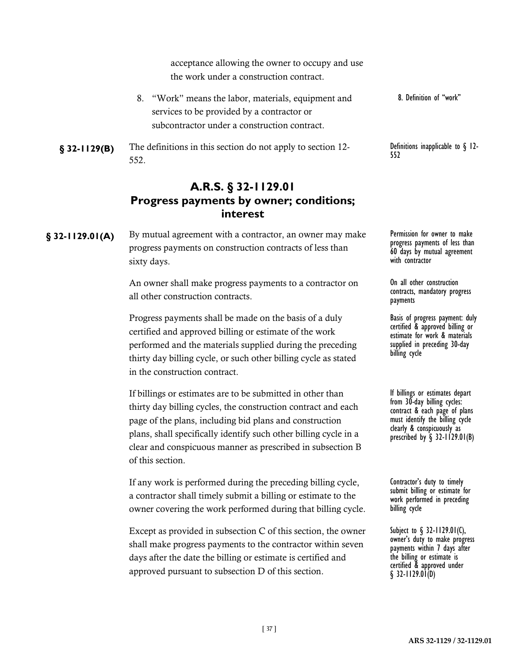acceptance allowing the owner to occupy and use the work under a construction contract.

- 8. "Work" means the labor, materials, equipment and services to be provided by a contractor or subcontractor under a construction contract. 8. Definition of "work"
- **§ 32-1129(B)** The definitions in this section do not apply to section 12-<br>552<br>552 552.

### **A.R.S. § 32-1129.01 Progress payments by owner; conditions; interest**

§ 32-1129.01(A) By mutual agreement with a contractor, an owner may make Permission for owner to make progress payments on construction contracts of less than sixty days.

> An owner shall make progress payments to a contractor on all other construction contracts.

> Progress payments shall be made on the basis of a duly certified and approved billing or estimate of the work performed and the materials supplied during the preceding thirty day billing cycle, or such other billing cycle as stated in the construction contract.

If billings or estimates are to be submitted in other than thirty day billing cycles, the construction contract and each page of the plans, including bid plans and construction plans, shall specifically identify such other billing cycle in a clear and conspicuous manner as prescribed in subsection B of this section.

If any work is performed during the preceding billing cycle, a contractor shall timely submit a billing or estimate to the owner covering the work performed during that billing cycle.

Except as provided in subsection C of this section, the owner shall make progress payments to the contractor within seven days after the date the billing or estimate is certified and approved pursuant to subsection D of this section.

progress payments of less than 60 days by mutual agreement with contractor

On all other construction contracts, mandatory progress payments

Basis of progress payment: duly certified & approved billing or estimate for work & materials supplied in preceding 30-day billing cycle

If billings or estimates depart from 30-day billing cycles: contract & each page of plans must identify the billing cycle clearly & conspicuously as prescribed by  $\S$  32-1129.01(B)

Contractor's duty to timely submit billing or estimate for work performed in preceding billing cycle

Subject to § 32-1129.01(C), owner's duty to make progress payments within 7 days after the billing or estimate is certified & approved under § 32-1129.01(D)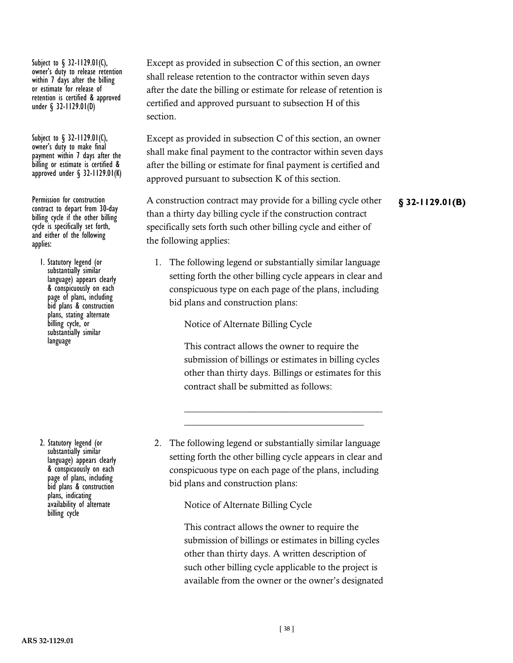Subject to § 32-1129.01(C), owner's duty to release retention within 7 days after the billing or estimate for release of retention is certified & approved under § 32-1129.01(D)

Subject to § 32-1129.01(C), owner's duty to make final payment within 7 days after the billing or estimate is certified & approved under  $\S$  32-1129.01(K)

contract to depart from 30-day billing cycle if the other billing<br>cycle is specifically set forth, and either of the following applies:

1. Statutory legend (or substantially similar language) appears clearly & conspicuously on each page of plans, including bid plans & construction plans, stating alternate billing cycle, or substantially similar language

2. Statutory legend (or substantially similar language) appears clearly & conspicuously on each page of plans, including bid plans & construction plans, indicating availability of alternate billing cycle

Except as provided in subsection C of this section, an owner shall release retention to the contractor within seven days after the date the billing or estimate for release of retention is certified and approved pursuant to subsection H of this section.

Except as provided in subsection C of this section, an owner shall make final payment to the contractor within seven days after the billing or estimate for final payment is certified and approved pursuant to subsection K of this section.

Permission for construction **A** construction contract may provide for a billing cycle other **§** 32-1129.01(B) than a thirty day billing cycle if the construction contract specifically sets forth such other billing cycle and either of the following applies:

> 1. The following legend or substantially similar language setting forth the other billing cycle appears in clear and conspicuous type on each page of the plans, including bid plans and construction plans:

> > Notice of Alternate Billing Cycle

This contract allows the owner to require the submission of billings or estimates in billing cycles other than thirty days. Billings or estimates for this contract shall be submitted as follows:

\_\_\_\_\_\_\_\_\_\_\_\_\_\_\_\_\_\_\_\_\_\_\_\_\_\_\_\_\_\_\_\_\_\_\_\_\_\_\_\_\_\_\_ \_\_\_\_\_\_\_\_\_\_\_\_\_\_\_\_\_\_\_\_\_\_\_\_\_\_\_\_\_\_\_\_\_\_\_\_\_\_\_

2. The following legend or substantially similar language setting forth the other billing cycle appears in clear and conspicuous type on each page of the plans, including bid plans and construction plans:

Notice of Alternate Billing Cycle

This contract allows the owner to require the submission of billings or estimates in billing cycles other than thirty days. A written description of such other billing cycle applicable to the project is available from the owner or the owner's designated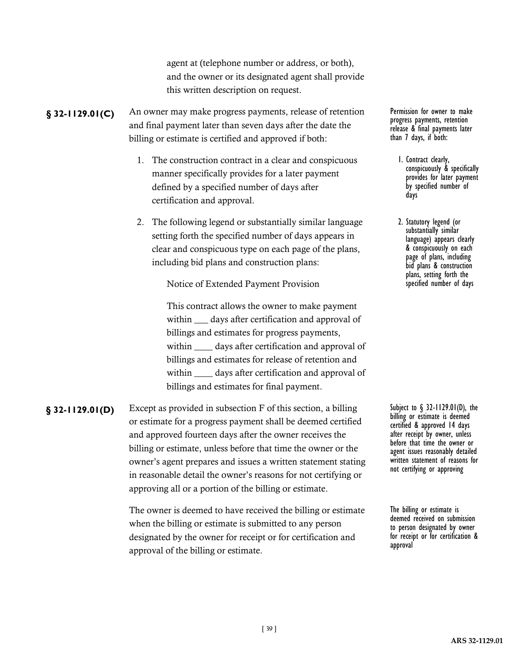agent at (telephone number or address, or both), and the owner or its designated agent shall provide this written description on request.

### § 32-1129.01(C) An owner may make progress payments, release of retention Permission for owner to make and final payment later than seven days after the date the billing or estimate is certified and approved if both:

- 1. The construction contract in a clear and conspicuous manner specifically provides for a later payment defined by a specified number of days after certification and approval.
- 2. The following legend or substantially similar language setting forth the specified number of days appears in clear and conspicuous type on each page of the plans, including bid plans and construction plans:

Notice of Extended Payment Provision

This contract allows the owner to make payment within <u>equal</u> days after certification and approval of billings and estimates for progress payments, within days after certification and approval of billings and estimates for release of retention and within \_\_\_\_\_\_ days after certification and approval of billings and estimates for final payment.

**§ 32-1129.01(D)** Except as provided in subsection F of this section, a billing Subject to § 32-1129.01(D), the or estimate for a progress payment shall be deemed certified and approved fourteen days after the owner receives the billing or estimate, unless before that time the owner or the owner's agent prepares and issues a written statement stating in reasonable detail the owner's reasons for not certifying or approving all or a portion of the billing or estimate.

> The owner is deemed to have received the billing or estimate when the billing or estimate is submitted to any person designated by the owner for receipt or for certification and approval of the billing or estimate.

progress payments, retention release & final payments later than 7 days, if both:

- 1. Contract clearly, conspicuously & specifically provides for later payment by specified number of days
- 2. Statutory legend (or substantially similar language) appears clearly & conspicuously on each page of plans, including bid plans & construction plans, setting forth the specified number of days

billing or estimate is deemed certified & approved 14 days after receipt by owner, unless before that time the owner or agent issues reasonably detailed written statement of reasons for not certifying or approving

The billing or estimate is deemed received on submission to person designated by owner for receipt or for certification & approval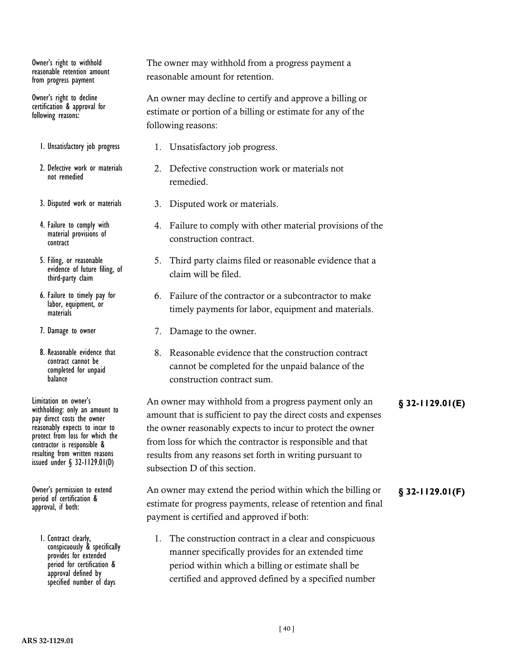Owner's right to withhold reasonable retention amount from progress payment

Owner's right to decline certification & approval for following reasons:

- 1. Unsatisfactory job progress
- 2. Defective work or materials not remedied
- 3. Disputed work or materials
- 4. Failure to comply with material provisions of contract
- 5. Filing, or reasonable evidence of future filing, of third-party claim
- 6. Failure to timely pay for labor, equipment, or materials
- 7. Damage to owner
- 8. Reasonable evidence that contract cannot be completed for unpaid balance

withholding: only an amount to pay direct costs the owner reasonably expects to incur to protect from loss for which the contractor is responsible & resulting from written reasons issued under § 32-1129.01(D)

period of certification & approval, if both:

> 1. Contract clearly, conspicuously & specifically provides for extended period for certification & approval defined by specified number of days

The owner may withhold from a progress payment a reasonable amount for retention.

An owner may decline to certify and approve a billing or estimate or portion of a billing or estimate for any of the following reasons:

- 1. Unsatisfactory job progress.
- 2. Defective construction work or materials not remedied.
- 3. Disputed work or materials.
- 4. Failure to comply with other material provisions of the construction contract.
- 5. Third party claims filed or reasonable evidence that a claim will be filed.
- 6. Failure of the contractor or a subcontractor to make timely payments for labor, equipment and materials.
- 7. Damage to the owner.
- 8. Reasonable evidence that the construction contract cannot be completed for the unpaid balance of the construction contract sum.

An owner may withhold from a progress payment only an **§ 32-1129.01(E)** Limitation on owner's amount that is sufficient to pay the direct costs and expenses the owner reasonably expects to incur to protect the owner from loss for which the contractor is responsible and that results from any reasons set forth in writing pursuant to subsection D of this section.

Owner's permission to extend **An owner may extend the period within which the billing or** § 32-1129.01(F) estimate for progress payments, release of retention and final payment is certified and approved if both:

> 1. The construction contract in a clear and conspicuous manner specifically provides for an extended time period within which a billing or estimate shall be certified and approved defined by a specified number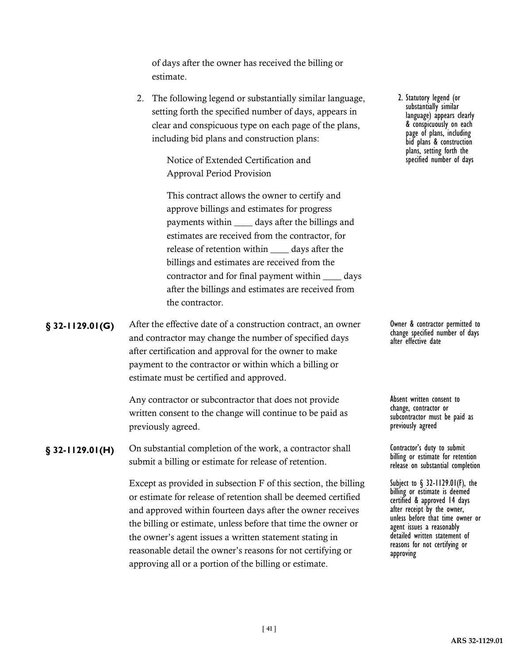of days after the owner has received the billing or estimate.

2. The following legend or substantially similar language, setting forth the specified number of days, appears in clear and conspicuous type on each page of the plans, including bid plans and construction plans:

> Notice of Extended Certification and Approval Period Provision

This contract allows the owner to certify and approve billings and estimates for progress payments within \_\_\_\_ days after the billings and estimates are received from the contractor, for release of retention within \_\_\_\_ days after the billings and estimates are received from the contractor and for final payment within \_\_\_\_ days after the billings and estimates are received from the contractor.

**§** 32-1129.01(G) After the effective date of a construction contract, an owner 0wner & contractor permitted to and contractor may change the number of specified days after certification and approval for the owner to make payment to the contractor or within which a billing or estimate must be certified and approved.

> Any contractor or subcontractor that does not provide written consent to the change will continue to be paid as previously agreed.

**§ 32-1129.01(H)** On substantial completion of the work, a contractor shall **Contractor's duty to submit** submit a billing or estimate for release of retention.

> Except as provided in subsection F of this section, the billing or estimate for release of retention shall be deemed certified and approved within fourteen days after the owner receives the billing or estimate, unless before that time the owner or the owner's agent issues a written statement stating in reasonable detail the owner's reasons for not certifying or approving all or a portion of the billing or estimate.

2. Statutory legend (or substantially similar language) appears clearly & conspicuously on each page of plans, including bid plans & construction plans, setting forth the specified number of days

change specified number of days after effective date

Absent written consent to change, contractor or subcontractor must be paid as previously agreed

billing or estimate for retention release on substantial completion

Subject to § 32-1129.01(F), the billing or estimate is deemed certified & approved 14 days after receipt by the owner, unless before that time owner or agent issues a reasonably detailed written statement of reasons for not certifying or approving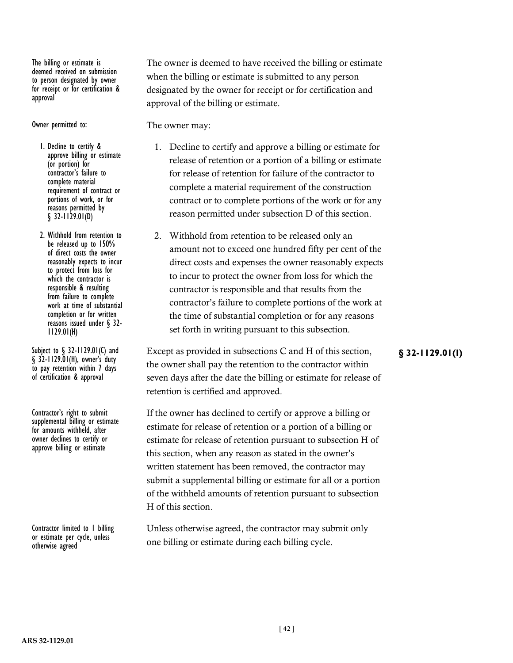The billing or estimate is deemed received on submission to person designated by owner for receipt or for certification & approval

Owner permitted to:

1. Decline to certify & approve billing or estimate (or portion) for contractor's failure to complete material requirement of contract or portions of work, or for reasons permitted by  $§$  32-1129.01(D)

2. Withhold from retention to be released up to 150% of direct costs the owner reasonably expects to incur to protect from loss for which the contractor is responsible & resulting from failure to complete work at time of substantial completion or for written reasons issued under § 32- 1129.01(H)

 $\S$  32-1129.01(H), owner's duty to pay retention within 7 days of certification & approval

Contractor's right to submit supplemental billing or estimate for amounts withheld, after owner declines to certify or approve billing or estimate

Contractor limited to 1 billing or estimate per cycle, unless otherwise agreed

The owner is deemed to have received the billing or estimate when the billing or estimate is submitted to any person designated by the owner for receipt or for certification and approval of the billing or estimate.

The owner may:

- 1. Decline to certify and approve a billing or estimate for release of retention or a portion of a billing or estimate for release of retention for failure of the contractor to complete a material requirement of the construction contract or to complete portions of the work or for any reason permitted under subsection D of this section.
- 2. Withhold from retention to be released only an amount not to exceed one hundred fifty per cent of the direct costs and expenses the owner reasonably expects to incur to protect the owner from loss for which the contractor is responsible and that results from the contractor's failure to complete portions of the work at the time of substantial completion or for any reasons set forth in writing pursuant to this subsection.

Subject to § 32-1129.01(I) and Except as provided in subsections C and H of this section, **§ 32-1129.01(I)** the owner shall pay the retention to the contractor within seven days after the date the billing or estimate for release of retention is certified and approved.

> If the owner has declined to certify or approve a billing or estimate for release of retention or a portion of a billing or estimate for release of retention pursuant to subsection H of this section, when any reason as stated in the owner's written statement has been removed, the contractor may submit a supplemental billing or estimate for all or a portion of the withheld amounts of retention pursuant to subsection H of this section.

Unless otherwise agreed, the contractor may submit only one billing or estimate during each billing cycle.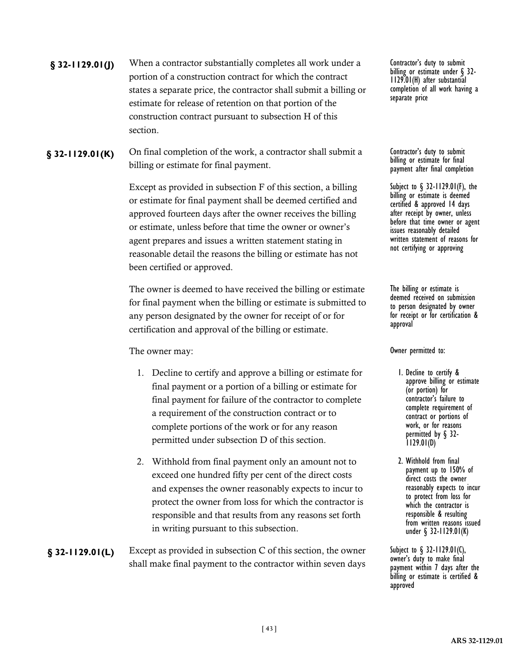# **§ 32-1129.01(J)** When a contractor substantially completes all work under a Contractor's duty to submit portion of a construction contract for which the contract states a separate price, the contractor shall submit a billing or estimate for release of retention on that portion of the construction contract pursuant to subsection H of this section.

**§ 32-1129.01(K)** On final completion of the work, a contractor shall submit a Contractor's duty to submit billing or estimate for final payment.

> Except as provided in subsection F of this section, a billing or estimate for final payment shall be deemed certified and approved fourteen days after the owner receives the billing or estimate, unless before that time the owner or owner's agent prepares and issues a written statement stating in reasonable detail the reasons the billing or estimate has not been certified or approved.

The owner is deemed to have received the billing or estimate for final payment when the billing or estimate is submitted to any person designated by the owner for receipt of or for certification and approval of the billing or estimate.

The owner may:

- 1. Decline to certify and approve a billing or estimate for final payment or a portion of a billing or estimate for final payment for failure of the contractor to complete a requirement of the construction contract or to complete portions of the work or for any reason permitted under subsection D of this section.
- 2. Withhold from final payment only an amount not to exceed one hundred fifty per cent of the direct costs and expenses the owner reasonably expects to incur to protect the owner from loss for which the contractor is responsible and that results from any reasons set forth in writing pursuant to this subsection.

**§ 32-1129.01(L)** Except as provided in subsection C of this section, the owner Subject to § 32-1129.01(C), shall make final payment to the contractor within seven days

billing or estimate under § 32- 1129.01(H) after substantial completion of all work having a separate price

billing or estimate for final payment after final completion

Subject to § 32-1129.01(F), the billing or estimate is deemed certified & approved 14 days after receipt by owner, unless before that time owner or agent issues reasonably detailed written statement of reasons for not certifying or approving

The billing or estimate is deemed received on submission to person designated by owner for receipt or for certification & approval

Owner permitted to:

- 1. Decline to certify & approve billing or estimate (or portion) for contractor's failure to complete requirement of contract or portions of work, or for reasons permitted by § 32- 1129.01(D)
- 2. Withhold from final payment up to 150% of direct costs the owner reasonably expects to incur to protect from loss for which the contractor is responsible & resulting from written reasons issued under § 32-1129.01(K)

owner's duty to make final payment within 7 days after the billing or estimate is certified & approved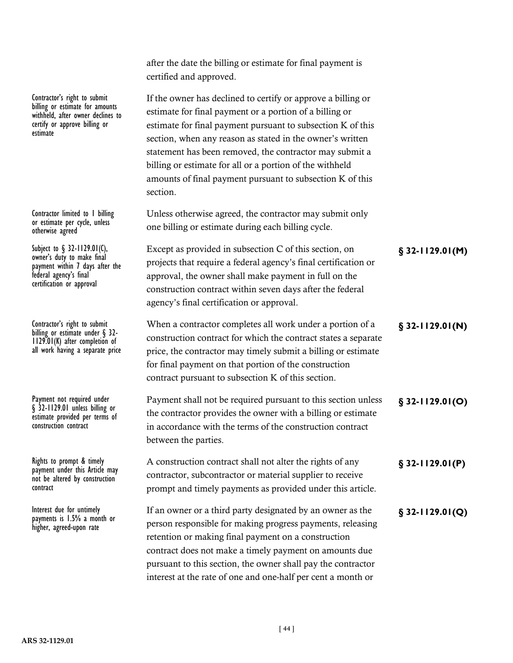|                                                                                                                                                     | certified and approved.                                                                                                                                                                                                                                                                                                                                                                                                                             |                   |
|-----------------------------------------------------------------------------------------------------------------------------------------------------|-----------------------------------------------------------------------------------------------------------------------------------------------------------------------------------------------------------------------------------------------------------------------------------------------------------------------------------------------------------------------------------------------------------------------------------------------------|-------------------|
| Contractor's right to submit<br>billing or estimate for amounts<br>withheld, after owner declines to<br>certify or approve billing or<br>estimate   | If the owner has declined to certify or approve a billing or<br>estimate for final payment or a portion of a billing or<br>estimate for final payment pursuant to subsection K of this<br>section, when any reason as stated in the owner's written<br>statement has been removed, the contractor may submit a<br>billing or estimate for all or a portion of the withheld<br>amounts of final payment pursuant to subsection K of this<br>section. |                   |
| Contractor limited to I billing<br>or estimate per cycle, unless<br>otherwise agreed                                                                | Unless otherwise agreed, the contractor may submit only<br>one billing or estimate during each billing cycle.                                                                                                                                                                                                                                                                                                                                       |                   |
| Subject to § 32-1129.01(C),<br>owner's duty to make final<br>payment within 7 days after the<br>federal agency's final<br>certification or approval | Except as provided in subsection C of this section, on<br>projects that require a federal agency's final certification or<br>approval, the owner shall make payment in full on the<br>construction contract within seven days after the federal<br>agency's final certification or approval.                                                                                                                                                        | $$32-1129.01(M)$  |
| Contractor's right to submit<br>billing or estimate under § 32-<br>1129.01(K) after completion of<br>all work having a separate price               | When a contractor completes all work under a portion of a<br>construction contract for which the contract states a separate<br>price, the contractor may timely submit a billing or estimate<br>for final payment on that portion of the construction<br>contract pursuant to subsection K of this section.                                                                                                                                         | $$32-1129.01(N)$  |
| Payment not required under<br>§ 32-1129.01 unless billing or<br>estimate provided per terms of<br>construction contract                             | Payment shall not be required pursuant to this section unless<br>the contractor provides the owner with a billing or estimate<br>in accordance with the terms of the construction contract<br>between the parties.                                                                                                                                                                                                                                  | $$32-1129.01(O)$  |
| Rights to prompt & timely<br>payment under this Article may<br>not be altered by construction<br>contract                                           | A construction contract shall not alter the rights of any<br>contractor, subcontractor or material supplier to receive<br>prompt and timely payments as provided under this article.                                                                                                                                                                                                                                                                | $§$ 32-1129.01(P) |
| Interest due for untimely<br>payments is 1.5% a month or<br>higher, agreed-upon rate                                                                | If an owner or a third party designated by an owner as the<br>person responsible for making progress payments, releasing<br>retention or making final payment on a construction<br>contract does not make a timely payment on amounts due<br>pursuant to this section, the owner shall pay the contractor<br>interest at the rate of one and one-half per cent a month or                                                                           | $§$ 32-1129.01(Q) |

after the date the billing or estimate for final payment is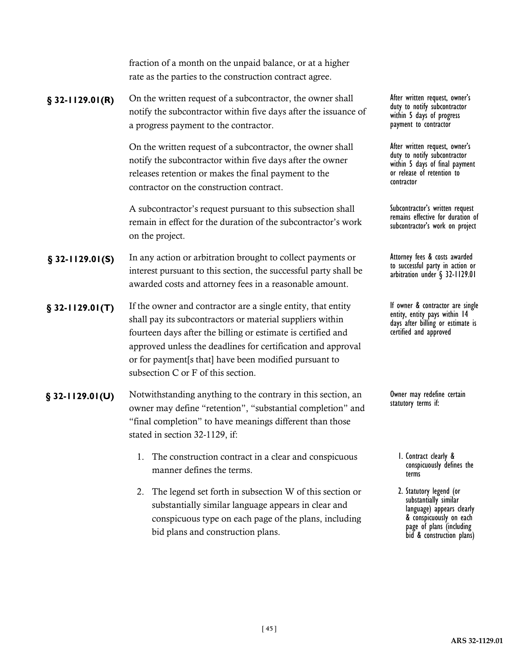|                    | fraction of a month on the unpaid balance, or at a higher<br>rate as the parties to the construction contract agree.                                                                                                                                                                                                                                     |                                                                                                                                              |
|--------------------|----------------------------------------------------------------------------------------------------------------------------------------------------------------------------------------------------------------------------------------------------------------------------------------------------------------------------------------------------------|----------------------------------------------------------------------------------------------------------------------------------------------|
| $$32-1129.01(R)$   | On the written request of a subcontractor, the owner shall<br>notify the subcontractor within five days after the issuance of<br>a progress payment to the contractor.                                                                                                                                                                                   | After written request, owner's<br>duty to notify subcontractor<br>within 5 days of progress<br>payment to contractor                         |
|                    | On the written request of a subcontractor, the owner shall<br>notify the subcontractor within five days after the owner<br>releases retention or makes the final payment to the<br>contractor on the construction contract.                                                                                                                              | After written request, owner's<br>duty to notify subcontractor<br>within 5 days of final payment<br>or release of retention to<br>contractor |
|                    | A subcontractor's request pursuant to this subsection shall<br>remain in effect for the duration of the subcontractor's work<br>on the project.                                                                                                                                                                                                          | Subcontractor's written request<br>remains effective for duration of<br>subcontractor's work on project                                      |
| $§$ 32-1129.01(S)  | In any action or arbitration brought to collect payments or<br>interest pursuant to this section, the successful party shall be<br>awarded costs and attorney fees in a reasonable amount.                                                                                                                                                               | Attorney fees & costs awarded<br>to successful party in action or<br>arbitration under § 32-1129.01                                          |
| $$32-1129.01(T)$   | If the owner and contractor are a single entity, that entity<br>shall pay its subcontractors or material suppliers within<br>fourteen days after the billing or estimate is certified and<br>approved unless the deadlines for certification and approval<br>or for payment[s that] have been modified pursuant to<br>subsection C or F of this section. | If owner & contractor are single<br>entity, entity pays within 14<br>days after billing or estimate is<br>certified and approved             |
| $\S$ 32-1129.01(U) | Notwithstanding anything to the contrary in this section, an<br>owner may define "retention", "substantial completion" and<br>"final completion" to have meanings different than those<br>stated in section 32-1129, if:                                                                                                                                 | Owner may redefine certain<br>statutory terms if:                                                                                            |
|                    | 1. The construction contract in a clear and conspicuous                                                                                                                                                                                                                                                                                                  | I. Contract clearly &                                                                                                                        |

- 1. The construction contract in a clear and conspicuous manner defines the terms.
- 2. The legend set forth in subsection W of this section or substantially similar language appears in clear and conspicuous type on each page of the plans, including bid plans and construction plans.

terms 2. Statutory legend (or substantially similar language) appears clearly & conspicuously on each page of plans (including

bid & construction plans)

conspicuously defines the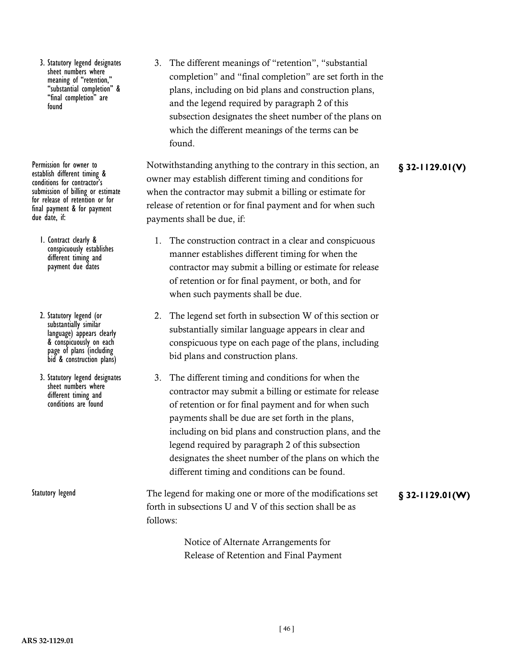3. Statutory legend designates sheet numbers where<br>meaning of "retention, "substantial completion" & "final completion" found

establish different timing & conditions for contractor's submission of billing or estimate for release of retention or for final payment & for payment due date, if:

- 1. Contract clearly & conspicuously establishes different timing and payment due dates
- 2. Statutory legend (or substantially similar language) appears clearly & conspicuously on each page of plans (including bid & construction plans)
- 3. Statutory legend designates sheet numbers where different timing and conditions are found

3. The different meanings of "retention", "substantial completion" and "final completion" are set forth in the plans, including on bid plans and construction plans, and the legend required by paragraph 2 of this subsection designates the sheet number of the plans on which the different meanings of the terms can be found.

Permission for owner to **Same Structure Structure Structure Structure Structure Structure Structure Structure Structure Structure Structure Structure Structure Structure Structure Structure Structure Structure Structure St** owner may establish different timing and conditions for when the contractor may submit a billing or estimate for release of retention or for final payment and for when such payments shall be due, if:

- 1. The construction contract in a clear and conspicuous manner establishes different timing for when the contractor may submit a billing or estimate for release of retention or for final payment, or both, and for when such payments shall be due.
- 2. The legend set forth in subsection W of this section or substantially similar language appears in clear and conspicuous type on each page of the plans, including bid plans and construction plans.
- 3. The different timing and conditions for when the contractor may submit a billing or estimate for release of retention or for final payment and for when such payments shall be due are set forth in the plans, including on bid plans and construction plans, and the legend required by paragraph 2 of this subsection designates the sheet number of the plans on which the different timing and conditions can be found.
- Statutory legend **Figure 1** The legend for making one or more of the modifications set **§** 32-1129.01(W) forth in subsections U and V of this section shall be as follows:

Notice of Alternate Arrangements for Release of Retention and Final Payment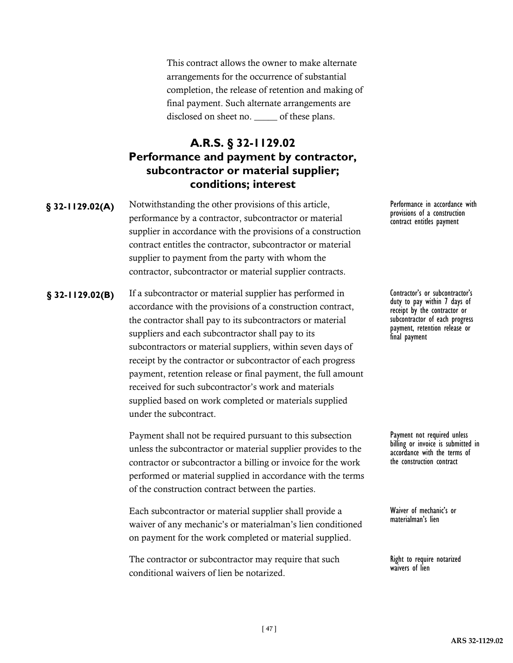This contract allows the owner to make alternate arrangements for the occurrence of substantial completion, the release of retention and making of final payment. Such alternate arrangements are disclosed on sheet no. \_\_\_\_\_\_ of these plans.

# **A.R.S. § 32-1129.02 Performance and payment by contractor, subcontractor or material supplier; conditions; interest**

**§** 32-1129.02(A) Notwithstanding the other provisions of this article, Performance in accordance with performance by a contractor, subcontractor or material supplier in accordance with the provisions of a construction contract entitles the contractor, subcontractor or material supplier to payment from the party with whom the contractor, subcontractor or material supplier contracts.

**§ 32-1129.02(B)** If a subcontractor or material supplier has performed in Contractor's or subcontractor's accordance with the provisions of a construction contract, the contractor shall pay to its subcontractors or material suppliers and each subcontractor shall pay to its subcontractors or material suppliers, within seven days of receipt by the contractor or subcontractor of each progress payment, retention release or final payment, the full amount received for such subcontractor's work and materials supplied based on work completed or materials supplied under the subcontract.

> Payment shall not be required pursuant to this subsection unless the subcontractor or material supplier provides to the contractor or subcontractor a billing or invoice for the work performed or material supplied in accordance with the terms of the construction contract between the parties.

> Each subcontractor or material supplier shall provide a waiver of any mechanic's or materialman's lien conditioned on payment for the work completed or material supplied.

The contractor or subcontractor may require that such conditional waivers of lien be notarized.

provisions of a construction contract entitles payment

duty to pay within 7 days of receipt by the contractor or subcontractor of each progress payment, retention release or final payment

Payment not required unless billing or invoice is submitted in accordance with the terms of the construction contract

Waiver of mechanic's or materialman's lien

Right to require notarized waivers of lien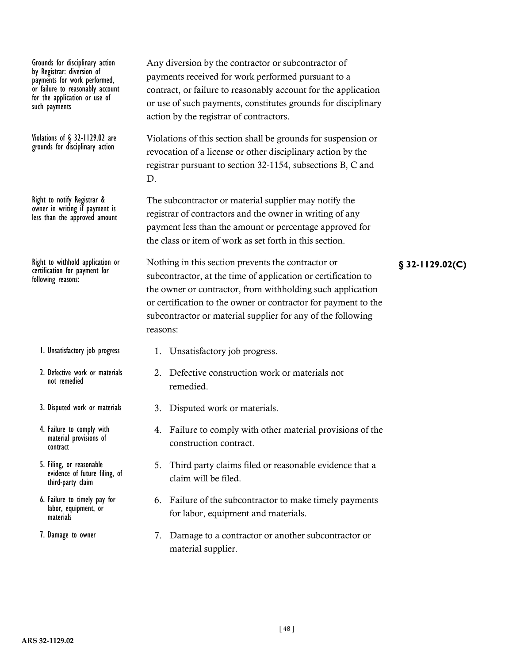Grounds for disciplinary action by Registrar: diversion of payments for work performed, or failure to reasonably account for the application or use of such payments

Violations of § 32-1129.02 are grounds for disciplinary action

Right to notify Registrar & owner in writing if payment is less than the approved amount

certification for payment for following reasons:

- 1. Unsatisfactory job progress
- 2. Defective work or materials not remedied
- 3. Disputed work or materials
- 4. Failure to comply with material provisions of contract
- 5. Filing, or reasonable evidence of future filing, of third-party claim
- 6. Failure to timely pay for labor, equipment, or materials
- 7. Damage to owner

Any diversion by the contractor or subcontractor of payments received for work performed pursuant to a contract, or failure to reasonably account for the application or use of such payments, constitutes grounds for disciplinary action by the registrar of contractors.

Violations of this section shall be grounds for suspension or revocation of a license or other disciplinary action by the registrar pursuant to section 32-1154, subsections B, C and D.

The subcontractor or material supplier may notify the registrar of contractors and the owner in writing of any payment less than the amount or percentage approved for the class or item of work as set forth in this section.

Right to withhold application or **Nothing in this section prevents the contractor or §** 32-1129.02(C) subcontractor, at the time of application or certification to the owner or contractor, from withholding such application or certification to the owner or contractor for payment to the subcontractor or material supplier for any of the following reasons:

- 1. Unsatisfactory job progress.
- 2. Defective construction work or materials not remedied.
- 3. Disputed work or materials.
- 4. Failure to comply with other material provisions of the construction contract.
- 5. Third party claims filed or reasonable evidence that a claim will be filed.
- 6. Failure of the subcontractor to make timely payments for labor, equipment and materials.
- 7. Damage to a contractor or another subcontractor or material supplier.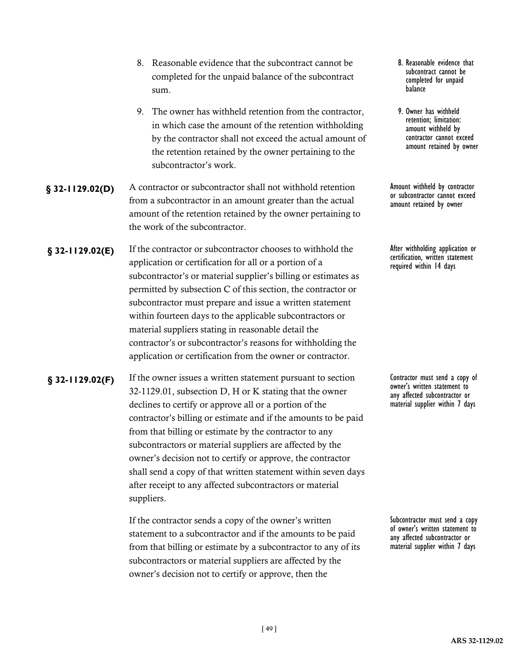- 8. Reasonable evidence that the subcontract cannot be completed for the unpaid balance of the subcontract sum.
- 9. The owner has withheld retention from the contractor, in which case the amount of the retention withholding by the contractor shall not exceed the actual amount of the retention retained by the owner pertaining to the subcontractor's work.
- **§** 32-1129.02(D) A contractor or subcontractor shall not withhold retention **Amount withheld by contractor** from a subcontractor in an amount greater than the actual amount of the retention retained by the owner pertaining to the work of the subcontractor.
- **§ 32-1129.02(E)** If the contractor or subcontractor chooses to withhold the After withholding application or application or certification for all or a portion of a subcontractor's or material supplier's billing or estimates as permitted by subsection C of this section, the contractor or subcontractor must prepare and issue a written statement within fourteen days to the applicable subcontractors or material suppliers stating in reasonable detail the contractor's or subcontractor's reasons for withholding the application or certification from the owner or contractor.
- **§** 32-1129.02(F) If the owner issues a written statement pursuant to section Contractor must send a copy of 32-1129.01, subsection D, H or K stating that the owner declines to certify or approve all or a portion of the contractor's billing or estimate and if the amounts to be paid from that billing or estimate by the contractor to any subcontractors or material suppliers are affected by the owner's decision not to certify or approve, the contractor shall send a copy of that written statement within seven days after receipt to any affected subcontractors or material suppliers.

If the contractor sends a copy of the owner's written statement to a subcontractor and if the amounts to be paid from that billing or estimate by a subcontractor to any of its subcontractors or material suppliers are affected by the owner's decision not to certify or approve, then the

- 8. Reasonable evidence that subcontract cannot be completed for unpaid balance
- 9. Owner has withheld retention; limitation: amount withheld by contractor cannot exceed amount retained by owner

Amount withheld by contractor<br>or subcontractor cannot exceed amount retained by owner

After withholding application or<br>certification, written statement required within 14 days

owner's written statement to any affected subcontractor or material supplier within 7 days

Subcontractor must send a copy of owner's written statement to any affected subcontractor or material supplier within 7 days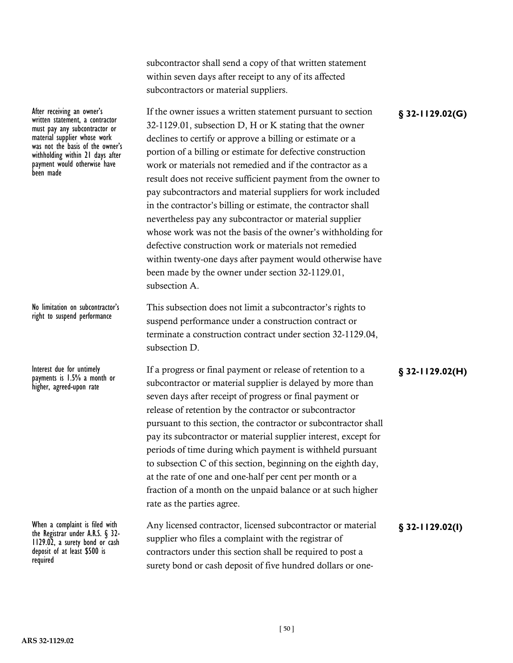subcontractor shall send a copy of that written statement within seven days after receipt to any of its affected subcontractors or material suppliers.

After receiving an owner's **Example 2018** If the owner issues a written statement pursuant to section **§** 32-1129.02(G) 32-1129.01, subsection D, H or K stating that the owner declines to certify or approve a billing or estimate or a portion of a billing or estimate for defective construction work or materials not remedied and if the contractor as a result does not receive sufficient payment from the owner to pay subcontractors and material suppliers for work included in the contractor's billing or estimate, the contractor shall nevertheless pay any subcontractor or material supplier whose work was not the basis of the owner's withholding for defective construction work or materials not remedied within twenty-one days after payment would otherwise have been made by the owner under section 32-1129.01, subsection A.

> This subsection does not limit a subcontractor's rights to suspend performance under a construction contract or terminate a construction contract under section 32-1129.04, subsection D.

Interest due for untimely If a progress or final payment or release of retention to a **§** 32-1129.02(H) subcontractor or material supplier is delayed by more than seven days after receipt of progress or final payment or release of retention by the contractor or subcontractor pursuant to this section, the contractor or subcontractor shall pay its subcontractor or material supplier interest, except for periods of time during which payment is withheld pursuant to subsection C of this section, beginning on the eighth day, at the rate of one and one-half per cent per month or a fraction of a month on the unpaid balance or at such higher rate as the parties agree.

When a complaint is filed with **Any licensed contractor, licensed subcontractor or material <b>§ 32-1129.02(I)**<br>the Registrar under A.R.S. § 32-<br>1129.02, a surety bond or cash supplier who files a complaint with the registra supplier who files a complaint with the registrar of contractors under this section shall be required to post a surety bond or cash deposit of five hundred dollars or one-

written statement, a contractor must pay any subcontractor or material supplier whose work was not the basis of the owner's withholding within 21 days after payment would otherwise have been made

No limitation on subcontractor's right to suspend performance

payments is 1.5% a month or higher, agreed-upon rate

deposit of at least \$500 is required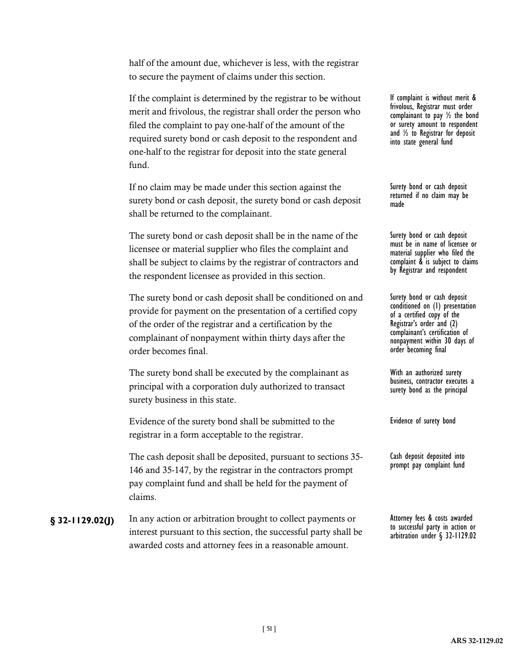half of the amount due, whichever is less, with the registrar to secure the payment of claims under this section.

If the complaint is determined by the registrar to be without merit and frivolous, the registrar shall order the person who filed the complaint to pay one-half of the amount of the required surety bond or cash deposit to the respondent and one-half to the registrar for deposit into the state general fund.

If no claim may be made under this section against the surety bond or cash deposit, the surety bond or cash deposit shall be returned to the complainant.

The surety bond or cash deposit shall be in the name of the licensee or material supplier who files the complaint and shall be subject to claims by the registrar of contractors and the respondent licensee as provided in this section.

The surety bond or cash deposit shall be conditioned on and provide for payment on the presentation of a certified copy of the order of the registrar and a certification by the complainant of nonpayment within thirty days after the order becomes final.

The surety bond shall be executed by the complainant as principal with a corporation duly authorized to transact surety business in this state.

Evidence of the surety bond shall be submitted to the registrar in a form acceptable to the registrar.

The cash deposit shall be deposited, pursuant to sections 35- 146 and 35-147, by the registrar in the contractors prompt pay complaint fund and shall be held for the payment of claims.

**§** 32-1129.02(J) In any action or arbitration brought to collect payments or Attorney fees & costs awarded interest pursuant to this section, the successful party shall be awarded costs and attorney fees in a reasonable amount.

If complaint is without merit & frivolous, Registrar must order complainant to pay ½ the bond or surety amount to respondent and ½ to Registrar for deposit into state general fund

Surety bond or cash deposit returned if no claim may be made

Surety bond or cash deposit must be in name of licensee or material supplier who filed the complaint & is subject to claims by Registrar and respondent

Surety bond or cash deposit conditioned on (1) presentation of a certified copy of the Registrar's order and (2) complainant's certification of nonpayment within 30 days of order becoming final

With an authorized surety business, contractor executes a surety bond as the principal

Evidence of surety bond

Cash deposit deposited into prompt pay complaint fund

to successful party in action or arbitration under § 32-1129.02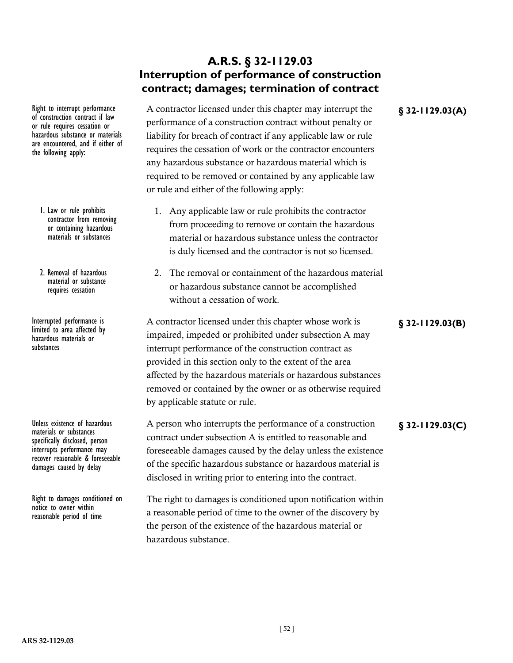### **A.R.S. § 32-1129.03 Interruption of performance of construction contract; damages; termination of contract**

Right to interrupt performance A contractor licensed under this chapter may interrupt the **§** 32-1129.03(A) performance of a construction contract without penalty or liability for breach of contract if any applicable law or rule requires the cessation of work or the contractor encounters any hazardous substance or hazardous material which is required to be removed or contained by any applicable law or rule and either of the following apply:

- 1. Any applicable law or rule prohibits the contractor from proceeding to remove or contain the hazardous material or hazardous substance unless the contractor is duly licensed and the contractor is not so licensed.
- 2. The removal or containment of the hazardous material or hazardous substance cannot be accomplished without a cessation of work.

Interrupted performance is <br>Interrupted performance is **A** contractor licensed under this chapter whose work is **§** 32-1129.03(B) impaired, impeded or prohibited under subsection A may interrupt performance of the construction contract as provided in this section only to the extent of the area affected by the hazardous materials or hazardous substances removed or contained by the owner or as otherwise required by applicable statute or rule.

### Unless existence of hazardous A person who interrupts the performance of a construction **§** 32-1129.03(C) contract under subsection A is entitled to reasonable and foreseeable damages caused by the delay unless the existence of the specific hazardous substance or hazardous material is disclosed in writing prior to entering into the contract.

The right to damages is conditioned upon notification within a reasonable period of time to the owner of the discovery by the person of the existence of the hazardous material or hazardous substance.

the following apply:

1. Law or rule prohibits contractor from removing or containing hazardous materials or substances

of construction contract if law or rule requires cessation or hazardous substance or materials are encountered, and if either of

2. Removal of hazardous material or substance requires cessation

limited to area affected by hazardous materials or substances

materials or substances specifically disclosed, person interrupts performance may recover reasonable & foreseeable damages caused by delay

Right to damages conditioned on notice to owner within reasonable period of time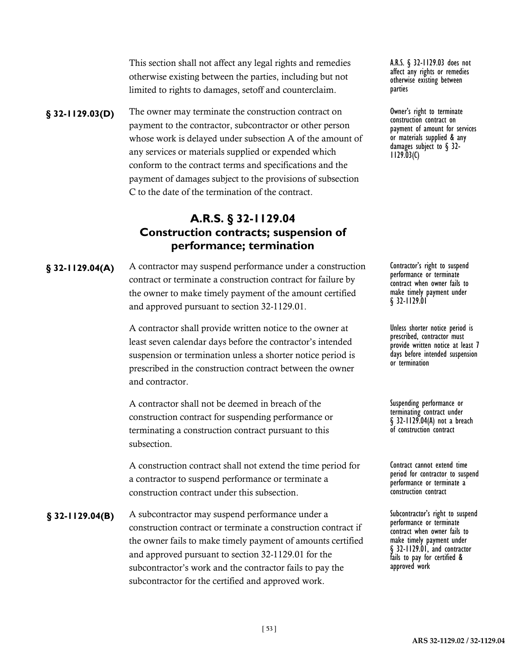This section shall not affect any legal rights and remedies otherwise existing between the parties, including but not limited to rights to damages, setoff and counterclaim.

**§ 32-1129.03(D)** The owner may terminate the construction contract on 0wner's right to terminate payment to the contractor, subcontractor or other person whose work is delayed under subsection A of the amount of any services or materials supplied or expended which conform to the contract terms and specifications and the payment of damages subject to the provisions of subsection C to the date of the termination of the contract.

# **A.R.S. § 32-1129.04 Construction contracts; suspension of performance; termination**

**§** 32-1129.04(A) A contractor may suspend performance under a construction Contractor's right to suspend contract or terminate a construction contract for failure by the owner to make timely payment of the amount certified and approved pursuant to section 32-1129.01.

> A contractor shall provide written notice to the owner at least seven calendar days before the contractor's intended suspension or termination unless a shorter notice period is prescribed in the construction contract between the owner and contractor.

A contractor shall not be deemed in breach of the construction contract for suspending performance or terminating a construction contract pursuant to this subsection.

A construction contract shall not extend the time period for a contractor to suspend performance or terminate a construction contract under this subsection.

**§ 32-1129.04(B)** A subcontractor may suspend performance under a Subcontractor's right to suspend construction contract or terminate a construction contract if the owner fails to make timely payment of amounts certified and approved pursuant to section 32-1129.01 for the subcontractor's work and the contractor fails to pay the subcontractor for the certified and approved work.

A.R.S. § 32-1129.03 does not affect any rights or remedies otherwise existing between parties

construction contract on payment of amount for services or materials supplied & any damages subject to § 32-<br>1129.03(C)

performance or terminate contract when owner fails to make timely payment under § 32-1129.01

Unless shorter notice period is prescribed, contractor must provide written notice at least 7 days before intended suspension or termination

Suspending performance or terminating contract under § 32-1129.04(A) not a breach of construction contract

Contract cannot extend time period for contractor to suspend performance or terminate a construction contract

performance or terminate contract when owner fails to make timely payment under § 32-1129.01, and contractor fails to pay for certified & approved work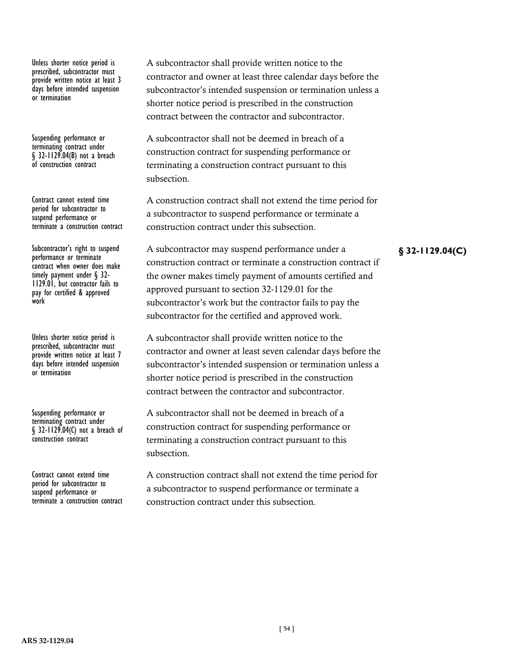Unless shorter notice period is prescribed, subcontractor must provide written notice at least 3 days before intended suspension or termination

Suspending performance or terminating contract under § 32-1129.04(B) not a breach of construction contract

Contract cannot extend time period for subcontractor to suspend performance or terminate a construction contract

performance or terminate contract when owner does make<br>timely payment under § 32-1129.01, but contractor fails to pay for certified & approved work

Unless shorter notice period is prescribed, subcontractor must provide written notice at least 7 days before intended suspension or termination

Suspending performance or terminating contract under § 32-1129.04(C) not a breach of construction contract

Contract cannot extend time period for subcontractor to suspend performance or terminate a construction contract A subcontractor shall provide written notice to the contractor and owner at least three calendar days before the subcontractor's intended suspension or termination unless a shorter notice period is prescribed in the construction contract between the contractor and subcontractor.

A subcontractor shall not be deemed in breach of a construction contract for suspending performance or terminating a construction contract pursuant to this subsection.

A construction contract shall not extend the time period for a subcontractor to suspend performance or terminate a construction contract under this subsection.

Subcontractor's right to suspend A subcontractor may suspend performance under a **§** 32-1129.04(C) construction contract or terminate a construction contract if the owner makes timely payment of amounts certified and approved pursuant to section 32-1129.01 for the subcontractor's work but the contractor fails to pay the subcontractor for the certified and approved work.

> A subcontractor shall provide written notice to the contractor and owner at least seven calendar days before the subcontractor's intended suspension or termination unless a shorter notice period is prescribed in the construction contract between the contractor and subcontractor.

A subcontractor shall not be deemed in breach of a construction contract for suspending performance or terminating a construction contract pursuant to this subsection.

A construction contract shall not extend the time period for a subcontractor to suspend performance or terminate a construction contract under this subsection.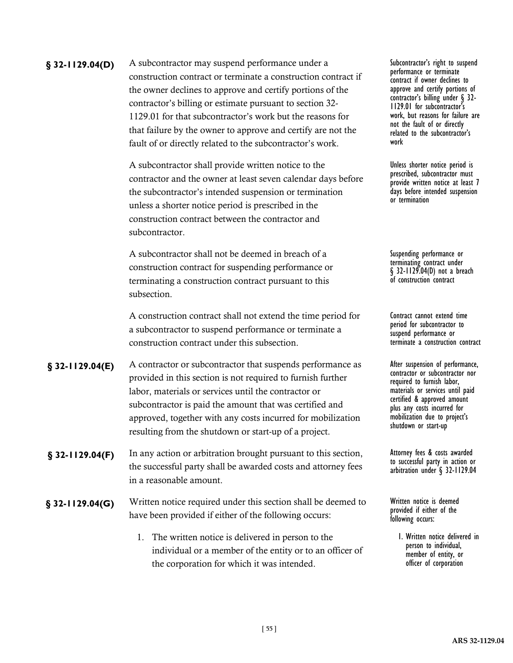**§** 32-1129.04(D) A subcontractor may suspend performance under a Subcontractor's right to suspend construction contract or terminate a construction contract if the owner declines to approve and certify portions of the contractor's billing or estimate pursuant to section 32- 1129.01 for that subcontractor's work but the reasons for that failure by the owner to approve and certify are not the fault of or directly related to the subcontractor's work.

> A subcontractor shall provide written notice to the contractor and the owner at least seven calendar days before the subcontractor's intended suspension or termination unless a shorter notice period is prescribed in the construction contract between the contractor and subcontractor.

A subcontractor shall not be deemed in breach of a construction contract for suspending performance or terminating a construction contract pursuant to this subsection.

A construction contract shall not extend the time period for a subcontractor to suspend performance or terminate a construction contract under this subsection.

**§** 32-1129.04(E) A contractor or subcontractor that suspends performance as After suspension of performance, provided in this section is not required to furnish further labor, materials or services until the contractor or subcontractor is paid the amount that was certified and approved, together with any costs incurred for mobilization resulting from the shutdown or start-up of a project.

**§** 32-1129.04(F) In any action or arbitration brought pursuant to this section, Attorney fees & costs awarded the successful party shall be awarded costs and attorney fees in a reasonable amount.

Written notice required under this section shall be deemed to **§ 32-1129.04(G)** Written notice is deemed have been provided if either of the following occurs:

> 1. The written notice is delivered in person to the individual or a member of the entity or to an officer of the corporation for which it was intended.

performance or terminate contract if owner declines to approve and certify portions of contractor's billing under § 32-<br>1129.01 for subcontractor's work, but reasons for failure are not the fault of or directly related to the subcontractor's work

Unless shorter notice period is prescribed, subcontractor must provide written notice at least 7 days before intended suspension or termination

Suspending performance or terminating contract under § 32-1129.04(D) not a breach of construction contract

Contract cannot extend time period for subcontractor to suspend performance or terminate a construction contract

contractor or subcontractor nor required to furnish labor, materials or services until paid certified & approved amount plus any costs incurred for mobilization due to project's shutdown or start-up

to successful party in action or arbitration under § 32-1129.04

provided if either of the following occurs:

> 1. Written notice delivered in person to individual, member of entity, or officer of corporation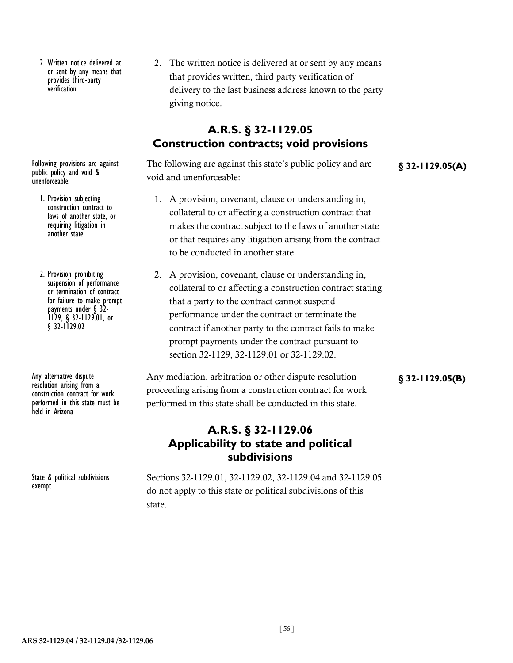2. Written notice delivered at or sent by any means that provides third-party verification

public policy and void & unenforceable:

- 1. Provision subjecting construction contract to laws of another state, or requiring litigation in another state
- 2. Provision prohibiting suspension of performance or termination of contract for failure to make prompt<br>payments under  $\S$  32payments under § 32-<br>1129, § 32-1129.01, or § 32-1129.02

resolution arising from a construction contract for work performed in this state must be held in Arizona

State & political subdivisions exempt

2. The written notice is delivered at or sent by any means that provides written, third party verification of delivery to the last business address known to the party giving notice.

# **A.R.S. § 32-1129.05 Construction contracts; void provisions**

Following provisions are against The following are against this state's public policy and are **§** 32-1129.05(A) void and unenforceable:

- 1. A provision, covenant, clause or understanding in, collateral to or affecting a construction contract that makes the contract subject to the laws of another state or that requires any litigation arising from the contract to be conducted in another state.
- 2. A provision, covenant, clause or understanding in, collateral to or affecting a construction contract stating that a party to the contract cannot suspend performance under the contract or terminate the contract if another party to the contract fails to make prompt payments under the contract pursuant to section 32-1129, 32-1129.01 or 32-1129.02.

Any alternative dispute **Any mediation, arbitration or other dispute resolution §** 32-1129.05(B) proceeding arising from a construction contract for work performed in this state shall be conducted in this state.

### **A.R.S. § 32-1129.06 Applicability to state and political subdivisions**

Sections 32-1129.01, 32-1129.02, 32-1129.04 and 32-1129.05 do not apply to this state or political subdivisions of this state.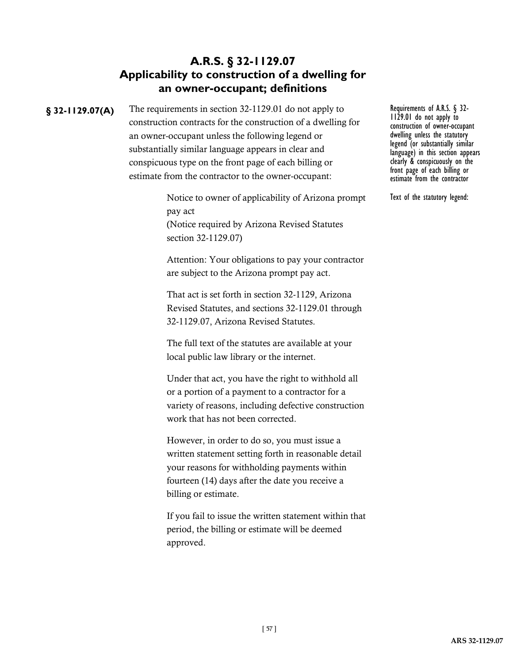# **A.R.S. § 32-1129.07 Applicability to construction of a dwelling for an owner-occupant; definitions**

**§ 32-1129.07(A)** The requirements in section 32-1129.01 do not apply to Requirements of A.R.S. § 32-<br> **§ 32-1129.01** do not apply to 1129.01 do not apply to construction contracts for the construction of a dwelling for an owner-occupant unless the following legend or substantially similar language appears in clear and conspicuous type on the front page of each billing or estimate from the contractor to the owner-occupant:

> Notice to owner of applicability of Arizona prompt pay act (Notice required by Arizona Revised Statutes section 32-1129.07)

Attention: Your obligations to pay your contractor are subject to the Arizona prompt pay act.

That act is set forth in section 32-1129, Arizona Revised Statutes, and sections 32-1129.01 through 32-1129.07, Arizona Revised Statutes.

The full text of the statutes are available at your local public law library or the internet.

Under that act, you have the right to withhold all or a portion of a payment to a contractor for a variety of reasons, including defective construction work that has not been corrected.

However, in order to do so, you must issue a written statement setting forth in reasonable detail your reasons for withholding payments within fourteen (14) days after the date you receive a billing or estimate.

If you fail to issue the written statement within that period, the billing or estimate will be deemed approved.

construction of owner-occupant dwelling unless the statutory legend (or substantially similar language) in this section appears clearly & conspicuously on the front page of each billing or estimate from the contractor

Text of the statutory legend: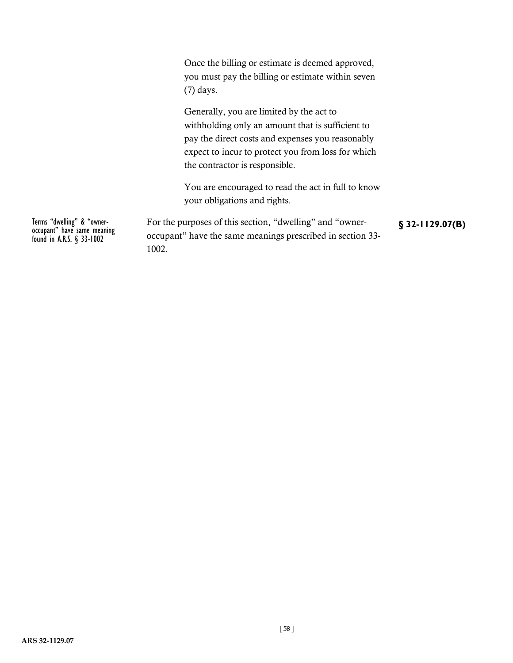Once the billing or estimate is deemed approved, you must pay the billing or estimate within seven (7) days.

Generally, you are limited by the act to withholding only an amount that is sufficient to pay the direct costs and expenses you reasonably expect to incur to protect you from loss for which the contractor is responsible.

You are encouraged to read the act in full to know your obligations and rights.

Terms "dwelling" & "owner-<br>occupant" have same meaning **For the purposes of this section**, "dwelling" and "owner- **§** 32-1129.07(B) occupant" have the same meanings prescribed in section 33- 1002.

Terms "dwelling" & "owner-<br>occupant" have same meaning<br>found in A.R.S. § 33-1002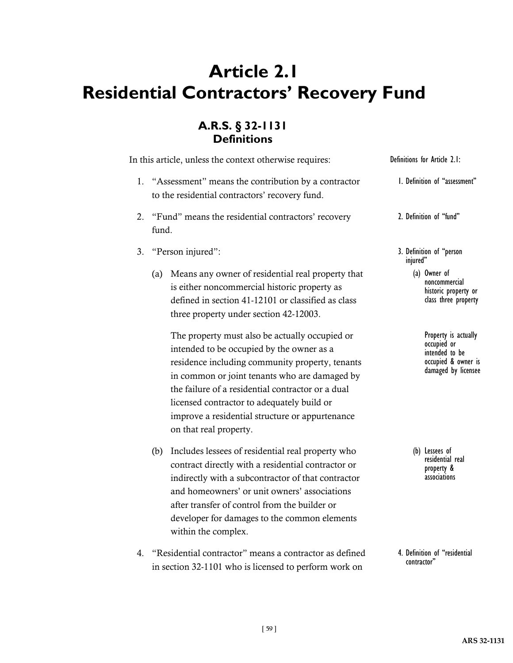# **Article 2.1 Residential Contractors' Recovery Fund**

# **A.R.S. § 32-1131 Definitions**

In this article, unless the context otherwise requires:

- 1. "Assessment" means the contribution by a contractor to the residential contractors' recovery fund.
- 2. "Fund" means the residential contractors' recovery fund.
- 3. "Person injured":
	- (a) Means any owner of residential real property that is either noncommercial historic property as defined in section 41-12101 or classified as class three property under section 42-12003.

The property must also be actually occupied or intended to be occupied by the owner as a residence including community property, tenants in common or joint tenants who are damaged by the failure of a residential contractor or a dual licensed contractor to adequately build or improve a residential structure or appurtenance on that real property.

- (b) Includes lessees of residential real property who contract directly with a residential contractor or indirectly with a subcontractor of that contractor and homeowners' or unit owners' associations after transfer of control from the builder or developer for damages to the common elements within the complex.
- 4. "Residential contractor" means a contractor as defined in section 32-1101 who is licensed to perform work on

Definitions for Article 2.1:

- 1. Definition of "assessment"
- 2. Definition of "fund"
- 3. Definition of "person injured"
	- (a) Owner of noncommercial historic property or class three property
		- Property is actually occupied or intended to be occupied & owner is damaged by licensee

(b) Lessees of residential real property & associations

4. Definition of "residential contractor"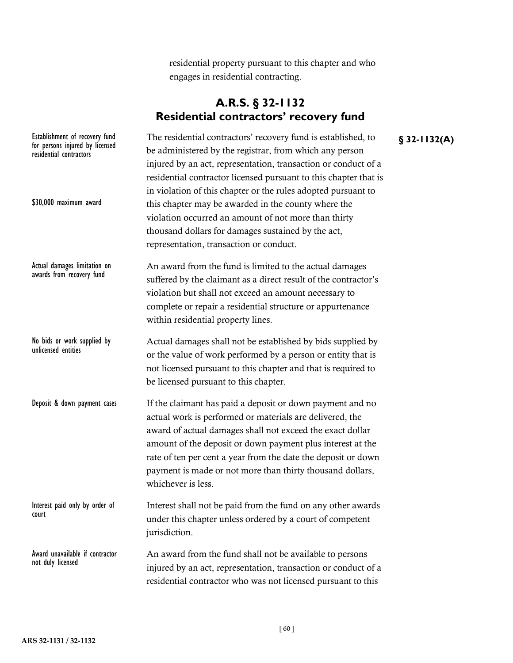residential property pursuant to this chapter and who engages in residential contracting.

# **A.R.S. § 32-1132 Residential contractors' recovery fund**

Establishment of recovery fund The residential contractors' recovery fund is established, to **§** 32-1132(A) be administered by the registrar, from which any person injured by an act, representation, transaction or conduct of a residential contractor licensed pursuant to this chapter that is in violation of this chapter or the rules adopted pursuant to this chapter may be awarded in the county where the violation occurred an amount of not more than thirty thousand dollars for damages sustained by the act, representation, transaction or conduct. An award from the fund is limited to the actual damages suffered by the claimant as a direct result of the contractor's violation but shall not exceed an amount necessary to complete or repair a residential structure or appurtenance within residential property lines. Actual damages shall not be established by bids supplied by or the value of work performed by a person or entity that is not licensed pursuant to this chapter and that is required to be licensed pursuant to this chapter. If the claimant has paid a deposit or down payment and no actual work is performed or materials are delivered, the award of actual damages shall not exceed the exact dollar amount of the deposit or down payment plus interest at the rate of ten per cent a year from the date the deposit or down payment is made or not more than thirty thousand dollars, whichever is less. Interest shall not be paid from the fund on any other awards under this chapter unless ordered by a court of competent jurisdiction. An award from the fund shall not be available to persons injured by an act, representation, transaction or conduct of a residential contractor who was not licensed pursuant to this for persons injured by licensed residential contractors \$30,000 maximum award Actual damages limitation on awards from recovery fund No bids or work supplied by unlicensed entities Deposit & down payment cases Interest paid only by order of court Award unavailable if contractor not duly licensed

**ARS 32-1131 / 32-1132**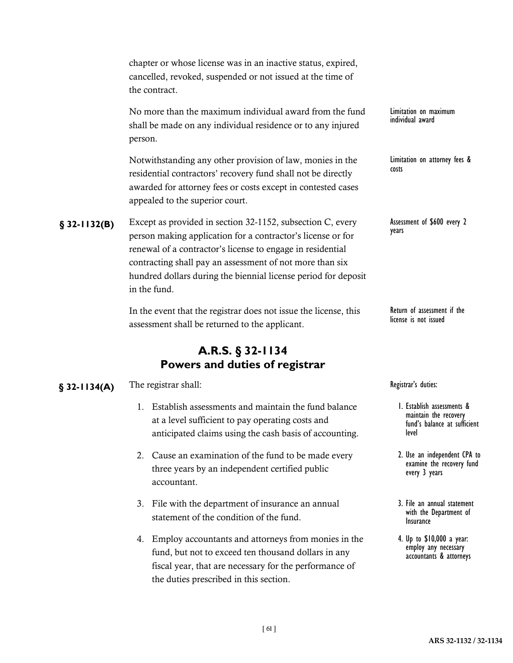|               | cancelled, revoked, suspended or not issued at the time of<br>the contract.                                                                                                                                                                                                                                                           |                                                                                       |
|---------------|---------------------------------------------------------------------------------------------------------------------------------------------------------------------------------------------------------------------------------------------------------------------------------------------------------------------------------------|---------------------------------------------------------------------------------------|
|               | No more than the maximum individual award from the fund<br>shall be made on any individual residence or to any injured<br>person.                                                                                                                                                                                                     | Limitation on maximum<br>individual award                                             |
|               | Notwithstanding any other provision of law, monies in the<br>residential contractors' recovery fund shall not be directly<br>awarded for attorney fees or costs except in contested cases<br>appealed to the superior court.                                                                                                          | Limitation on attorney fees<br>costs                                                  |
| $$32-1132(B)$ | Except as provided in section 32-1152, subsection C, every<br>person making application for a contractor's license or for<br>renewal of a contractor's license to engage in residential<br>contracting shall pay an assessment of not more than six<br>hundred dollars during the biennial license period for deposit<br>in the fund. | Assessment of \$600 every 2<br>years                                                  |
|               | In the event that the registrar does not issue the license, this<br>assessment shall be returned to the applicant.                                                                                                                                                                                                                    | Return of assessment if the<br>license is not issued                                  |
|               | A.R.S. § 32-1134<br>Powers and duties of registrar                                                                                                                                                                                                                                                                                    |                                                                                       |
| $$32-1134(A)$ | The registrar shall:                                                                                                                                                                                                                                                                                                                  | Registrar's duties:                                                                   |
|               | 1. Establish assessments and maintain the fund balance<br>at a level sufficient to pay operating costs and<br>anticipated claims using the cash basis of accounting.                                                                                                                                                                  | 1. Establish assessments<br>maintain the recovery<br>fund's balance at suffi<br>level |
|               | 2. Cause an examination of the fund to be made every<br>three years by an independent certified public<br>accountant.                                                                                                                                                                                                                 | 2. Use an independent Cl<br>examine the recovery<br>every 3 years                     |

chapter or whose license was in an inactive status, expired,

- 3. File with the department of insurance an annual statement of the condition of the fund.
- 4. Employ accountants and attorneys from monies in the fund, but not to exceed ten thousand dollars in any fiscal year, that are necessary for the performance of the duties prescribed in this section.

attorney fees &

- sh assessments & in the recovery balance at sufficient
- independent CPA to e the recovery fund years
- 3. File an annual statement with the Department of Insurance
- 4. Up to \$10,000 a year: employ any necessary accountants & attorneys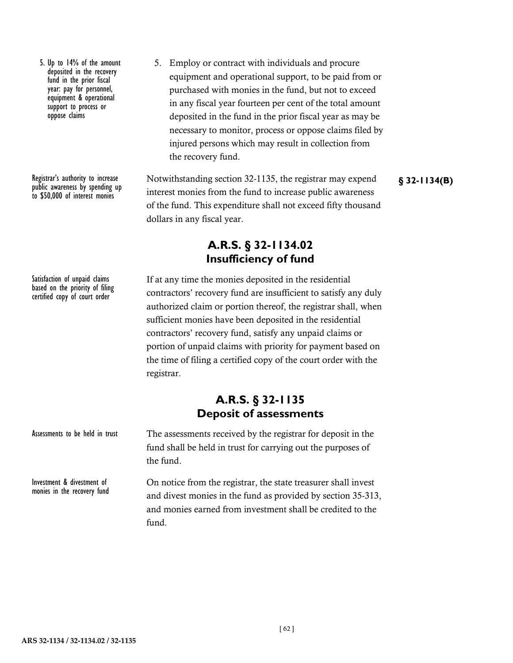5. Up to 14% of the amount deposited in the recovery fund in the prior fiscal year: pay for personnel, equipment & operational support to process or oppose claims

Registrar's authority to increase public awareness by spending up to \$50,000 of interest monies

Satisfaction of unpaid claims based on the priority of filing certified copy of court order

Assessments to be held in trust

Investment & divestment of monies in the recovery fund 5. Employ or contract with individuals and procure equipment and operational support, to be paid from or purchased with monies in the fund, but not to exceed in any fiscal year fourteen per cent of the total amount deposited in the fund in the prior fiscal year as may be necessary to monitor, process or oppose claims filed by injured persons which may result in collection from the recovery fund.

Notwithstanding section 32-1135, the registrar may expend interest monies from the fund to increase public awareness of the fund. This expenditure shall not exceed fifty thousand dollars in any fiscal year.

**§ 32-1134(B)**

# **A.R.S. § 32-1134.02 Insufficiency of fund**

If at any time the monies deposited in the residential contractors' recovery fund are insufficient to satisfy any duly authorized claim or portion thereof, the registrar shall, when sufficient monies have been deposited in the residential contractors' recovery fund, satisfy any unpaid claims or portion of unpaid claims with priority for payment based on the time of filing a certified copy of the court order with the registrar.

### **A.R.S. § 32-1135 Deposit of assessments**

The assessments received by the registrar for deposit in the fund shall be held in trust for carrying out the purposes of the fund.

On notice from the registrar, the state treasurer shall invest and divest monies in the fund as provided by section 35-313, and monies earned from investment shall be credited to the fund.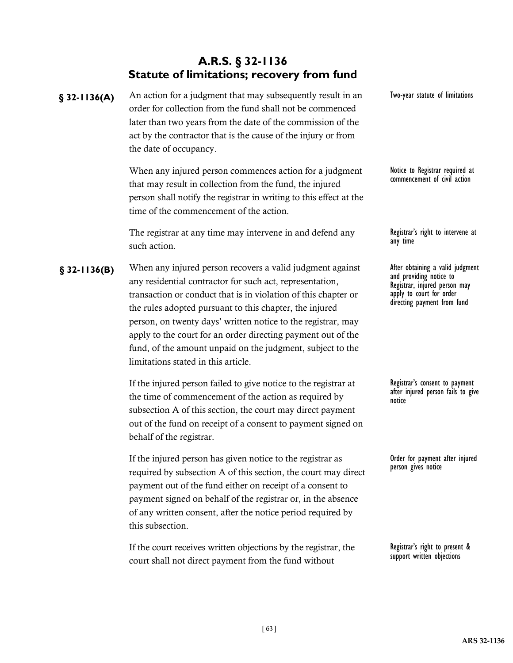# **A.R.S. § 32-1136 Statute of limitations; recovery from fund**

§ 32-1136(A) An action for a judgment that may subsequently result in an Two-year statute of limitations order for collection from the fund shall not be commenced later than two years from the date of the commission of the act by the contractor that is the cause of the injury or from the date of occupancy. When any injured person commences action for a judgment that may result in collection from the fund, the injured person shall notify the registrar in writing to this effect at the time of the commencement of the action. The registrar at any time may intervene in and defend any such action. § 32-1136(B) When any injured person recovers a valid judgment against **After obtaining a valid judgment** any residential contractor for such act, representation, transaction or conduct that is in violation of this chapter or the rules adopted pursuant to this chapter, the injured person, on twenty days' written notice to the registrar, may apply to the court for an order directing payment out of the fund, of the amount unpaid on the judgment, subject to the limitations stated in this article. If the injured person failed to give notice to the registrar at the time of commencement of the action as required by subsection A of this section, the court may direct payment out of the fund on receipt of a consent to payment signed on behalf of the registrar. Notice to Registrar required at commencement of civil action Registrar's right to intervene at any time and providing notice to Registrar, injured person may apply to court for order directing payment from fund Registrar's consent to payment after injured person fails to give notice

> If the injured person has given notice to the registrar as required by subsection A of this section, the court may direct payment out of the fund either on receipt of a consent to payment signed on behalf of the registrar or, in the absence of any written consent, after the notice period required by this subsection.

If the court receives written objections by the registrar, the court shall not direct payment from the fund without

Registrar's right to present & support written objections

Order for payment after injured

person gives notice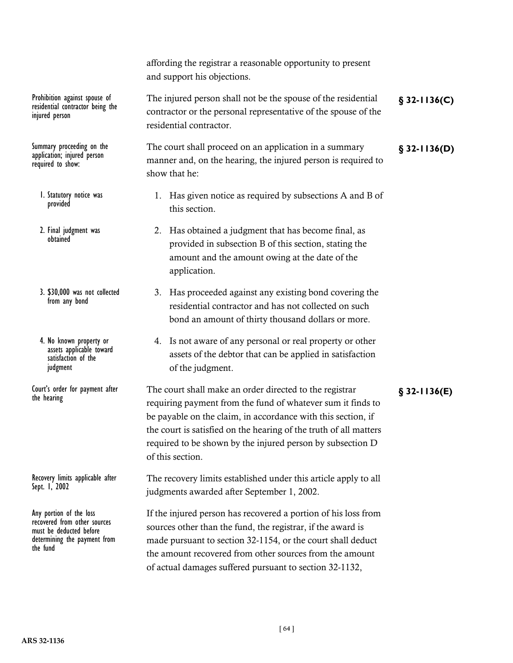residential contractor being the injured person

Summary proceeding on the<br>application; injured person required to show:

- 1. Statutory notice was provided
- 2. Final judgment was obtained
- 3. \$30,000 was not collected from any bond
- 4. No known property or assets applicable toward satisfaction of the judgment
- the hearing

Recovery limits applicable after Sept. 1, 2002

Any portion of the loss recovered from other sources must be deducted before determining the payment from the fund

affording the registrar a reasonable opportunity to present and support his objections.

Prohibition against spouse of The injured person shall not be the spouse of the residential **§** 32-1136(C) contractor or the personal representative of the spouse of the residential contractor.

Summary proceeding on the The court shall proceed on an application in a summary **§** 32-1136(D) manner and, on the hearing, the injured person is required to show that he:

- 1. Has given notice as required by subsections A and B of this section.
- 2. Has obtained a judgment that has become final, as provided in subsection B of this section, stating the amount and the amount owing at the date of the application.
- 3. Has proceeded against any existing bond covering the residential contractor and has not collected on such bond an amount of thirty thousand dollars or more.
- 4. Is not aware of any personal or real property or other assets of the debtor that can be applied in satisfaction of the judgment.

Court's order for payment after The court shall make an order directed to the registrar **§** 32-1136(E) requiring payment from the fund of whatever sum it finds to be payable on the claim, in accordance with this section, if the court is satisfied on the hearing of the truth of all matters required to be shown by the injured person by subsection D of this section.

> The recovery limits established under this article apply to all judgments awarded after September 1, 2002.

> If the injured person has recovered a portion of his loss from sources other than the fund, the registrar, if the award is made pursuant to section 32-1154, or the court shall deduct the amount recovered from other sources from the amount of actual damages suffered pursuant to section 32-1132,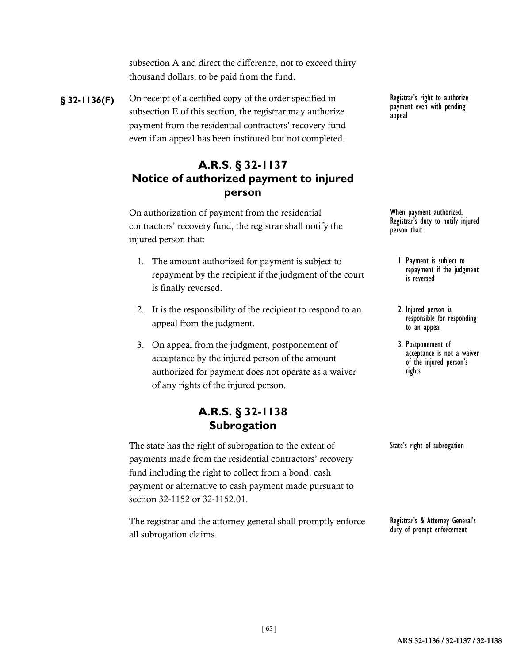subsection A and direct the difference, not to exceed thirty thousand dollars, to be paid from the fund.

**§** 32-1136(F) On receipt of a certified copy of the order specified in Registrar's right to authorize subsection E of this section, the registrar may authorize payment from the residential contractors' recovery fund even if an appeal has been instituted but not completed.

# **A.R.S. § 32-1137 Notice of authorized payment to injured person**

On authorization of payment from the residential contractors' recovery fund, the registrar shall notify the injured person that:

- 1. The amount authorized for payment is subject to repayment by the recipient if the judgment of the court is finally reversed.
- 2. It is the responsibility of the recipient to respond to an appeal from the judgment.
- 3. On appeal from the judgment, postponement of acceptance by the injured person of the amount authorized for payment does not operate as a waiver of any rights of the injured person.

# **A.R.S. § 32-1138 Subrogation**

The state has the right of subrogation to the extent of payments made from the residential contractors' recovery fund including the right to collect from a bond, cash payment or alternative to cash payment made pursuant to section 32-1152 or 32-1152.01.

The registrar and the attorney general shall promptly enforce all subrogation claims.

payment even with pending appeal

When payment authorized, Registrar's duty to notify injured person that:

- 1. Payment is subject to repayment if the judgment is reversed
- 2. Injured person is responsible for responding to an appeal
- 3. Postponement of acceptance is not a waiver of the injured person's rights

State's right of subrogation

Registrar's & Attorney General's duty of prompt enforcement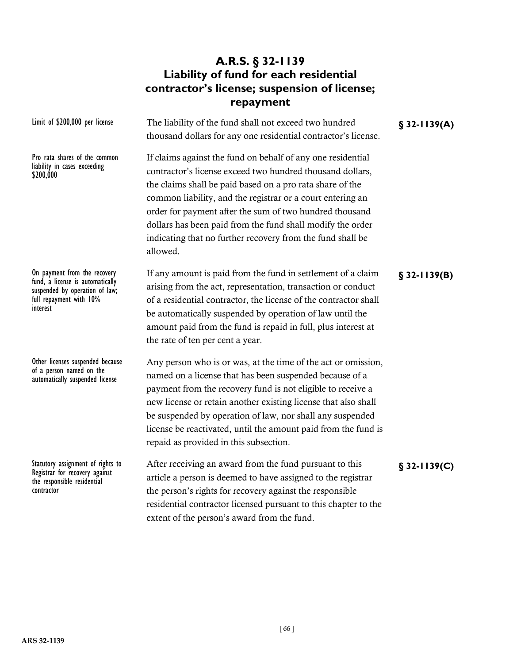# **A.R.S. § 32-1139 Liability of fund for each residential contractor's license; suspension of license; repayment**

| Limit of \$200,000 per license                                                                                                            | The liability of the fund shall not exceed two hundred<br>thousand dollars for any one residential contractor's license.                                                                                                                                                                                                                                                                                                                               | $$32-1139(A)$  |
|-------------------------------------------------------------------------------------------------------------------------------------------|--------------------------------------------------------------------------------------------------------------------------------------------------------------------------------------------------------------------------------------------------------------------------------------------------------------------------------------------------------------------------------------------------------------------------------------------------------|----------------|
| Pro rata shares of the common<br>liability in cases exceeding<br>\$200,000                                                                | If claims against the fund on behalf of any one residential<br>contractor's license exceed two hundred thousand dollars,<br>the claims shall be paid based on a pro rata share of the<br>common liability, and the registrar or a court entering an<br>order for payment after the sum of two hundred thousand<br>dollars has been paid from the fund shall modify the order<br>indicating that no further recovery from the fund shall be<br>allowed. |                |
| On payment from the recovery<br>fund, a license is automatically<br>suspended by operation of law;<br>full repayment with 10%<br>interest | If any amount is paid from the fund in settlement of a claim<br>arising from the act, representation, transaction or conduct<br>of a residential contractor, the license of the contractor shall<br>be automatically suspended by operation of law until the<br>amount paid from the fund is repaid in full, plus interest at<br>the rate of ten per cent a year.                                                                                      | $$32-1139(B)$  |
| Other licenses suspended because<br>of a person named on the<br>automatically suspended license                                           | Any person who is or was, at the time of the act or omission,<br>named on a license that has been suspended because of a<br>payment from the recovery fund is not eligible to receive a<br>new license or retain another existing license that also shall<br>be suspended by operation of law, nor shall any suspended<br>license be reactivated, until the amount paid from the fund is<br>repaid as provided in this subsection.                     |                |
| Statutory assignment of rights to<br>Registrar for recovery against<br>the responsible residential<br>contractor                          | After receiving an award from the fund pursuant to this<br>article a person is deemed to have assigned to the registrar<br>the person's rights for recovery against the responsible<br>residential contractor licensed pursuant to this chapter to the<br>extent of the person's award from the fund.                                                                                                                                                  | $§$ 32-1139(C) |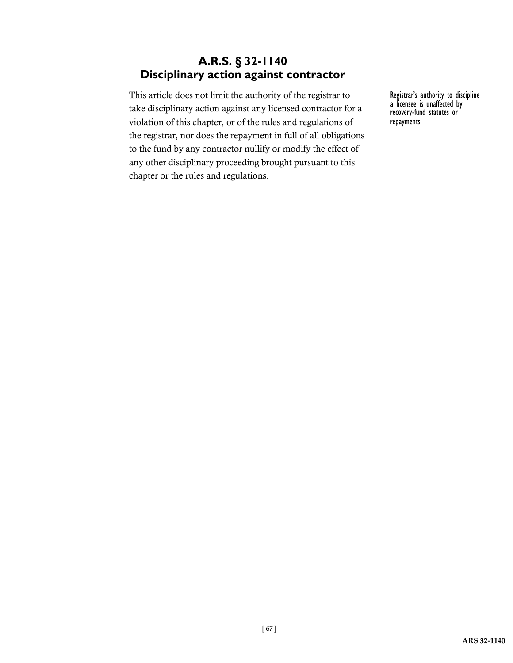# **A.R.S. § 32-1140 Disciplinary action against contractor**

This article does not limit the authority of the registrar to take disciplinary action against any licensed contractor for a violation of this chapter, or of the rules and regulations of the registrar, nor does the repayment in full of all obligations to the fund by any contractor nullify or modify the effect of any other disciplinary proceeding brought pursuant to this chapter or the rules and regulations.

Registrar's authority to discipline a licensee is unaffected by recovery-fund statutes or repayments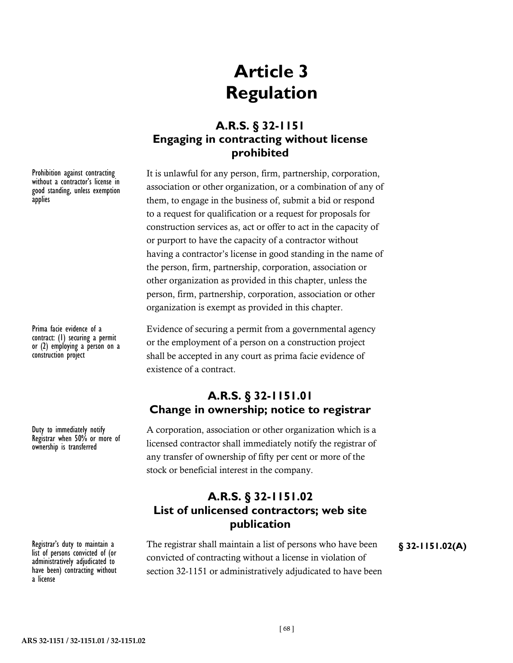# **Article 3 Regulation**

# **A.R.S. § 32-1151 Engaging in contracting without license prohibited**

It is unlawful for any person, firm, partnership, corporation, association or other organization, or a combination of any of them, to engage in the business of, submit a bid or respond to a request for qualification or a request for proposals for construction services as, act or offer to act in the capacity of or purport to have the capacity of a contractor without having a contractor's license in good standing in the name of the person, firm, partnership, corporation, association or other organization as provided in this chapter, unless the person, firm, partnership, corporation, association or other organization is exempt as provided in this chapter.

Evidence of securing a permit from a governmental agency or the employment of a person on a construction project shall be accepted in any court as prima facie evidence of existence of a contract.

# **A.R.S. § 32-1151.01 Change in ownership; notice to registrar**

A corporation, association or other organization which is a licensed contractor shall immediately notify the registrar of any transfer of ownership of fifty per cent or more of the stock or beneficial interest in the company.

# **A.R.S. § 32-1151.02 List of unlicensed contractors; web site publication**

Registrar's duty to maintain a The registrar shall maintain a list of persons who have been **§** 32-1151.02(A) convicted of contracting without a license in violation of section 32-1151 or administratively adjudicated to have been

Prohibition against contracting without a contractor's license in good standing, unless exemption applies

Prima facie evidence of a contract: (1) securing a permit or (2) employing a person on a construction project

Duty to immediately notify Registrar when 50% or more of ownership is transferred

list of persons convicted of (or administratively adjudicated to have been) contracting without a license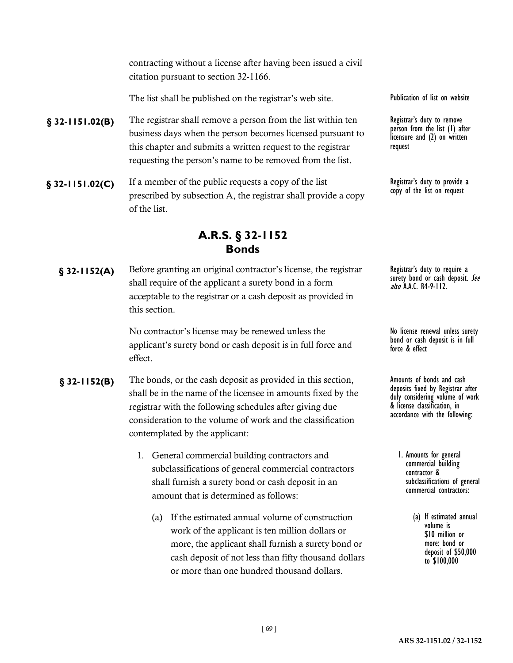contracting without a license after having been issued a civil citation pursuant to section 32-1166.

The list shall be published on the registrar's web site.

- **§ 32-1151.02(B)** The registrar shall remove a person from the list within ten Registrar's duty to remove business days when the person becomes licensed pursuant to this chapter and submits a written request to the registrar requesting the person's name to be removed from the list.
- **§ 32-1151.02(C)** If a member of the public requests a copy of the list Registrar's duty to provide a registrar's duty to provide a prescribed by subsection A, the registrar shall provide a copy of the list.

### **A.R.S. § 32-1152 Bonds**

**§** 32-1152(A) Before granting an original contractor's license, the registrar Registrar's duty to require a shall require of the applicant a surety bond in a form acceptable to the registrar or a cash deposit as provided in this section.

> No contractor's license may be renewed unless the applicant's surety bond or cash deposit is in full force and effect.

- **§** 32-1152(B) The bonds, or the cash deposit as provided in this section, Amounts of bonds and cash shall be in the name of the licensee in amounts fixed by the registrar with the following schedules after giving due consideration to the volume of work and the classification contemplated by the applicant:
	- 1. General commercial building contractors and subclassifications of general commercial contractors shall furnish a surety bond or cash deposit in an amount that is determined as follows:
		- (a) If the estimated annual volume of construction work of the applicant is ten million dollars or more, the applicant shall furnish a surety bond or cash deposit of not less than fifty thousand dollars or more than one hundred thousand dollars.

Publication of list on website

person from the list (1) after licensure and (2) on written request

copy of the list on request

surety bond or cash deposit. See also A.A.C. R4-9-112.

No license renewal unless surety bond or cash deposit is in full force & effect

deposits fixed by Registrar after duly considering volume of work & license classification, in accordance with the following:

- 1. Amounts for general commercial building contractor & subclassifications of general commercial contractors:
	- (a) If estimated annual volume is \$10 million or more: bond or deposit of \$50,000 to \$100,000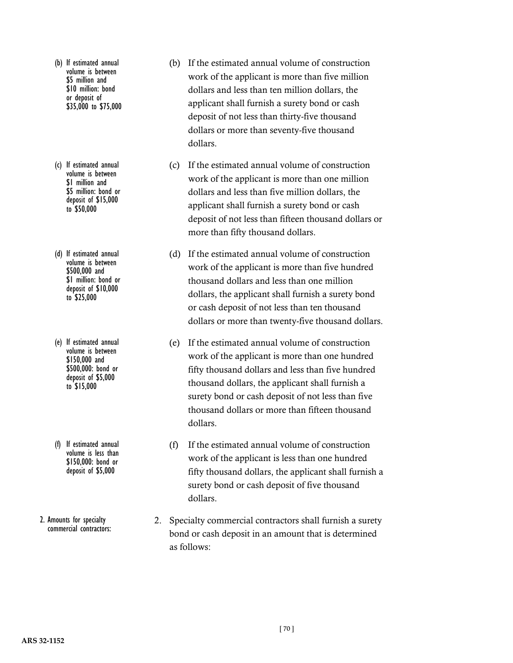- (b) If estimated annual volume is between \$5 million and \$10 million: bond or deposit of \$35,000 to \$75,000
- (c) If estimated annual volume is between \$1 million and \$5 million: bond or deposit of \$15,000 to \$50,000
- (d) If estimated annual volume is between \$500,000 and \$1 million: bond or deposit of \$10,000 to \$25,000
- (e) If estimated annual volume is between \$150,000 and \$500,000: bond or deposit of \$5,000 to \$15,000
- (f) If estimated annual volume is less than \$150,000: bond or deposit of \$5,000

2. Amounts for specialty commercial contractors:

- (b) If the estimated annual volume of construction work of the applicant is more than five million dollars and less than ten million dollars, the applicant shall furnish a surety bond or cash deposit of not less than thirty-five thousand dollars or more than seventy-five thousand dollars.
- (c) If the estimated annual volume of construction work of the applicant is more than one million dollars and less than five million dollars, the applicant shall furnish a surety bond or cash deposit of not less than fifteen thousand dollars or more than fifty thousand dollars.
- (d) If the estimated annual volume of construction work of the applicant is more than five hundred thousand dollars and less than one million dollars, the applicant shall furnish a surety bond or cash deposit of not less than ten thousand dollars or more than twenty-five thousand dollars.
- (e) If the estimated annual volume of construction work of the applicant is more than one hundred fifty thousand dollars and less than five hundred thousand dollars, the applicant shall furnish a surety bond or cash deposit of not less than five thousand dollars or more than fifteen thousand dollars.
- (f) If the estimated annual volume of construction work of the applicant is less than one hundred fifty thousand dollars, the applicant shall furnish a surety bond or cash deposit of five thousand dollars.
- 2. Specialty commercial contractors shall furnish a surety bond or cash deposit in an amount that is determined as follows: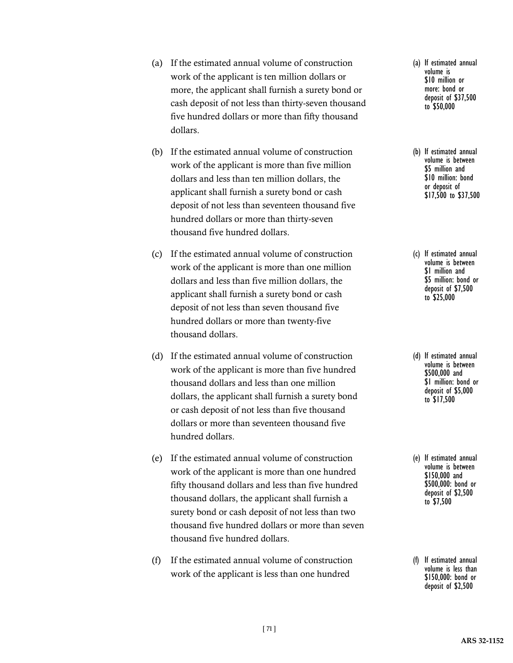- (a) If the estimated annual volume of construction work of the applicant is ten million dollars or more, the applicant shall furnish a surety bond or cash deposit of not less than thirty-seven thousand five hundred dollars or more than fifty thousand dollars.
- (b) If the estimated annual volume of construction work of the applicant is more than five million dollars and less than ten million dollars, the applicant shall furnish a surety bond or cash deposit of not less than seventeen thousand five hundred dollars or more than thirty-seven thousand five hundred dollars.
- (c) If the estimated annual volume of construction work of the applicant is more than one million dollars and less than five million dollars, the applicant shall furnish a surety bond or cash deposit of not less than seven thousand five hundred dollars or more than twenty-five thousand dollars.
- (d) If the estimated annual volume of construction work of the applicant is more than five hundred thousand dollars and less than one million dollars, the applicant shall furnish a surety bond or cash deposit of not less than five thousand dollars or more than seventeen thousand five hundred dollars.
- (e) If the estimated annual volume of construction work of the applicant is more than one hundred fifty thousand dollars and less than five hundred thousand dollars, the applicant shall furnish a surety bond or cash deposit of not less than two thousand five hundred dollars or more than seven thousand five hundred dollars.
- (f) If the estimated annual volume of construction work of the applicant is less than one hundred
- (a) If estimated annual volume is \$10 million or more: bond or deposit of \$37,500 to \$50,000
- (b) If estimated annual volume is between \$5 million and \$10 million: bond or deposit of \$17,500 to \$37,500
- (c) If estimated annual volume is between \$1 million and \$5 million: bond or deposit of \$7,500 to \$25,000
- (d) If estimated annual volume is between \$500,000 and \$1 million: bond or deposit of \$5,000 to \$17,500
- (e) If estimated annual volume is between \$150,000 and \$500,000: bond or deposit of \$2,500 to \$7,500
- (f) If estimated annual volume is less than \$150,000: bond or deposit of \$2,500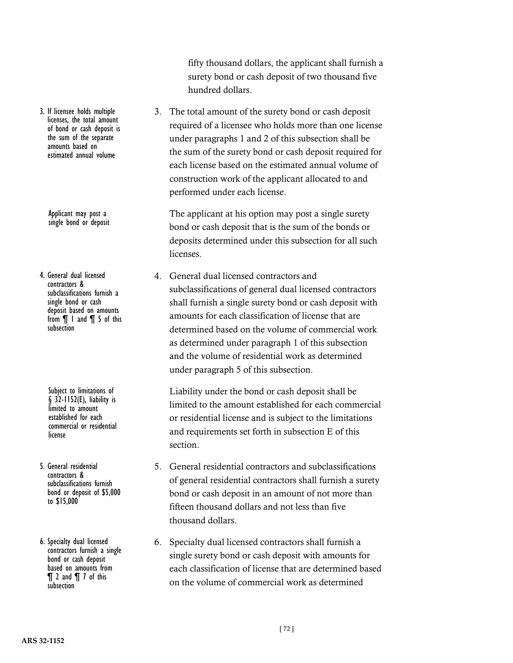3. If licensee holds multiple licenses, the total amount of bond or cash deposit is the sum of the separate amounts based on estimated annual volume

> Applicant may post a single bond or deposit

4. General dual licensed contractors & subclassifications furnish a single bond or cash deposit based on amounts from ¶ 1 and ¶ 5 of this subsection

> Subject to limitations of  $§$  32-1152(E), liability is limited to amount established for each commercial or residential license

5. General residential contractors & subclassifications furnish bond or deposit of \$5,000 to \$15,000

6. Specialty dual licensed contractors furnish a single bond or cash deposit based on amounts from ¶ 2 and ¶ 7 of this subsection

fifty thousand dollars, the applicant shall furnish a surety bond or cash deposit of two thousand five hundred dollars.

3. The total amount of the surety bond or cash deposit required of a licensee who holds more than one license under paragraphs 1 and 2 of this subsection shall be the sum of the surety bond or cash deposit required for each license based on the estimated annual volume of construction work of the applicant allocated to and performed under each license.

The applicant at his option may post a single surety bond or cash deposit that is the sum of the bonds or deposits determined under this subsection for all such licenses.

4. General dual licensed contractors and subclassifications of general dual licensed contractors shall furnish a single surety bond or cash deposit with amounts for each classification of license that are determined based on the volume of commercial work as determined under paragraph 1 of this subsection and the volume of residential work as determined under paragraph 5 of this subsection.

Liability under the bond or cash deposit shall be limited to the amount established for each commercial or residential license and is subject to the limitations and requirements set forth in subsection E of this section.

- 5. General residential contractors and subclassifications of general residential contractors shall furnish a surety bond or cash deposit in an amount of not more than fifteen thousand dollars and not less than five thousand dollars.
- 6. Specialty dual licensed contractors shall furnish a single surety bond or cash deposit with amounts for each classification of license that are determined based on the volume of commercial work as determined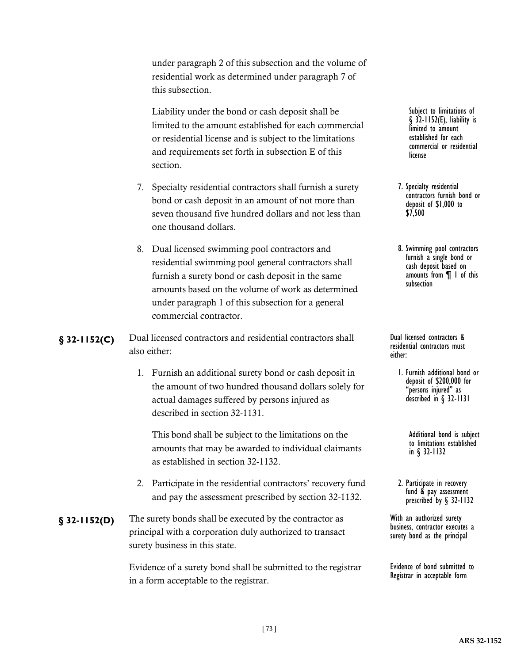under paragraph 2 of this subsection and the volume of residential work as determined under paragraph 7 of this subsection.

Liability under the bond or cash deposit shall be limited to the amount established for each commercial or residential license and is subject to the limitations and requirements set forth in subsection E of this section.

- 7. Specialty residential contractors shall furnish a surety bond or cash deposit in an amount of not more than seven thousand five hundred dollars and not less than one thousand dollars.
- 8. Dual licensed swimming pool contractors and residential swimming pool general contractors shall furnish a surety bond or cash deposit in the same amounts based on the volume of work as determined under paragraph 1 of this subsection for a general commercial contractor.

### Dual licensed contractors and residential contractors shall **§ 32-1152(C)** Dual licensed contractors & also either:

1. Furnish an additional surety bond or cash deposit in the amount of two hundred thousand dollars solely for actual damages suffered by persons injured as described in section 32-1131.

This bond shall be subject to the limitations on the amounts that may be awarded to individual claimants as established in section 32-1132.

- 2. Participate in the residential contractors' recovery fund and pay the assessment prescribed by section 32-1132.
- **§ 32-1152(D)** The surety bonds shall be executed by the contractor as With an authorized surety principal with a corporation duly authorized to transact surety business in this state.

Evidence of a surety bond shall be submitted to the registrar in a form acceptable to the registrar.

Subject to limitations of § 32-1152(E), liability is limited to amount established for each commercial or residential license

- 7. Specialty residential contractors furnish bond or deposit of \$1,000 to \$7,500
- 8. Swimming pool contractors furnish a single bond or cash deposit based on amounts from ¶ 1 of this subsection

residential contractors must either:

1. Furnish additional bond or deposit of \$200,000 for "persons injured" as described in § 32-1131

> Additional bond is subject to limitations established in § 32-1132

2. Participate in recovery fund & pay assessment prescribed by § 32-1132

business, contractor executes a surety bond as the principal

Evidence of bond submitted to Registrar in acceptable form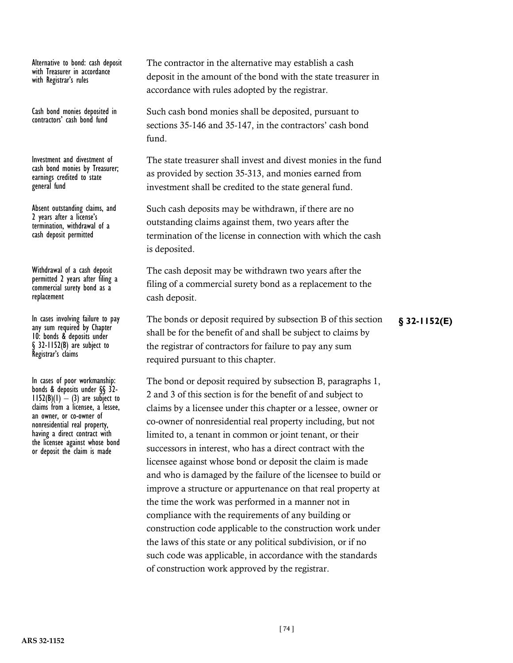Alternative to bond: cash deposit with Treasurer in accordance with Registrar's rules

Cash bond monies deposited in contractors' cash bond fund

Investment and divestment of cash bond monies by Treasurer; earnings credited to state general fund

Absent outstanding claims, and 2 years after a license's termination, withdrawal of a cash deposit permitted

Withdrawal of a cash deposit permitted 2 years after filing a commercial surety bond as a replacement

In cases involving failure to pay<br>any sum required by Chapter 10: bonds & deposits under § 32-1152(B) are subject to Registrar's claims

In cases of poor workmanship:<br>bonds & deposits under §§ 32- $1152(B)(1) - (3)$  are subject to claims from a licensee, a lessee, an owner, or co-owner of nonresidential real property, having a direct contract with the licensee against whose bond or deposit the claim is made

The contractor in the alternative may establish a cash deposit in the amount of the bond with the state treasurer in accordance with rules adopted by the registrar.

Such cash bond monies shall be deposited, pursuant to sections 35-146 and 35-147, in the contractors' cash bond fund.

The state treasurer shall invest and divest monies in the fund as provided by section 35-313, and monies earned from investment shall be credited to the state general fund.

Such cash deposits may be withdrawn, if there are no outstanding claims against them, two years after the termination of the license in connection with which the cash is deposited.

The cash deposit may be withdrawn two years after the filing of a commercial surety bond as a replacement to the cash deposit.

In cases involving failure to pay The bonds or deposit required by subsection B of this section **§** 32-1152(E) shall be for the benefit of and shall be subject to claims by the registrar of contractors for failure to pay any sum required pursuant to this chapter.

The bond or deposit required by subsection B, paragraphs 1, 2 and 3 of this section is for the benefit of and subject to claims by a licensee under this chapter or a lessee, owner or co-owner of nonresidential real property including, but not limited to, a tenant in common or joint tenant, or their successors in interest, who has a direct contract with the licensee against whose bond or deposit the claim is made and who is damaged by the failure of the licensee to build or improve a structure or appurtenance on that real property at the time the work was performed in a manner not in compliance with the requirements of any building or construction code applicable to the construction work under the laws of this state or any political subdivision, or if no such code was applicable, in accordance with the standards of construction work approved by the registrar.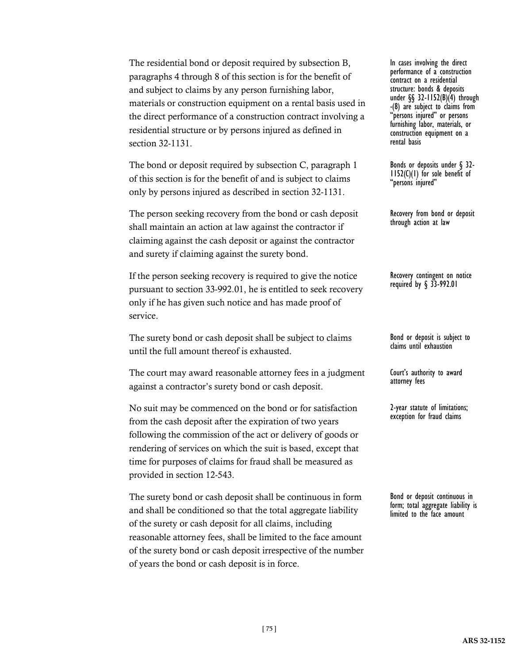The residential bond or deposit required by subsection B, paragraphs 4 through 8 of this section is for the benefit of and subject to claims by any person furnishing labor, materials or construction equipment on a rental basis used in the direct performance of a construction contract involving a residential structure or by persons injured as defined in section 32-1131.

The bond or deposit required by subsection C, paragraph 1 of this section is for the benefit of and is subject to claims only by persons injured as described in section 32-1131.

The person seeking recovery from the bond or cash deposit shall maintain an action at law against the contractor if claiming against the cash deposit or against the contractor and surety if claiming against the surety bond.

If the person seeking recovery is required to give the notice pursuant to section 33-992.01, he is entitled to seek recovery only if he has given such notice and has made proof of service.

The surety bond or cash deposit shall be subject to claims until the full amount thereof is exhausted.

The court may award reasonable attorney fees in a judgment against a contractor's surety bond or cash deposit.

No suit may be commenced on the bond or for satisfaction from the cash deposit after the expiration of two years following the commission of the act or delivery of goods or rendering of services on which the suit is based, except that time for purposes of claims for fraud shall be measured as provided in section 12-543.

The surety bond or cash deposit shall be continuous in form and shall be conditioned so that the total aggregate liability of the surety or cash deposit for all claims, including reasonable attorney fees, shall be limited to the face amount of the surety bond or cash deposit irrespective of the number of years the bond or cash deposit is in force.

In cases involving the direct performance of a construction contract on a residential structure: bonds & deposits under §§ 32-1152(B)(4) through -(8) are subject to claims from<br>"persons injured" or persons furnishing labor, materials, or construction equipment on a rental basis

Bonds or deposits under § 32- 1152(C)(1) for sole benefit of "persons injured"

Recovery from bond or deposit through action at law

Recovery contingent on notice required by § 33-992.01

Bond or deposit is subject to claims until exhaustion

Court's authority to award attorney fees

2-year statute of limitations; exception for fraud claims

Bond or deposit continuous in form; total aggregate liability is limited to the face amount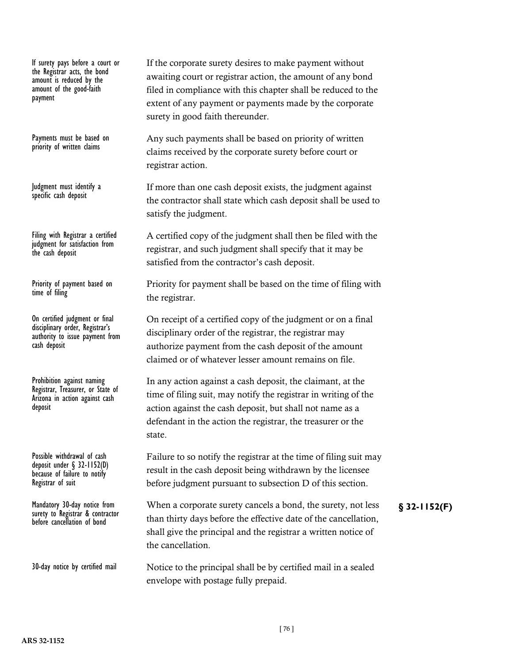If surety pays before a court or the Registrar acts, the bond amount is reduced by the amount of the good-faith payment

Payments must be based on priority of written claims

Judgment must identify a specific cash deposit

Filing with Registrar a certified judgment for satisfaction from the cash deposit

Priority of payment based on time of filing

On certified judgment or final disciplinary order, Registrar's authority to issue payment from cash deposit

Prohibition against naming Registrar, Treasurer, or State of Arizona in action against cash deposit

Possible withdrawal of cash deposit under § 32-1152(D) because of failure to notify Registrar of suit

surety to Registrar & contractor before cancellation of bond

30-day notice by certified mail

If the corporate surety desires to make payment without awaiting court or registrar action, the amount of any bond filed in compliance with this chapter shall be reduced to the extent of any payment or payments made by the corporate surety in good faith thereunder.

Any such payments shall be based on priority of written claims received by the corporate surety before court or registrar action.

If more than one cash deposit exists, the judgment against the contractor shall state which cash deposit shall be used to satisfy the judgment.

A certified copy of the judgment shall then be filed with the registrar, and such judgment shall specify that it may be satisfied from the contractor's cash deposit.

Priority for payment shall be based on the time of filing with the registrar.

On receipt of a certified copy of the judgment or on a final disciplinary order of the registrar, the registrar may authorize payment from the cash deposit of the amount claimed or of whatever lesser amount remains on file.

In any action against a cash deposit, the claimant, at the time of filing suit, may notify the registrar in writing of the action against the cash deposit, but shall not name as a defendant in the action the registrar, the treasurer or the state.

Failure to so notify the registrar at the time of filing suit may result in the cash deposit being withdrawn by the licensee before judgment pursuant to subsection D of this section.

Mandatory 30-day notice from When a corporate surety cancels a bond, the surety, not less **§** 32-1152(F) than thirty days before the effective date of the cancellation, shall give the principal and the registrar a written notice of the cancellation.

> Notice to the principal shall be by certified mail in a sealed envelope with postage fully prepaid.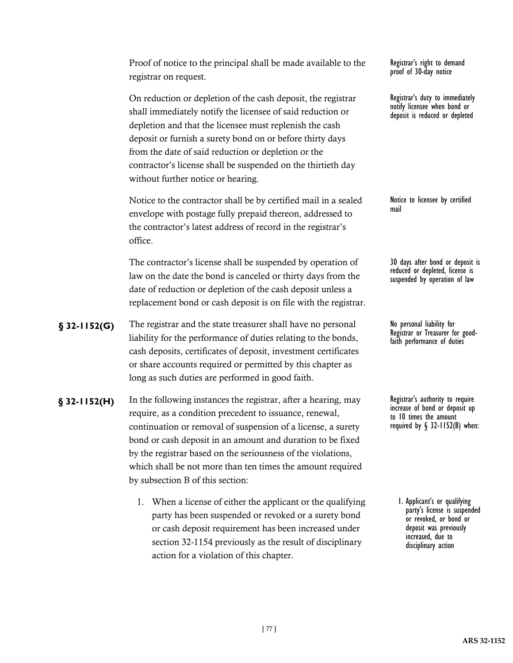Proof of notice to the principal shall be made available to the registrar on request.

On reduction or depletion of the cash deposit, the registrar shall immediately notify the licensee of said reduction or depletion and that the licensee must replenish the cash deposit or furnish a surety bond on or before thirty days from the date of said reduction or depletion or the contractor's license shall be suspended on the thirtieth day without further notice or hearing.

Notice to the contractor shall be by certified mail in a sealed envelope with postage fully prepaid thereon, addressed to the contractor's latest address of record in the registrar's office.

The contractor's license shall be suspended by operation of law on the date the bond is canceled or thirty days from the date of reduction or depletion of the cash deposit unless a replacement bond or cash deposit is on file with the registrar.

- **§** 32-1152(G) The registrar and the state treasurer shall have no personal No personal liability for liability for the performance of duties relating to the bonds, cash deposits, certificates of deposit, investment certificates or share accounts required or permitted by this chapter as long as such duties are performed in good faith.
- **§** 32-1152(H) In the following instances the registrar, after a hearing, may Registrar's authority to require require, as a condition precedent to issuance, renewal, continuation or removal of suspension of a license, a surety bond or cash deposit in an amount and duration to be fixed by the registrar based on the seriousness of the violations, which shall be not more than ten times the amount required by subsection B of this section:
	- 1. When a license of either the applicant or the qualifying party has been suspended or revoked or a surety bond or cash deposit requirement has been increased under section 32-1154 previously as the result of disciplinary action for a violation of this chapter.

Registrar's right to demand proof of 30-day notice

Registrar's duty to immediately notify licensee when bond or deposit is reduced or depleted

Notice to licensee by certified mail

30 days after bond or deposit is reduced or depleted, license is suspended by operation of law

Registrar or Treasurer for good- faith performance of duties

increase of bond or deposit up to 10 times the amount required by  $\S$  32-1152(B) when:

1. Applicant's or qualifying party's license is suspended or revoked, or bond or deposit was previously increased, due to disciplinary action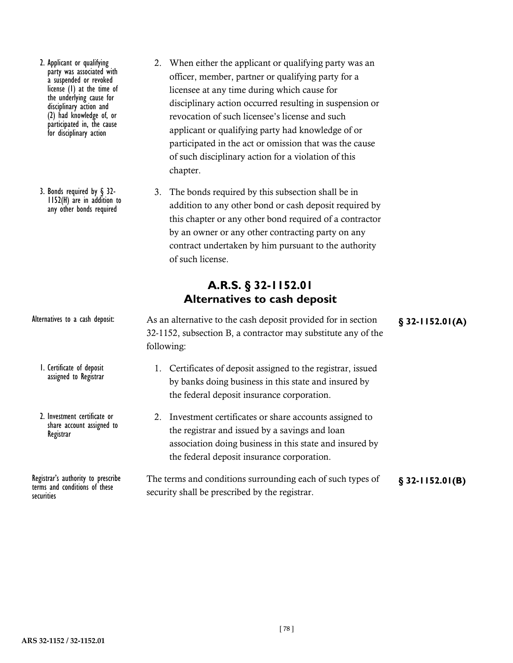- 2. Applicant or qualifying party was associated with a suspended or revoked license (1) at the time of the underlying cause for disciplinary action and (2) had knowledge of, or participated in, the cause for disciplinary action
- 3. Bonds required by § 32- 1152(H) are in addition to any other bonds required
- 2. When either the applicant or qualifying party was an officer, member, partner or qualifying party for a licensee at any time during which cause for disciplinary action occurred resulting in suspension or revocation of such licensee's license and such applicant or qualifying party had knowledge of or participated in the act or omission that was the cause of such disciplinary action for a violation of this chapter.
- 3. The bonds required by this subsection shall be in addition to any other bond or cash deposit required by this chapter or any other bond required of a contractor by an owner or any other contracting party on any contract undertaken by him pursuant to the authority of such license.

# **A.R.S. § 32-1152.01 Alternatives to cash deposit**

| Alternatives to a cash deposit:                                                           | As an alternative to the cash deposit provided for in section<br>32-1152, subsection B, a contractor may substitute any of the<br>following:                                                                        | $$32-1152.01(A)$ |
|-------------------------------------------------------------------------------------------|---------------------------------------------------------------------------------------------------------------------------------------------------------------------------------------------------------------------|------------------|
| I. Certificate of deposit<br>assigned to Registrar                                        | 1. Certificates of deposit assigned to the registrar, issued<br>by banks doing business in this state and insured by<br>the federal deposit insurance corporation.                                                  |                  |
| 2. Investment certificate or<br>share account assigned to<br>Registrar                    | 2. Investment certificates or share accounts assigned to<br>the registrar and issued by a savings and loan<br>association doing business in this state and insured by<br>the federal deposit insurance corporation. |                  |
| Registrar's authority to prescribe<br>terms and conditions of these<br><b>CACULTITIAS</b> | The terms and conditions surrounding each of such types of<br>security shall be prescribed by the registrar.                                                                                                        | $$32-1152.01(B)$ |

securities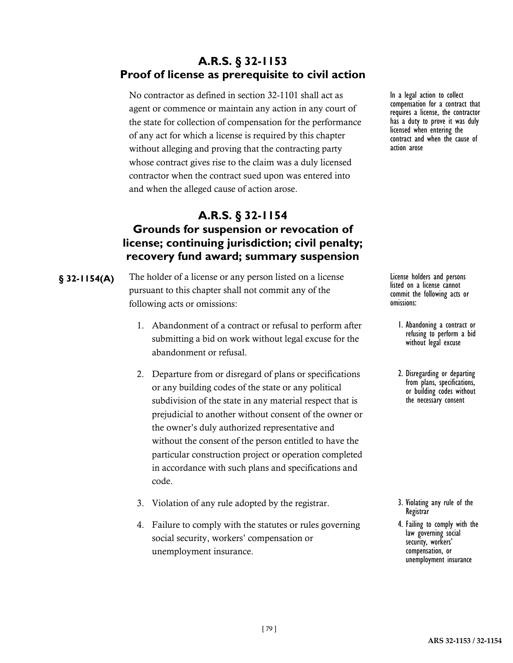# **A.R.S. § 32-1153 Proof of license as prerequisite to civil action**

No contractor as defined in section 32-1101 shall act as agent or commence or maintain any action in any court of the state for collection of compensation for the performance of any act for which a license is required by this chapter without alleging and proving that the contracting party whose contract gives rise to the claim was a duly licensed contractor when the contract sued upon was entered into and when the alleged cause of action arose.

# **A.R.S. § 32-1154 Grounds for suspension or revocation of license; continuing jurisdiction; civil penalty; recovery fund award; summary suspension**

- **§ 32-1154(A)** The holder of a license or any person listed on a license **License** license holders and persons pursuant to this chapter shall not commit any of the following acts or omissions:
	- 1. Abandonment of a contract or refusal to perform after submitting a bid on work without legal excuse for the abandonment or refusal.
	- 2. Departure from or disregard of plans or specifications or any building codes of the state or any political subdivision of the state in any material respect that is prejudicial to another without consent of the owner or the owner's duly authorized representative and without the consent of the person entitled to have the particular construction project or operation completed in accordance with such plans and specifications and code.
	- 3. Violation of any rule adopted by the registrar.
	- 4. Failure to comply with the statutes or rules governing social security, workers' compensation or unemployment insurance.

In a legal action to collect compensation for a contract that requires a license, the contractor has a duty to prove it was duly licensed when entering the contract and when the cause of action arose

listed on a license cannot commit the following acts or omissions:

- 1. Abandoning a contract or refusing to perform a bid without legal excuse
- 2. Disregarding or departing or building codes without the necessary consent

- 3. Violating any rule of the Registrar
- 4. Failing to comply with the law governing social security, workers' compensation, or unemployment insurance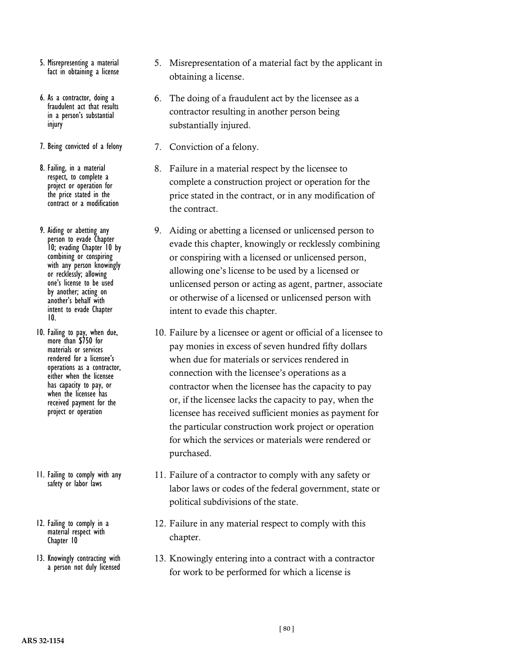- 5. Misrepresenting a material fact in obtaining a license
- 6. As a contractor, doing a fraudulent act that results in a person's substantial injury
- 7. Being convicted of a felony
- 8. Failing, in a material respect, to complete a project or operation for the price stated in the contract or a modification
- 9. Aiding or abetting any person to evade Chapter 10; evading Chapter 10 by combining or conspiring with any person knowingly or recklessly; allowing one's license to be used by another; acting on another's behalf with intent to evade Chapter 10.
- 10. Failing to pay, when due, more than \$750 for materials or services rendered for a licensee's operations as a contractor, either when the licensee has capacity to pay, or when the licensee has received payment for the project or operation
- 11. Failing to comply with any safety or labor laws
- 12. Failing to comply in a material respect with Chapter 10
- 13. Knowingly contracting with a person not duly licensed
- 5. Misrepresentation of a material fact by the applicant in obtaining a license.
- 6. The doing of a fraudulent act by the licensee as a contractor resulting in another person being substantially injured.
- 7. Conviction of a felony.
- 8. Failure in a material respect by the licensee to complete a construction project or operation for the price stated in the contract, or in any modification of the contract.
- 9. Aiding or abetting a licensed or unlicensed person to evade this chapter, knowingly or recklessly combining or conspiring with a licensed or unlicensed person, allowing one's license to be used by a licensed or unlicensed person or acting as agent, partner, associate or otherwise of a licensed or unlicensed person with intent to evade this chapter.
- 10. Failure by a licensee or agent or official of a licensee to pay monies in excess of seven hundred fifty dollars when due for materials or services rendered in connection with the licensee's operations as a contractor when the licensee has the capacity to pay or, if the licensee lacks the capacity to pay, when the licensee has received sufficient monies as payment for the particular construction work project or operation for which the services or materials were rendered or purchased.
- 11. Failure of a contractor to comply with any safety or labor laws or codes of the federal government, state or political subdivisions of the state.
- 12. Failure in any material respect to comply with this chapter.
- 13. Knowingly entering into a contract with a contractor for work to be performed for which a license is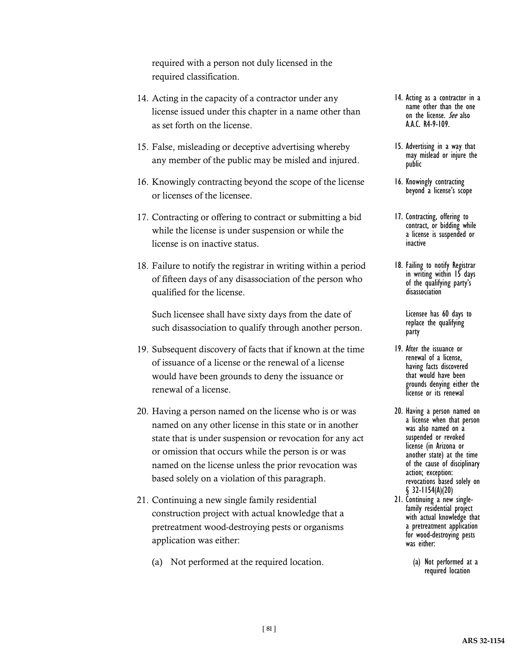required with a person not duly licensed in the required classification.

- 14. Acting in the capacity of a contractor under any license issued under this chapter in a name other than as set forth on the license.
- 15. False, misleading or deceptive advertising whereby any member of the public may be misled and injured.
- 16. Knowingly contracting beyond the scope of the license or licenses of the licensee.
- 17. Contracting or offering to contract or submitting a bid while the license is under suspension or while the license is on inactive status.
- 18. Failure to notify the registrar in writing within a period of fifteen days of any disassociation of the person who qualified for the license.

Such licensee shall have sixty days from the date of such disassociation to qualify through another person.

- 19. Subsequent discovery of facts that if known at the time of issuance of a license or the renewal of a license would have been grounds to deny the issuance or renewal of a license.
- 20. Having a person named on the license who is or was named on any other license in this state or in another state that is under suspension or revocation for any act or omission that occurs while the person is or was named on the license unless the prior revocation was based solely on a violation of this paragraph.
- 21. Continuing a new single family residential construction project with actual knowledge that a pretreatment wood-destroying pests or organisms application was either:
	- (a) Not performed at the required location.
- 14. Acting as a contractor in a name other than the one on the license. See also A.A.C. R4-9-109.
- 15. Advertising in a way that may mislead or injure the public
- 16. Knowingly contracting beyond a license's scope
- 17. Contracting, offering to contract, or bidding while a license is suspended or inactive
- 18. Failing to notify Registrar in writing within 15 days of the qualifying party's disassociation

Licensee has 60 days to replace the qualifying party

- 19. After the issuance or renewal of a license, having facts discovered that would have been grounds denying either the license or its renewal
- 20. Having a person named on a license when that person was also named on a suspended or revoked license (in Arizona or another state) at the time of the cause of disciplinary action; exception: revocations based solely on § 32-1154(A)(20)
- 21. Continuing a new single- family residential project with actual knowledge that a pretreatment application for wood-destroying pests was either:
	- (a) Not performed at a required location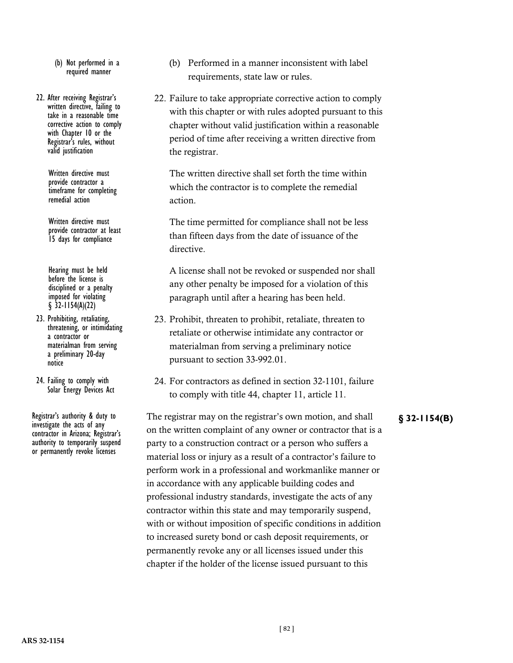- (b) Not performed in a required manner
- 22. After receiving Registrar's written directive, failing to take in a reasonable time corrective action to comply with Chapter 10 or the Registrar's rules, without valid justification

Written directive must provide contractor a timeframe for completing remedial action

Written directive must provide contractor at least 15 days for compliance

Hearing must be held before the license is disciplined or a penalty imposed for violating  $§$  32-1154(A)(22)

- 23. Prohibiting, retaliating, threatening, or intimidating a contractor or materialman from serving a preliminary 20-day notice
- 24. Failing to comply with Solar Energy Devices Act

investigate the acts of any contractor in Arizona; Registrar's authority to temporarily suspend or permanently revoke licenses

- (b) Performed in a manner inconsistent with label requirements, state law or rules.
- 22. Failure to take appropriate corrective action to comply with this chapter or with rules adopted pursuant to this chapter without valid justification within a reasonable period of time after receiving a written directive from the registrar.

The written directive shall set forth the time within which the contractor is to complete the remedial action.

The time permitted for compliance shall not be less than fifteen days from the date of issuance of the directive.

A license shall not be revoked or suspended nor shall any other penalty be imposed for a violation of this paragraph until after a hearing has been held.

- 23. Prohibit, threaten to prohibit, retaliate, threaten to retaliate or otherwise intimidate any contractor or materialman from serving a preliminary notice pursuant to section 33-992.01.
- 24. For contractors as defined in section 32-1101, failure to comply with title 44, chapter 11, article 11.

Registrar's authority & duty to The registrar may on the registrar's own motion, and shall **§** 32-1154(B) on the written complaint of any owner or contractor that is a party to a construction contract or a person who suffers a material loss or injury as a result of a contractor's failure to perform work in a professional and workmanlike manner or in accordance with any applicable building codes and professional industry standards, investigate the acts of any contractor within this state and may temporarily suspend, with or without imposition of specific conditions in addition to increased surety bond or cash deposit requirements, or permanently revoke any or all licenses issued under this chapter if the holder of the license issued pursuant to this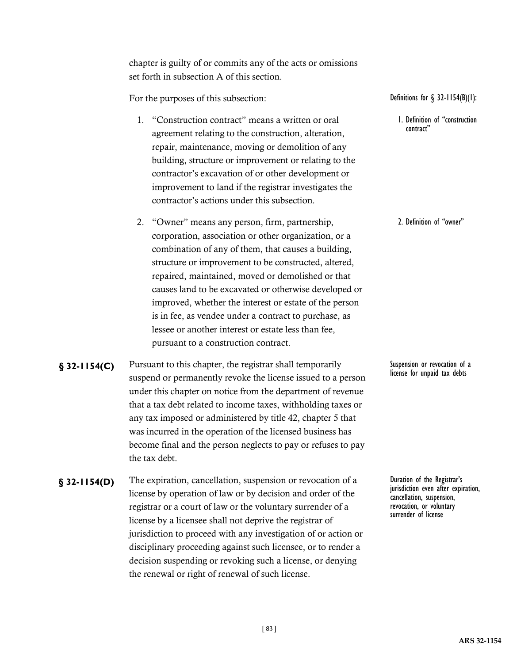chapter is guilty of or commits any of the acts or omissions set forth in subsection A of this section.

For the purposes of this subsection:

- 1. "Construction contract" means a written or oral agreement relating to the construction, alteration, repair, maintenance, moving or demolition of any building, structure or improvement or relating to the contractor's excavation of or other development or improvement to land if the registrar investigates the contractor's actions under this subsection.
- 2. "Owner" means any person, firm, partnership, corporation, association or other organization, or a combination of any of them, that causes a building, structure or improvement to be constructed, altered, repaired, maintained, moved or demolished or that causes land to be excavated or otherwise developed or improved, whether the interest or estate of the person is in fee, as vendee under a contract to purchase, as lessee or another interest or estate less than fee, pursuant to a construction contract.
- **§ 32-1154(C)** Pursuant to this chapter, the registrar shall temporarily Suspension or revocation of a suspend or permanently revoke the license issued to a person under this chapter on notice from the department of revenue that a tax debt related to income taxes, withholding taxes or any tax imposed or administered by title 42, chapter 5 that was incurred in the operation of the licensed business has become final and the person neglects to pay or refuses to pay the tax debt.
- **§** 32-1154(D) The expiration, cancellation, suspension or revocation of a Duration of the Registrar's license by operation of law or by decision and order of the registrar or a court of law or the voluntary surrender of a license by a licensee shall not deprive the registrar of jurisdiction to proceed with any investigation of or action or disciplinary proceeding against such licensee, or to render a decision suspending or revoking such a license, or denying the renewal or right of renewal of such license.

Definitions for § 32-1154(B)(1):

1. Definition of "construction contract"

2. Definition of "owner"

license for unpaid tax debts

jurisdiction even after expiration, cancellation, suspension, revocation, or voluntary surrender of license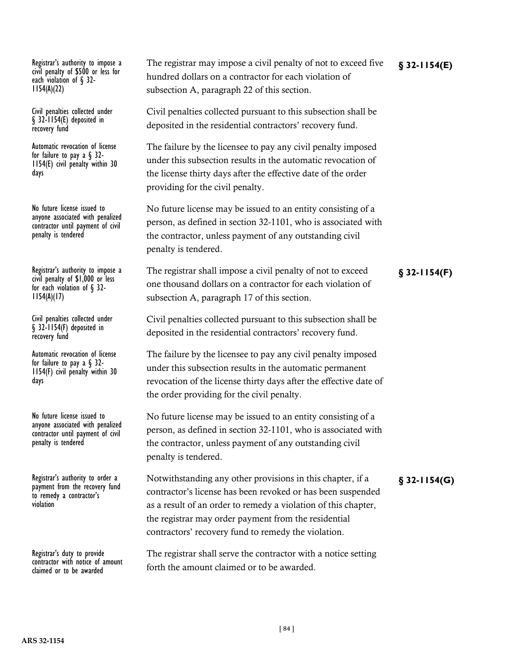civil penalty of \$500 or less for each violation of  $\S$  32-<br>1154(A)(22)

Civil penalties collected under § 32-1154(E) deposited in recovery fund

Automatic revocation of license<br>for failure to pay a  $\S$  32- $1154(E)$  civil penalty within 30 days

No future license issued to anyone associated with penalized contractor until payment of civil penalty is tendered

civil penalty of \$1,000 or less for each violation of  $\S$  32-<br>1154(A)(17)

Civil penalties collected under § 32-1154(F) deposited in recovery fund

Automatic revocation of license<br>for failure to pay a  $\S$  32- $1154(F)$  civil penalty within 30 days

No future license issued to anyone associated with penalized contractor until payment of civil penalty is tendered

payment from the recovery fund to remedy a contractor's violation

Registrar's duty to provide contractor with notice of amount claimed or to be awarded

Registrar's authority to impose a The registrar may impose a civil penalty of not to exceed five § 32-1154(E) hundred dollars on a contractor for each violation of subsection A, paragraph 22 of this section.

> Civil penalties collected pursuant to this subsection shall be deposited in the residential contractors' recovery fund.

> The failure by the licensee to pay any civil penalty imposed under this subsection results in the automatic revocation of the license thirty days after the effective date of the order providing for the civil penalty.

No future license may be issued to an entity consisting of a person, as defined in section 32-1101, who is associated with the contractor, unless payment of any outstanding civil penalty is tendered.

Registrar's authority to impose a The registrar shall impose a civil penalty of not to exceed **§** 32-1154(F) one thousand dollars on a contractor for each violation of subsection A, paragraph 17 of this section.

> Civil penalties collected pursuant to this subsection shall be deposited in the residential contractors' recovery fund.

The failure by the licensee to pay any civil penalty imposed under this subsection results in the automatic permanent revocation of the license thirty days after the effective date of the order providing for the civil penalty.

No future license may be issued to an entity consisting of a person, as defined in section 32-1101, who is associated with the contractor, unless payment of any outstanding civil penalty is tendered.

Registrar's authority to order a Notwithstanding any other provisions in this chapter, if a **§** 32-1154(G) contractor's license has been revoked or has been suspended as a result of an order to remedy a violation of this chapter, the registrar may order payment from the residential contractors' recovery fund to remedy the violation.

> The registrar shall serve the contractor with a notice setting forth the amount claimed or to be awarded.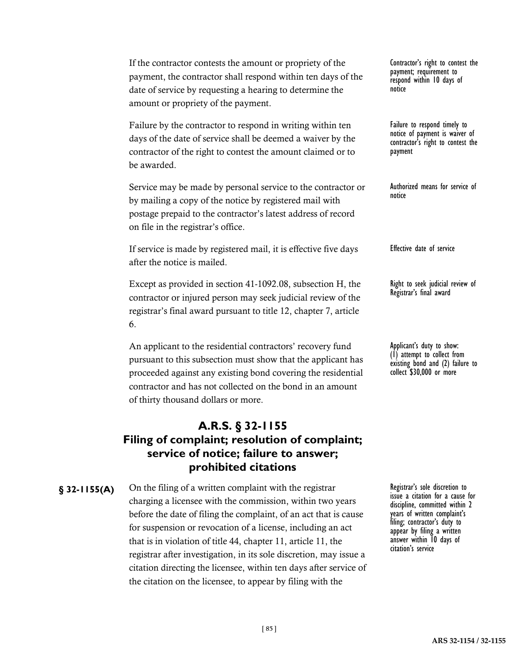If the contractor contests the amount or propriety of the payment, the contractor shall respond within ten days of the date of service by requesting a hearing to determine the amount or propriety of the payment.

Failure by the contractor to respond in writing within ten days of the date of service shall be deemed a waiver by the contractor of the right to contest the amount claimed or to be awarded.

Service may be made by personal service to the contractor or by mailing a copy of the notice by registered mail with postage prepaid to the contractor's latest address of record on file in the registrar's office.

If service is made by registered mail, it is effective five days after the notice is mailed.

Except as provided in section 41-1092.08, subsection H, the contractor or injured person may seek judicial review of the registrar's final award pursuant to title 12, chapter 7, article 6.

An applicant to the residential contractors' recovery fund pursuant to this subsection must show that the applicant has proceeded against any existing bond covering the residential contractor and has not collected on the bond in an amount of thirty thousand dollars or more.

### **A.R.S. § 32-1155 Filing of complaint; resolution of complaint; service of notice; failure to answer; prohibited citations**

**§** 32-1155(A) On the filing of a written complaint with the registrar Registrar's sole discretion to charging a licensee with the commission, within two years before the date of filing the complaint, of an act that is cause for suspension or revocation of a license, including an act that is in violation of title 44, chapter 11, article 11, the registrar after investigation, in its sole discretion, may issue a citation directing the licensee, within ten days after service of the citation on the licensee, to appear by filing with the

Contractor's right to contest the payment; requirement to respond within 10 days of notice

Failure to respond timely to notice of payment is waiver of contractor's right to contest the payment

Authorized means for service of notice

Effective date of service

Right to seek judicial review of Registrar's final award

Applicant's duty to show: (1) attempt to collect from existing bond and (2) failure to collect \$30,000 or more

issue a citation for a cause for discipline, committed within 2 years of written complaint's filing; contractor's duty to appear by filing a written answer within 10 days of citation's service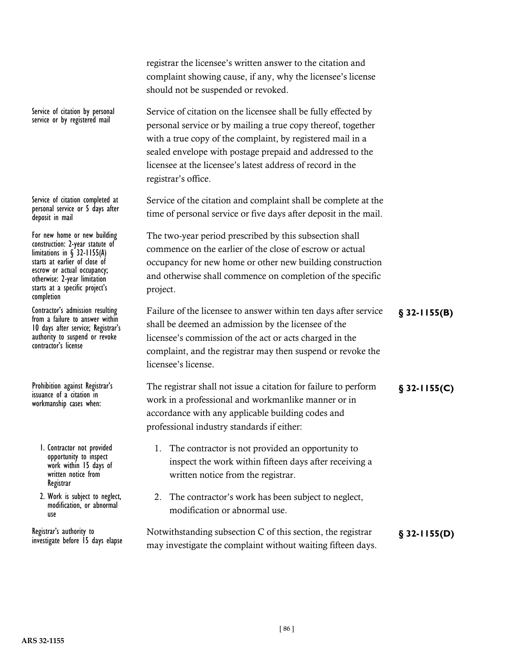|                                                                                                                                                                                                                                                   | complaint showing cause, if any, why the licensee's license<br>should not be suspended or revoked.                                                                                                                                                                                                                                             |                 |
|---------------------------------------------------------------------------------------------------------------------------------------------------------------------------------------------------------------------------------------------------|------------------------------------------------------------------------------------------------------------------------------------------------------------------------------------------------------------------------------------------------------------------------------------------------------------------------------------------------|-----------------|
| Service of citation by personal<br>service or by registered mail                                                                                                                                                                                  | Service of citation on the licensee shall be fully effected by<br>personal service or by mailing a true copy thereof, together<br>with a true copy of the complaint, by registered mail in a<br>sealed envelope with postage prepaid and addressed to the<br>licensee at the licensee's latest address of record in the<br>registrar's office. |                 |
| Service of citation completed at<br>personal service or 5 days after<br>deposit in mail                                                                                                                                                           | Service of the citation and complaint shall be complete at the<br>time of personal service or five days after deposit in the mail.                                                                                                                                                                                                             |                 |
| For new home or new building<br>construction: 2-year statute of<br>limitations in $\S$ 32-1155(A)<br>starts at earlier of close of<br>escrow or actual occupancy;<br>otherwise: 2-year limitation<br>starts at a specific project's<br>completion | The two-year period prescribed by this subsection shall<br>commence on the earlier of the close of escrow or actual<br>occupancy for new home or other new building construction<br>and otherwise shall commence on completion of the specific<br>project.                                                                                     |                 |
| Contractor's admission resulting<br>from a failure to answer within<br>10 days after service; Registrar's<br>authority to suspend or revoke<br>contractor's license                                                                               | Failure of the licensee to answer within ten days after service<br>shall be deemed an admission by the licensee of the<br>licensee's commission of the act or acts charged in the<br>complaint, and the registrar may then suspend or revoke the<br>licensee's license.                                                                        | $$32-1155(B)$   |
| Prohibition against Registrar's<br>issuance of a citation in<br>workmanship cases when:                                                                                                                                                           | The registrar shall not issue a citation for failure to perform<br>work in a professional and workmanlike manner or in<br>accordance with any applicable building codes and<br>professional industry standards if either:                                                                                                                      | $\S$ 32-1155(C) |
| I. Contractor not provided<br>opportunity to inspect<br>work within 15 days of<br>written notice from<br>Registrar                                                                                                                                | The contractor is not provided an opportunity to<br>inspect the work within fifteen days after receiving a<br>written notice from the registrar.                                                                                                                                                                                               |                 |
| 2. Work is subject to neglect,<br>modification, or abnormal<br>use                                                                                                                                                                                | The contractor's work has been subject to neglect,<br>2.<br>modification or abnormal use.                                                                                                                                                                                                                                                      |                 |
| Registrar's authority to<br>investigate before 15 days elapse                                                                                                                                                                                     | Notwithstanding subsection C of this section, the registrar<br>may investigate the complaint without waiting fifteen days.                                                                                                                                                                                                                     | $§$ 32-1155(D)  |

registrar the licensee's written answer to the citation and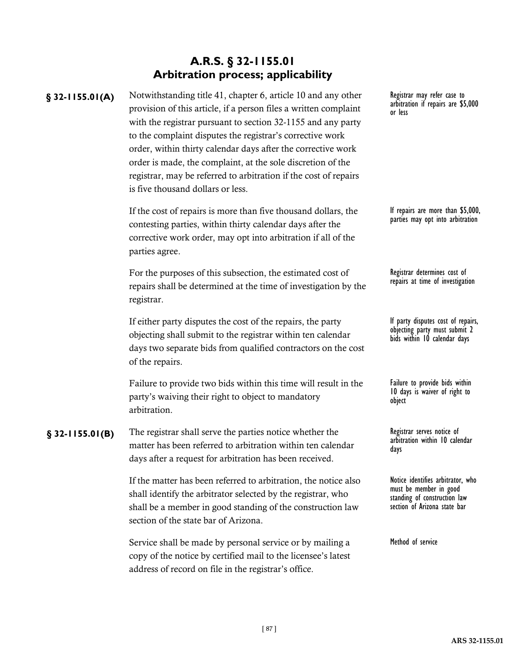# **A.R.S. § 32-1155.01 Arbitration process; applicability**

§ 32-1155.01(A) Notwithstanding title 41, chapter 6, article 10 and any other Registrar may refer case to provision of this article, if a person files a written complaint with the registrar pursuant to section 32-1155 and any party to the complaint disputes the registrar's corrective work order, within thirty calendar days after the corrective work order is made, the complaint, at the sole discretion of the registrar, may be referred to arbitration if the cost of repairs is five thousand dollars or less.

> If the cost of repairs is more than five thousand dollars, the contesting parties, within thirty calendar days after the corrective work order, may opt into arbitration if all of the parties agree.

For the purposes of this subsection, the estimated cost of repairs shall be determined at the time of investigation by the registrar.

If either party disputes the cost of the repairs, the party objecting shall submit to the registrar within ten calendar days two separate bids from qualified contractors on the cost of the repairs.

Failure to provide two bids within this time will result in the party's waiving their right to object to mandatory arbitration.

**§** 32-1155.01(B) The registrar shall serve the parties notice whether the Registrar serves notice of matter has been referred to arbitration within ten calendar days after a request for arbitration has been received.

> If the matter has been referred to arbitration, the notice also shall identify the arbitrator selected by the registrar, who shall be a member in good standing of the construction law section of the state bar of Arizona.

> Service shall be made by personal service or by mailing a copy of the notice by certified mail to the licensee's latest address of record on file in the registrar's office.

arbitration if repairs are \$5,000 or less

If repairs are more than \$5,000, parties may opt into arbitration

Registrar determines cost of repairs at time of investigation

If party disputes cost of repairs, objecting party must submit 2 bids within 10 calendar days

Failure to provide bids within 10 days is waiver of right to object

arbitration within 10 calendar days

Notice identifies arbitrator, who must be member in good standing of construction law section of Arizona state bar

Method of service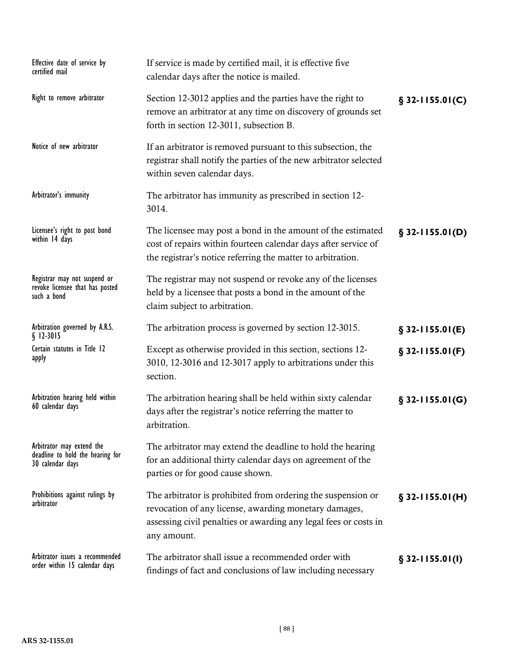| Effective date of service by<br>certified mail                                    | If service is made by certified mail, it is effective five<br>calendar days after the notice is mailed.                                                                                                  |                   |
|-----------------------------------------------------------------------------------|----------------------------------------------------------------------------------------------------------------------------------------------------------------------------------------------------------|-------------------|
| Right to remove arbitrator                                                        | Section 12-3012 applies and the parties have the right to<br>remove an arbitrator at any time on discovery of grounds set<br>forth in section 12-3011, subsection B.                                     | $§$ 32-1155.01(C) |
| Notice of new arbitrator                                                          | If an arbitrator is removed pursuant to this subsection, the<br>registrar shall notify the parties of the new arbitrator selected<br>within seven calendar days.                                         |                   |
| Arbitrator's immunity                                                             | The arbitrator has immunity as prescribed in section 12-<br>3014.                                                                                                                                        |                   |
| Licensee's right to post bond<br>within 14 days                                   | The licensee may post a bond in the amount of the estimated<br>cost of repairs within fourteen calendar days after service of<br>the registrar's notice referring the matter to arbitration.             | $$32-1155.01(D)$  |
| Registrar may not suspend or<br>revoke licensee that has posted<br>such a bond    | The registrar may not suspend or revoke any of the licenses<br>held by a licensee that posts a bond in the amount of the<br>claim subject to arbitration.                                                |                   |
| Arbitration governed by A.R.S.<br>$§$ 12-3015                                     | The arbitration process is governed by section 12-3015.                                                                                                                                                  | $$32-1155.01(E)$  |
| Certain statutes in Title 12<br>apply                                             | Except as otherwise provided in this section, sections 12-<br>3010, 12-3016 and 12-3017 apply to arbitrations under this<br>section.                                                                     | $§$ 32-1155.01(F) |
| Arbitration hearing held within<br>60 calendar days                               | The arbitration hearing shall be held within sixty calendar<br>days after the registrar's notice referring the matter to<br>arbitration.                                                                 | $§$ 32-1155.01(G) |
| Arbitrator may extend the<br>deadline to hold the hearing for<br>30 calendar days | The arbitrator may extend the deadline to hold the hearing<br>for an additional thirty calendar days on agreement of the<br>parties or for good cause shown.                                             |                   |
| Prohibitions against rulings by<br>arbitrator                                     | The arbitrator is prohibited from ordering the suspension or<br>revocation of any license, awarding monetary damages,<br>assessing civil penalties or awarding any legal fees or costs in<br>any amount. | $$32-1155.01(H)$  |
| Arbitrator issues a recommended<br>order within 15 calendar days                  | The arbitrator shall issue a recommended order with<br>findings of fact and conclusions of law including necessary                                                                                       | $$32-1155.01(l)$  |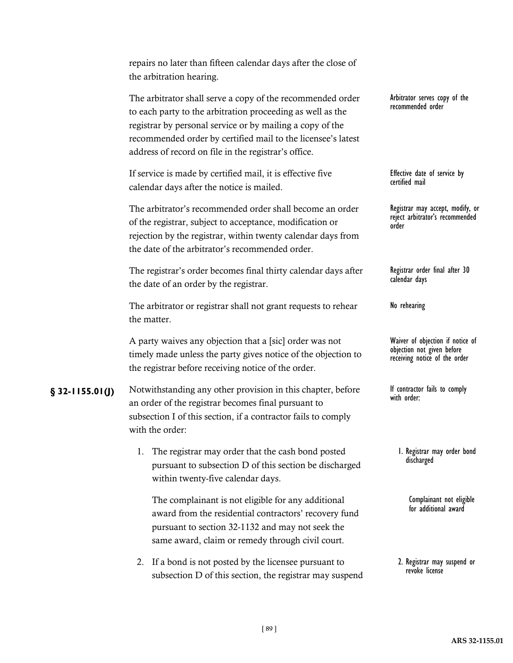|                    | repairs no later than fifteen calendar days after the close of<br>the arbitration hearing.                                                                                                                                                                                                                    |                                                                                                 |
|--------------------|---------------------------------------------------------------------------------------------------------------------------------------------------------------------------------------------------------------------------------------------------------------------------------------------------------------|-------------------------------------------------------------------------------------------------|
|                    | The arbitrator shall serve a copy of the recommended order<br>to each party to the arbitration proceeding as well as the<br>registrar by personal service or by mailing a copy of the<br>recommended order by certified mail to the licensee's latest<br>address of record on file in the registrar's office. | Arbitrator serves copy of the<br>recommended order                                              |
|                    | If service is made by certified mail, it is effective five<br>calendar days after the notice is mailed.                                                                                                                                                                                                       | Effective date of service by<br>certified mail                                                  |
|                    | The arbitrator's recommended order shall become an order<br>of the registrar, subject to acceptance, modification or<br>rejection by the registrar, within twenty calendar days from<br>the date of the arbitrator's recommended order.                                                                       | Registrar may accept, modify, or<br>reject arbitrator's recommended<br>order                    |
|                    | The registrar's order becomes final thirty calendar days after<br>the date of an order by the registrar.                                                                                                                                                                                                      | Registrar order final after 30<br>calendar days                                                 |
|                    | The arbitrator or registrar shall not grant requests to rehear<br>the matter.                                                                                                                                                                                                                                 | No rehearing                                                                                    |
|                    | A party waives any objection that a [sic] order was not<br>timely made unless the party gives notice of the objection to<br>the registrar before receiving notice of the order.                                                                                                                               | Waiver of objection if notice of<br>objection not given before<br>receiving notice of the order |
| $\S$ 32-1155.01(J) | Notwithstanding any other provision in this chapter, before<br>an order of the registrar becomes final pursuant to<br>subsection I of this section, if a contractor fails to comply<br>with the order:                                                                                                        | If contractor fails to comply<br>with order:                                                    |
|                    | The registrar may order that the cash bond posted<br>1.<br>pursuant to subsection D of this section be discharged<br>within twenty-five calendar days.                                                                                                                                                        | I. Registrar may order bond<br>discharged                                                       |
|                    | The complainant is not eligible for any additional<br>award from the residential contractors' recovery fund                                                                                                                                                                                                   | Complainant not eligible<br>for additional award                                                |

2. Registrar may suspend or revoke license

pursuant to section 32-1132 and may not seek the same award, claim or remedy through civil court.

subsection D of this section, the registrar may suspend

2. If a bond is not posted by the licensee pursuant to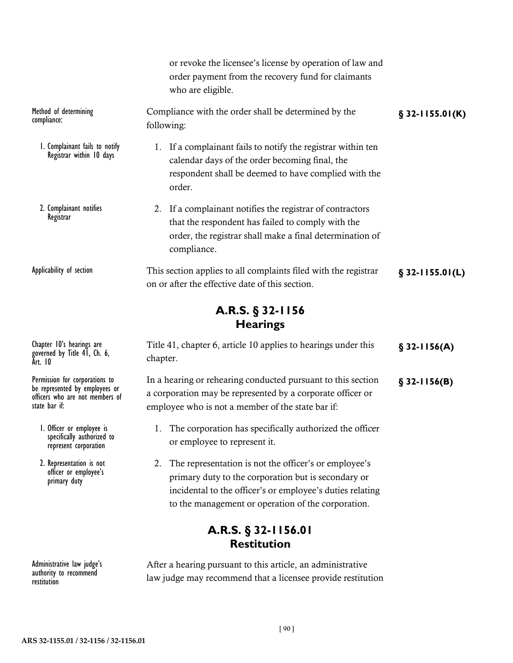|                                                                                                                      | or revoke the licensee's license by operation of law and<br>order payment from the recovery fund for claimants<br>who are eligible.                                                                                                   |                    |
|----------------------------------------------------------------------------------------------------------------------|---------------------------------------------------------------------------------------------------------------------------------------------------------------------------------------------------------------------------------------|--------------------|
| Method of determining<br>compliance:                                                                                 | Compliance with the order shall be determined by the<br>following:                                                                                                                                                                    | $\S$ 32-1155.01(K) |
| 1. Complainant fails to notify<br>Registrar within 10 days                                                           | 1. If a complainant fails to notify the registrar within ten<br>calendar days of the order becoming final, the<br>respondent shall be deemed to have complied with the<br>order.                                                      |                    |
| 2. Complainant notifies<br>Registrar                                                                                 | 2. If a complainant notifies the registrar of contractors<br>that the respondent has failed to comply with the<br>order, the registrar shall make a final determination of<br>compliance.                                             |                    |
| Applicability of section                                                                                             | This section applies to all complaints filed with the registrar<br>on or after the effective date of this section.                                                                                                                    | $$32-1155.01(L)$   |
|                                                                                                                      | A.R.S. § 32-1156<br><b>Hearings</b>                                                                                                                                                                                                   |                    |
| Chapter 10's hearings are<br>governed by Title 41, Ch. 6,<br>Art. 10                                                 | Title 41, chapter 6, article 10 applies to hearings under this<br>chapter.                                                                                                                                                            | $$32-1156(A)$      |
| Permission for corporations to<br>be represented by employees or<br>officers who are not members of<br>state bar if: | In a hearing or rehearing conducted pursuant to this section<br>a corporation may be represented by a corporate officer or<br>employee who is not a member of the state bar if:                                                       | $$32-1156(B)$      |
| I. Officer or employee is<br>specifically authorized to<br>represent corporation                                     | The corporation has specifically authorized the officer<br>or employee to represent it.                                                                                                                                               |                    |
| 2. Representation is not<br>officer or employee's<br>primary duty                                                    | The representation is not the officer's or employee's<br>2.<br>primary duty to the corporation but is secondary or<br>incidental to the officer's or employee's duties relating<br>to the management or operation of the corporation. |                    |
|                                                                                                                      | A.R.S. § 32-1156.01<br><b>Restitution</b>                                                                                                                                                                                             |                    |

After a hearing pursuant to this article, an administrative law judge may recommend that a licensee provide restitution

Administrative law judge's authority to recommend

restitution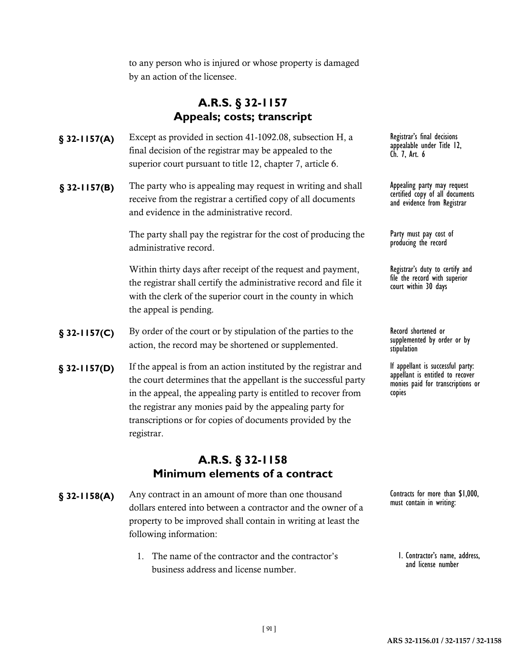to any person who is injured or whose property is damaged by an action of the licensee.

# **A.R.S. § 32-1157 Appeals; costs; transcript**

- **§** 32-1157(A) Except as provided in section 41-1092.08, subsection H, a Registrar's final decisions final decision of the registrar may be appealed to the superior court pursuant to title 12, chapter 7, article 6.
- **§** 32-1157(B) The party who is appealing may request in writing and shall **Appealing party may request** receive from the registrar a certified copy of all documents and evidence in the administrative record.

The party shall pay the registrar for the cost of producing the administrative record.

Within thirty days after receipt of the request and payment, the registrar shall certify the administrative record and file it with the clerk of the superior court in the county in which the appeal is pending.

- **§** 32-1157(C) By order of the court or by stipulation of the parties to the Record shortened or action, the record may be shortened or supplemented.
- **§** 32-1157(D) If the appeal is from an action instituted by the registrar and let appellant is successful party: the court determines that the appellant is the successful party in the appeal, the appealing party is entitled to recover from the registrar any monies paid by the appealing party for transcriptions or for copies of documents provided by the registrar.

### **A.R.S. § 32-1158 Minimum elements of a contract**

- **§ 32-1158(A)** Any contract in an amount of more than one thousand Contracts for more than \$1,000, dollars entered into between a contractor and the owner of a property to be improved shall contain in writing at least the following information:
	- 1. The name of the contractor and the contractor's business address and license number.

appealable under Title 12, Ch. 7, Art. 6

Appealing party may request<br>certified copy of all documents and evidence from Registrar

Party must pay cost of<br>producing the record

Registrar's duty to certify and file the record with superior court within 30 days

supplemented by order or by stipulation

appellant is entitled to recover monies paid for transcriptions or copies

must contain in writing:

1. Contractor's name, address, and license number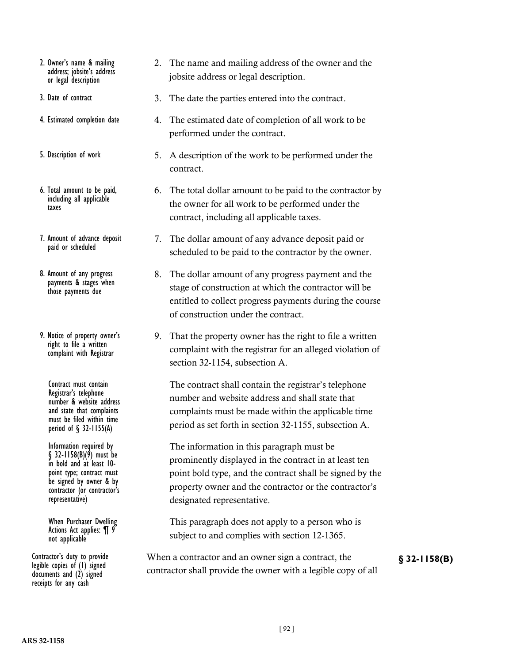- 2. Owner's name & mailing address; jobsite's address or legal description
- 3. Date of contract
- 4. Estimated completion date
- 5. Description of work
- 6. Total amount to be paid, including all applicable taxes
- 7. Amount of advance deposit paid or scheduled
- 8. Amount of any progress payments & stages when those payments due
- 9. Notice of property owner's right to file a written complaint with Registrar

Contract must contain Registrar's telephone number & website address and state that complaints must be filed within time period of § 32-1155(A)

Information required by  $\S$  32-1158(B)(9) must be<br>in bold and at least 10point type; contract must be signed by owner & by contractor (or contractor's representative)

When Purchaser Dwelling Actions Act applies: ¶ 9 not applicable

legible copies of (1) signed documents and (2) signed receipts for any cash

- 2. The name and mailing address of the owner and the jobsite address or legal description.
- 3. The date the parties entered into the contract.
- 4. The estimated date of completion of all work to be performed under the contract.
- 5. A description of the work to be performed under the contract.
- 6. The total dollar amount to be paid to the contractor by the owner for all work to be performed under the contract, including all applicable taxes.
- 7. The dollar amount of any advance deposit paid or scheduled to be paid to the contractor by the owner.
- 8. The dollar amount of any progress payment and the stage of construction at which the contractor will be entitled to collect progress payments during the course of construction under the contract.
- 9. That the property owner has the right to file a written complaint with the registrar for an alleged violation of section 32-1154, subsection A.

The contract shall contain the registrar's telephone number and website address and shall state that complaints must be made within the applicable time period as set forth in section 32-1155, subsection A.

The information in this paragraph must be prominently displayed in the contract in at least ten point bold type, and the contract shall be signed by the property owner and the contractor or the contractor's designated representative.

This paragraph does not apply to a person who is subject to and complies with section 12-1365.

Contractor's duty to provide When a contractor and an owner sign a contract, the **§** 32-1158(B) contractor shall provide the owner with a legible copy of all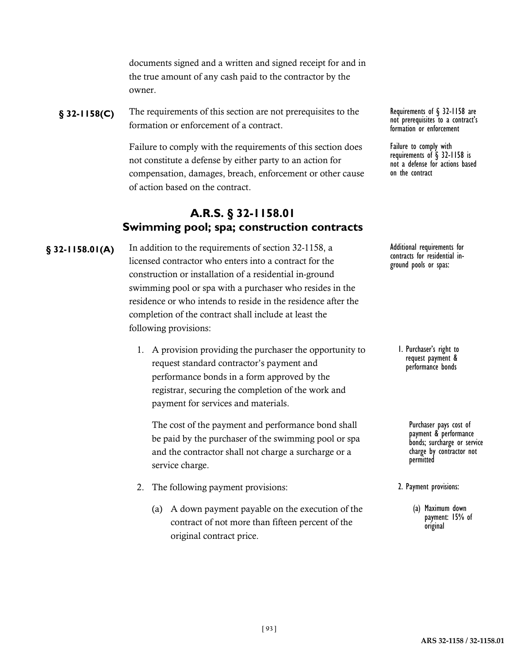documents signed and a written and signed receipt for and in the true amount of any cash paid to the contractor by the owner.

**§** 32-1158(C) The requirements of this section are not prerequisites to the Requirements of § 32-1158 are formation or enforcement of a contract.

> Failure to comply with the requirements of this section does not constitute a defense by either party to an action for compensation, damages, breach, enforcement or other cause of action based on the contract.

# **A.R.S. § 32-1158.01 Swimming pool; spa; construction contracts**

**§** 32-1158.01(A) In addition to the requirements of section 32-1158, a Additional requirements for licensed contractor who enters into a contract for the construction or installation of a residential in-ground swimming pool or spa with a purchaser who resides in the residence or who intends to reside in the residence after the completion of the contract shall include at least the following provisions:

> 1. A provision providing the purchaser the opportunity to request standard contractor's payment and performance bonds in a form approved by the registrar, securing the completion of the work and payment for services and materials.

The cost of the payment and performance bond shall be paid by the purchaser of the swimming pool or spa and the contractor shall not charge a surcharge or a service charge.

- 2. The following payment provisions:
	- (a) A down payment payable on the execution of the contract of not more than fifteen percent of the original contract price.

not prerequisites to a contract's formation or enforcement

Failure to comply with requirements of § 32-1158 is not a defense for actions based on the contract

contracts for residential in- ground pools or spas:

1. Purchaser's right to request payment & performance bonds

> Purchaser pays cost of payment & performance bonds; surcharge or service charge by contractor not permitted

2. Payment provisions:

(a) Maximum down payment: 15% of original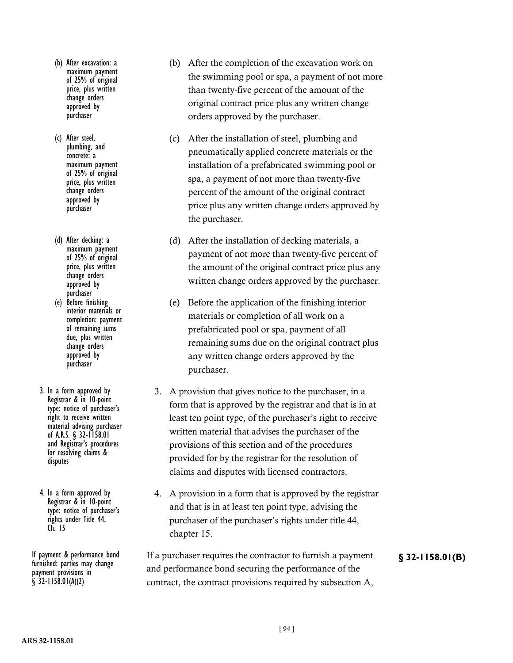- (b) After excavation: a maximum payment of 25% of original price, plus written change orders approved by purchaser
- (c) After steel, plumbing, and concrete: a maximum payment of 25% of original price, plus written change orders approved by purchaser
- (d) After decking: a maximum payment of 25% of original price, plus written change orders approved by purchaser
- (e) Before finishing interior materials or completion: payment of remaining sums due, plus written change orders approved by purchaser
- 3. In a form approved by Registrar & in 10-point type: notice of purchaser's right to receive written material advising purchaser of A.R.S. § 32-1158.01 and Registrar's procedures for resolving claims & disputes
- 4. In a form approved by Registrar & in 10-point type: notice of purchaser's rights under Title 44, Ch. 15

furnished: parties may change payment provisions in  $$32$ -1158.01(A)(2)

- (b) After the completion of the excavation work on the swimming pool or spa, a payment of not more than twenty-five percent of the amount of the original contract price plus any written change orders approved by the purchaser.
- (c) After the installation of steel, plumbing and pneumatically applied concrete materials or the installation of a prefabricated swimming pool or spa, a payment of not more than twenty-five percent of the amount of the original contract price plus any written change orders approved by the purchaser.
- (d) After the installation of decking materials, a payment of not more than twenty-five percent of the amount of the original contract price plus any written change orders approved by the purchaser.
- (e) Before the application of the finishing interior materials or completion of all work on a prefabricated pool or spa, payment of all remaining sums due on the original contract plus any written change orders approved by the purchaser.
- 3. A provision that gives notice to the purchaser, in a form that is approved by the registrar and that is in at least ten point type, of the purchaser's right to receive written material that advises the purchaser of the provisions of this section and of the procedures provided for by the registrar for the resolution of claims and disputes with licensed contractors.
- 4. A provision in a form that is approved by the registrar and that is in at least ten point type, advising the purchaser of the purchaser's rights under title 44, chapter 15.

If payment & performance bond If a purchaser requires the contractor to furnish a payment **§** 32-1158.01(B) and performance bond securing the performance of the contract, the contract provisions required by subsection A,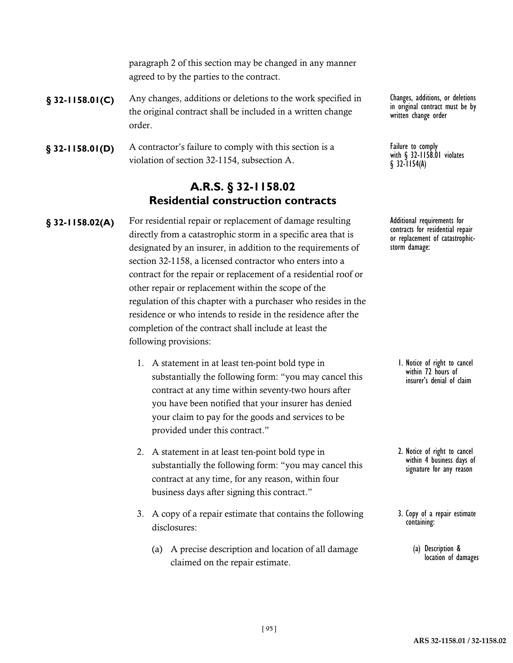paragraph 2 of this section may be changed in any manner agreed to by the parties to the contract.

- **§ 32-1158.01(C)** Any changes, additions or deletions to the work specified in Changes, additions, or deletions the original contract shall be included in a written change order.
- **§ 32-1158.01(D)** A contractor's failure to comply with this section is a **Failure to comply**  $\frac{1}{2}$ violation of section 32-1154, subsection A.

# **A.R.S. § 32-1158.02 Residential construction contracts**

§ 32-1158.02(A) For residential repair or replacement of damage resulting Additional requirements for directly from a catastrophic storm in a specific area that is designated by an insurer, in addition to the requirements of section 32-1158, a licensed contractor who enters into a contract for the repair or replacement of a residential roof or other repair or replacement within the scope of the regulation of this chapter with a purchaser who resides in the residence or who intends to reside in the residence after the completion of the contract shall include at least the following provisions:

- 1. A statement in at least ten-point bold type in substantially the following form: "you may cancel this contract at any time within seventy-two hours after you have been notified that your insurer has denied your claim to pay for the goods and services to be provided under this contract."
- 2. A statement in at least ten-point bold type in substantially the following form: "you may cancel this contract at any time, for any reason, within four business days after signing this contract."
- 3. A copy of a repair estimate that contains the following disclosures:
	- (a) A precise description and location of all damage claimed on the repair estimate.

in original contract must be by written change order

Failure to comply<br>with § 32-1158.01 violates  $$32$ -1154(A)

contracts for residential repair or replacement of catastrophic- storm damage:

1. Notice of right to cancel within 72 hours of insurer's denial of claim

- 2. Notice of right to cancel within 4 business days of signature for any reason
- 3. Copy of a repair estimate containing:
	- (a) Description & location of damages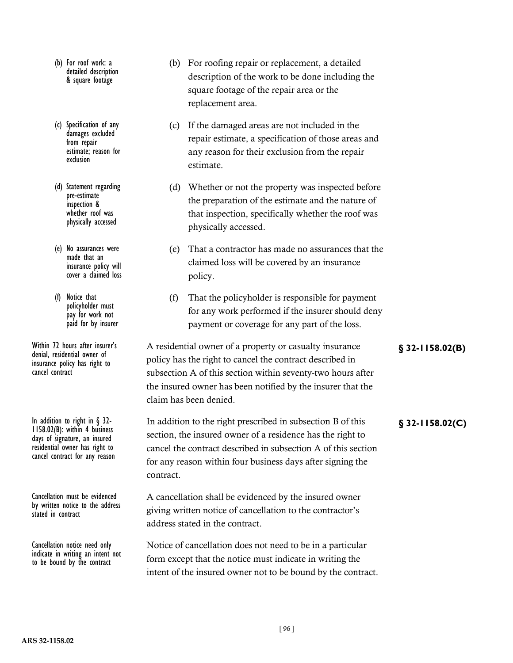- (b) For roof work: a detailed description & square footage
- (c) Specification of any damages excluded from repair estimate; reason for exclusion
- (d) Statement regarding pre-estimate inspection & whether roof was physically accessed
- (e) No assurances were made that an insurance policy will cover a claimed loss
- (f) Notice that policyholder must pay for work not paid for by insurer

denial, residential owner of insurance policy has right to cancel contract

In addition to right in § 32-<br> **In addition to the right prescribed in subsection B of this**<br> **9 32-1158.02(C)**<br> **1158.02(C)** days of signature, an insured residential owner has right to cancel contract for any reason

Cancellation must be evidenced by written notice to the address stated in contract

Cancellation notice need only indicate in writing an intent not to be bound by the contract

- (b) For roofing repair or replacement, a detailed description of the work to be done including the square footage of the repair area or the replacement area.
- (c) If the damaged areas are not included in the repair estimate, a specification of those areas and any reason for their exclusion from the repair estimate.
- (d) Whether or not the property was inspected before the preparation of the estimate and the nature of that inspection, specifically whether the roof was physically accessed.
- (e) That a contractor has made no assurances that the claimed loss will be covered by an insurance policy.
- (f) That the policyholder is responsible for payment for any work performed if the insurer should deny payment or coverage for any part of the loss.

Within 72 hours after insurer's A residential owner of a property or casualty insurance **§** 32-1158.02(B) policy has the right to cancel the contract described in subsection A of this section within seventy-two hours after the insured owner has been notified by the insurer that the claim has been denied.

contract. A cancellation shall be evidenced by the insured owner giving written notice of cancellation to the contractor's

section, the insured owner of a residence has the right to cancel the contract described in subsection A of this section for any reason within four business days after signing the

address stated in the contract.

Notice of cancellation does not need to be in a particular form except that the notice must indicate in writing the intent of the insured owner not to be bound by the contract.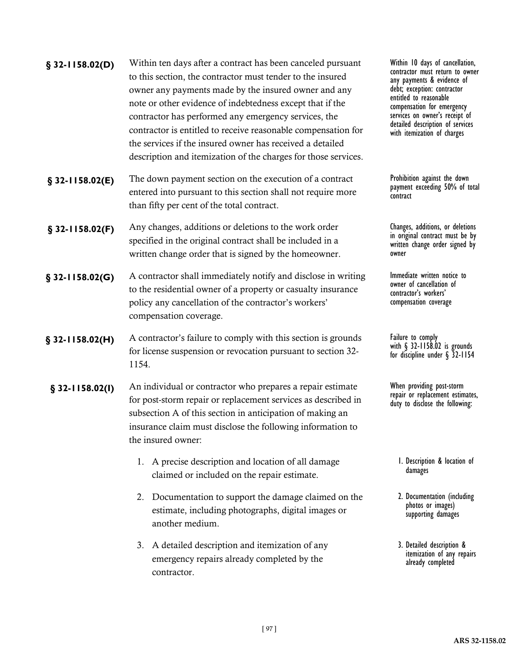| $§$ 32-1158.02(D) | Within ten days after a contract has been canceled pursuant<br>to this section, the contractor must tender to the insured<br>owner any payments made by the insured owner and any<br>note or other evidence of indebtedness except that if the<br>contractor has performed any emergency services, the<br>contractor is entitled to receive reasonable compensation for<br>the services if the insured owner has received a detailed<br>description and itemization of the charges for those services. | Within 10 days of cancellation,<br>contractor must return to owner<br>any payments & evidence of<br>debt; exception: contractor<br>entitled to reasonable<br>compensation for emergency<br>services on owner's receipt of<br>detailed description of services<br>with itemization of charges |
|-------------------|--------------------------------------------------------------------------------------------------------------------------------------------------------------------------------------------------------------------------------------------------------------------------------------------------------------------------------------------------------------------------------------------------------------------------------------------------------------------------------------------------------|----------------------------------------------------------------------------------------------------------------------------------------------------------------------------------------------------------------------------------------------------------------------------------------------|
| $$32-1158.02(E)$  | The down payment section on the execution of a contract<br>entered into pursuant to this section shall not require more<br>than fifty per cent of the total contract.                                                                                                                                                                                                                                                                                                                                  | Prohibition against the down<br>payment exceeding 50% of total<br>contract                                                                                                                                                                                                                   |
| $$32-1158.02(F)$  | Any changes, additions or deletions to the work order<br>specified in the original contract shall be included in a<br>written change order that is signed by the homeowner.                                                                                                                                                                                                                                                                                                                            | Changes, additions, or deletions<br>in original contract must be by<br>written change order signed by<br>owner                                                                                                                                                                               |
| $§$ 32-1158.02(G) | A contractor shall immediately notify and disclose in writing<br>to the residential owner of a property or casualty insurance<br>policy any cancellation of the contractor's workers'<br>compensation coverage.                                                                                                                                                                                                                                                                                        | Immediate written notice to<br>owner of cancellation of<br>contractor's workers'<br>compensation coverage                                                                                                                                                                                    |
| $$32-1158.02(H)$  | A contractor's failure to comply with this section is grounds<br>for license suspension or revocation pursuant to section 32-<br>1154.                                                                                                                                                                                                                                                                                                                                                                 | Failure to comply<br>with $\S$ 32-1158.02 is grounds<br>for discipline under $\S$ 32-1154                                                                                                                                                                                                    |
| $$32-1158.02(1)$  | An individual or contractor who prepares a repair estimate<br>for post-storm repair or replacement services as described in<br>subsection A of this section in anticipation of making an<br>insurance claim must disclose the following information to<br>the insured owner:                                                                                                                                                                                                                           | When providing post-storm<br>repair or replacement estimates,<br>duty to disclose the following:                                                                                                                                                                                             |
|                   | 1. A precise description and location of all damage<br>claimed or included on the repair estimate.                                                                                                                                                                                                                                                                                                                                                                                                     | I. Description & location of<br>damages                                                                                                                                                                                                                                                      |
|                   | Documentation to support the damage claimed on the<br>2.<br>ctive ata sira din dina pela ataman basalinital inggrapa                                                                                                                                                                                                                                                                                                                                                                                   | 2. Documentation (including<br>photos or images)                                                                                                                                                                                                                                             |

- estimate, including photographs, digital images or another medium.
- 3. A detailed description and itemization of any emergency repairs already completed by the contractor.

3. Detailed description & itemization of any repairs already completed

supporting damages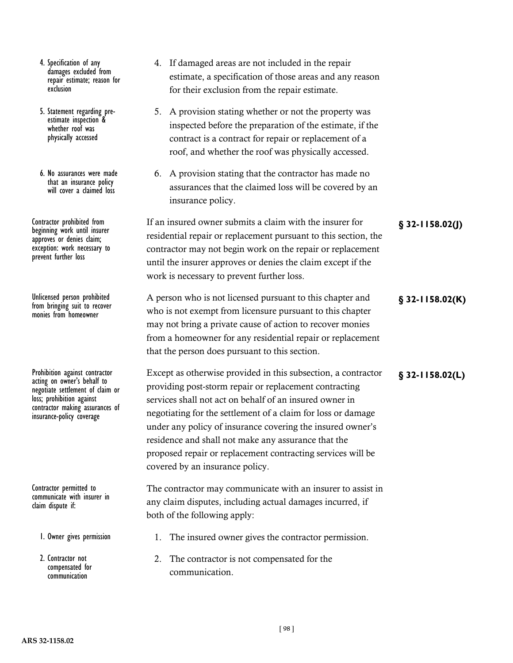- 4. Specification of any damages excluded from repair estimate; reason for exclusion
- 5. Statement regarding pre- estimate inspection & whether roof was physically accessed
- 6. No assurances were made that an insurance policy will cover a claimed loss

beginning work until insurer approves or denies claim; exception: work necessary to prevent further loss

from bringing suit to recover monies from homeowner

acting on owner's behalf to negotiate settlement of claim or loss; prohibition against contractor making assurances of insurance-policy coverage

Contractor permitted to communicate with insurer in claim dispute if:

1. Owner gives permission

2. Contractor not compensated for communication

- 4. If damaged areas are not included in the repair estimate, a specification of those areas and any reason for their exclusion from the repair estimate.
- 5. A provision stating whether or not the property was inspected before the preparation of the estimate, if the contract is a contract for repair or replacement of a roof, and whether the roof was physically accessed.
- 6. A provision stating that the contractor has made no assurances that the claimed loss will be covered by an insurance policy.

If an insured owner submits a claim with the insurer for **§ 32-1158.02(J)** Contractor prohibited from residential repair or replacement pursuant to this section, the contractor may not begin work on the repair or replacement until the insurer approves or denies the claim except if the work is necessary to prevent further loss.

A person who is not licensed pursuant to this chapter and **§ 32-1158.02(K)** Unlicensed person prohibited who is not exempt from licensure pursuant to this chapter may not bring a private cause of action to recover monies from a homeowner for any residential repair or replacement that the person does pursuant to this section.

Prohibition against contractor **Except as otherwise provided in this subsection**, a contractor **§** 32-1158.02(L) providing post-storm repair or replacement contracting services shall not act on behalf of an insured owner in negotiating for the settlement of a claim for loss or damage under any policy of insurance covering the insured owner's residence and shall not make any assurance that the proposed repair or replacement contracting services will be covered by an insurance policy.

> The contractor may communicate with an insurer to assist in any claim disputes, including actual damages incurred, if both of the following apply:

- 1. The insured owner gives the contractor permission.
- 2. The contractor is not compensated for the communication.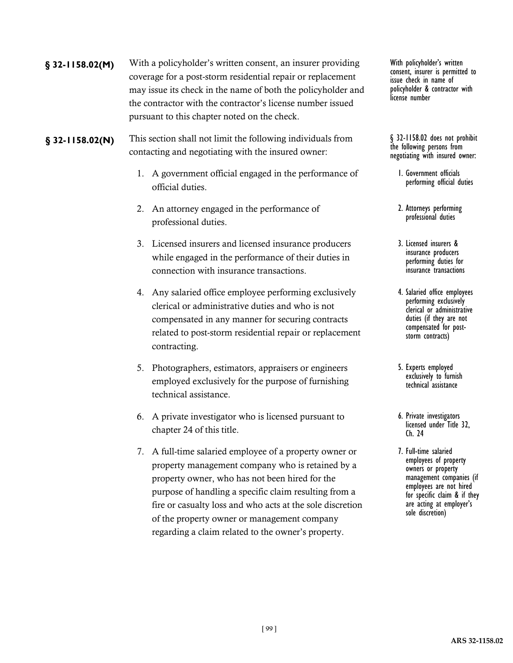- With a policyholder's written consent, an insurer providing **§ 32-1158.02(M)** With policyholder's written coverage for a post-storm residential repair or replacement may issue its check in the name of both the policyholder and the contractor with the contractor's license number issued pursuant to this chapter noted on the check.
- **§ 32-1158.02(N)** This section shall not limit the following individuals from **§** 32-1158.02 does not prohibit contacting and negotiating with the insured owner:
	- 1. A government official engaged in the performance of official duties.
	- 2. An attorney engaged in the performance of professional duties.
	- 3. Licensed insurers and licensed insurance producers while engaged in the performance of their duties in connection with insurance transactions.
	- 4. Any salaried office employee performing exclusively clerical or administrative duties and who is not compensated in any manner for securing contracts related to post-storm residential repair or replacement contracting.
	- 5. Photographers, estimators, appraisers or engineers employed exclusively for the purpose of furnishing technical assistance.
	- 6. A private investigator who is licensed pursuant to chapter 24 of this title.
	- 7. A full-time salaried employee of a property owner or property management company who is retained by a property owner, who has not been hired for the purpose of handling a specific claim resulting from a fire or casualty loss and who acts at the sole discretion of the property owner or management company regarding a claim related to the owner's property.

consent, insurer is permitted to issue check in name of policyholder & contractor with license number

the following persons from negotiating with insured owner:

- 1. Government officials performing official duties
- 2. Attorneys performing professional duties
- 3. Licensed insurers & insurance producers performing duties for insurance transactions
- 4. Salaried office employees performing exclusively clerical or administrative duties (if they are not compensated for post-<br>storm contracts)
- 5. Experts employed exclusively to furnish technical assistance
- 6. Private investigators licensed under Title 32, Ch. 24
- 7. Full-time salaried employees of property owners or property management companies (if employees are not hired for specific claim & if they are acting at employer's sole discretion)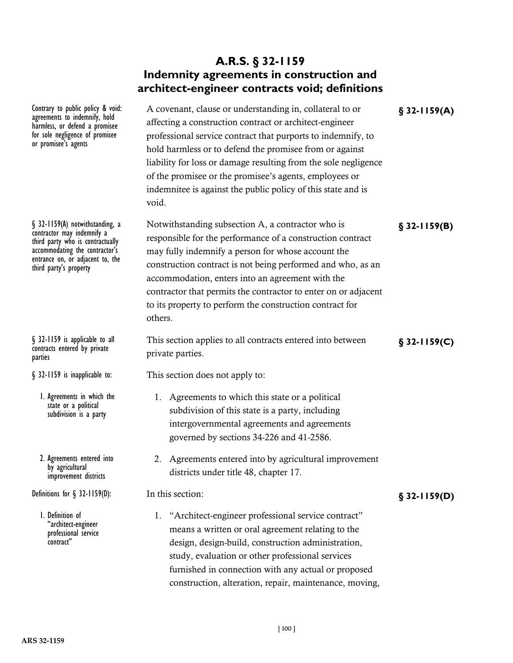# **A.R.S. § 32-1159 Indemnity agreements in construction and architect-engineer contracts void; definitions**

Contrary to public policy & void: A covenant, clause or understanding in, collateral to or **§** 32-1159(A) affecting a construction contract or architect-engineer professional service contract that purports to indemnify, to hold harmless or to defend the promisee from or against liability for loss or damage resulting from the sole negligence of the promisee or the promisee's agents, employees or indemnitee is against the public policy of this state and is void.

§ 32-1159(A) notwithstanding, a Motwithstanding subsection A, a contractor who is **§** 32-1159(B) responsible for the performance of a construction contract may fully indemnify a person for whose account the construction contract is not being performed and who, as an accommodation, enters into an agreement with the contractor that permits the contractor to enter on or adjacent to its property to perform the construction contract for others.

This section applies to all contracts entered into between **§ 32-1159(C)** § 32-1159 is applicable to all private parties.

This section does not apply to:

- 1. Agreements to which this state or a political subdivision of this state is a party, including intergovernmental agreements and agreements governed by sections 34-226 and 41-2586.
- 2. Agreements entered into by agricultural improvement districts under title 48, chapter 17.

In this section:

1. "Architect-engineer professional service contract" means a written or oral agreement relating to the design, design-build, construction administration, study, evaluation or other professional services furnished in connection with any actual or proposed construction, alteration, repair, maintenance, moving,

agreements to indemnify, hold harmless, or defend a promisee for sole negligence of promisee or promisee's agents

contractor may indemnify a third party who is contractually accommodating the contractor's entrance on, or adjacent to, the third party's property

contracts entered by private parties

§ 32-1159 is inapplicable to:

1. Agreements in which the state or a political subdivision is a party

2. Agreements entered into by agricultural improvement districts

**Definitions for § 32-1159(D):** In this section: **S** 32-1159(D)

1. Definition of "architect-engineer professional service contract"

**ARS 32-1159**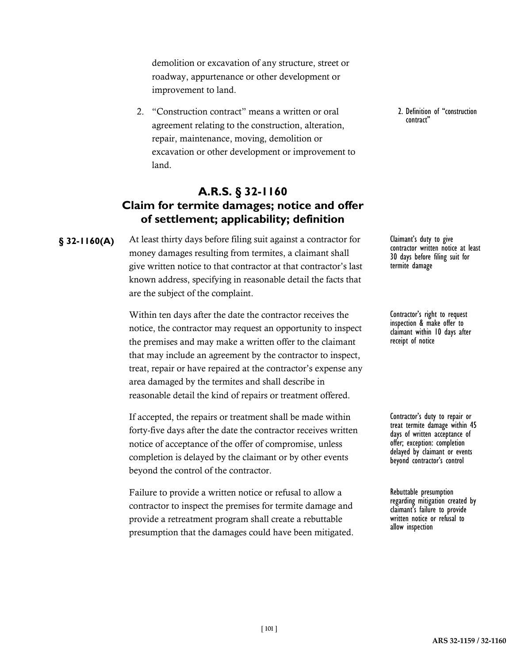demolition or excavation of any structure, street or roadway, appurtenance or other development or improvement to land.

2. "Construction contract" means a written or oral agreement relating to the construction, alteration, repair, maintenance, moving, demolition or excavation or other development or improvement to land.

#### **A.R.S. § 32-1160 Claim for termite damages; notice and offer of settlement; applicability; definition**

At least thirty days before filing suit against a contractor for **§ 32-1160(A)** Claimant's duty to give money damages resulting from termites, a claimant shall give written notice to that contractor at that contractor's last known address, specifying in reasonable detail the facts that are the subject of the complaint.

> Within ten days after the date the contractor receives the notice, the contractor may request an opportunity to inspect the premises and may make a written offer to the claimant that may include an agreement by the contractor to inspect, treat, repair or have repaired at the contractor's expense any area damaged by the termites and shall describe in reasonable detail the kind of repairs or treatment offered.

If accepted, the repairs or treatment shall be made within forty-five days after the date the contractor receives written notice of acceptance of the offer of compromise, unless completion is delayed by the claimant or by other events beyond the control of the contractor.

Failure to provide a written notice or refusal to allow a contractor to inspect the premises for termite damage and provide a retreatment program shall create a rebuttable presumption that the damages could have been mitigated. 2. Definition of "construction contract"

contractor written notice at least 30 days before filing suit for termite damage

Contractor's right to request inspection & make offer to claimant within 10 days after receipt of notice

Contractor's duty to repair or treat termite damage within 45 days of written acceptance of offer; exception: completion delayed by claimant or events beyond contractor's control

Rebuttable presumption regarding mitigation created by claimant's failure to provide written notice or refusal to allow inspection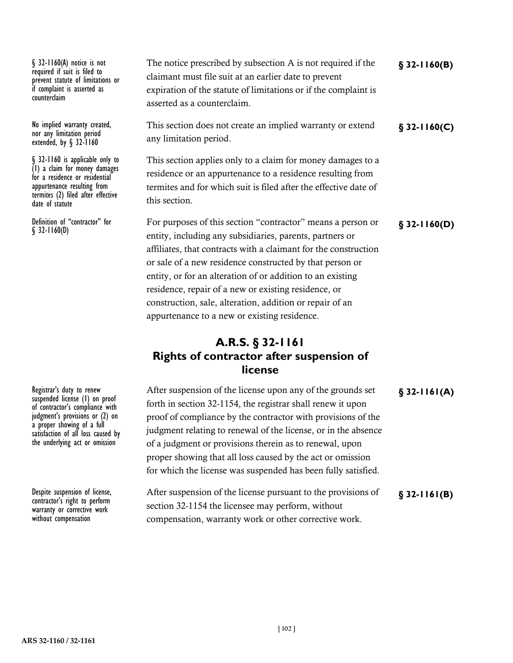required if suit is filed to prevent statute of limitations or if complaint is asserted as counterclaim

nor any limitation period extended, by § 32-1160

§ 32-1160 is applicable only to (1) a claim for money damages for a residence or residential appurtenance resulting from termites (2) filed after effective date of statute

§ 32-1160(D)

The notice prescribed by subsection A is not required if the **§ 32-1160(B)** § 32-1160(A) notice is not claimant must file suit at an earlier date to prevent expiration of the statute of limitations or if the complaint is asserted as a counterclaim.

No implied warranty created, This section does not create an implied warranty or extend **§** 32-1160(C) any limitation period.

> This section applies only to a claim for money damages to a residence or an appurtenance to a residence resulting from termites and for which suit is filed after the effective date of this section.

Definition of "contractor" for For purposes of this section "contractor" means a person or **§** 32-1160(D) entity, including any subsidiaries, parents, partners or affiliates, that contracts with a claimant for the construction or sale of a new residence constructed by that person or entity, or for an alteration of or addition to an existing residence, repair of a new or existing residence, or construction, sale, alteration, addition or repair of an appurtenance to a new or existing residence.

## **A.R.S. § 32-1161 Rights of contractor after suspension of license**

| After suspension of the license upon any of the grounds set    | $$32-1161(A)$ |
|----------------------------------------------------------------|---------------|
| forth in section 32-1154, the registrar shall renew it upon    |               |
| proof of compliance by the contractor with provisions of the   |               |
| judgment relating to renewal of the license, or in the absence |               |
| of a judgment or provisions therein as to renewal, upon        |               |
| proper showing that all loss caused by the act or omission     |               |
| for which the license was suspended has been fully satisfied.  |               |
|                                                                |               |
| After suspension of the license pursuant to the provisions of  | $$32-1161(B)$ |
| section 32-1154 the licensee may perform, without              |               |
| compensation, warranty work or other corrective work.          |               |

**§ 32-1161(A)** Registrar's duty to renew suspended license (1) on proof of contractor's compliance with judgment's provisions or (2) on a proper showing of a full satisfaction of all loss caused by the underlying act or omission

**§ 32-1161(B)** Despite suspension of license, contractor's right to perform warranty or corrective work without compensation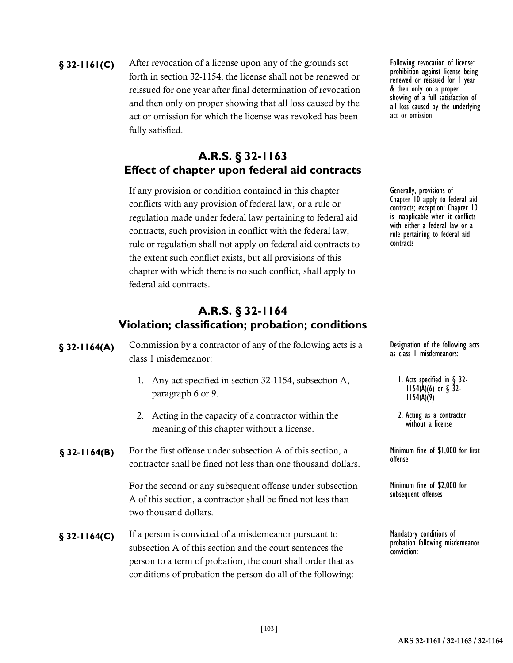**§** 32-1161(C) After revocation of a license upon any of the grounds set Following revocation of license: forth in section 32-1154, the license shall not be renewed or reissued for one year after final determination of revocation and then only on proper showing that all loss caused by the act or omission for which the license was revoked has been fully satisfied.

# **A.R.S. § 32-1163 Effect of chapter upon federal aid contracts**

If any provision or condition contained in this chapter conflicts with any provision of federal law, or a rule or regulation made under federal law pertaining to federal aid contracts, such provision in conflict with the federal law, rule or regulation shall not apply on federal aid contracts to the extent such conflict exists, but all provisions of this chapter with which there is no such conflict, shall apply to federal aid contracts.

#### **A.R.S. § 32-1164 Violation; classification; probation; conditions**

- **§** 32-1164(A) Commission by a contractor of any of the following acts is a Designation of the following acts class 1 misdemeanor:
	- 1. Any act specified in section 32-1154, subsection A, paragraph 6 or 9.
	- 2. Acting in the capacity of a contractor within the meaning of this chapter without a license.
- **§** 32-1164(B) For the first offense under subsection A of this section, a Minimum fine of \$1,000 for first contractor shall be fined not less than one thousand dollars.

For the second or any subsequent offense under subsection A of this section, a contractor shall be fined not less than two thousand dollars.

**§** 32-1164(C) If a person is convicted of a misdemeanor pursuant to Mandatory conditions of subsection A of this section and the court sentences the person to a term of probation, the court shall order that as conditions of probation the person do all of the following:

prohibition against license being renewed or reissued for 1 year & then only on a proper showing of a full satisfaction of all loss caused by the underlying act or omission

Generally, provisions of Chapter 10 apply to federal aid contracts; exception: Chapter 10 is inapplicable when it conflicts with either a federal law or a rule pertaining to federal aid contracts

as class 1 misdemeanors:

- 1. Acts specified in § 32-<br>1154(A)(6) or § 32-<br>1154(A)(9)
- 2. Acting as a contractor without a license

offense

Minimum fine of \$2,000 for subsequent offenses

probation following misdemeanor conviction: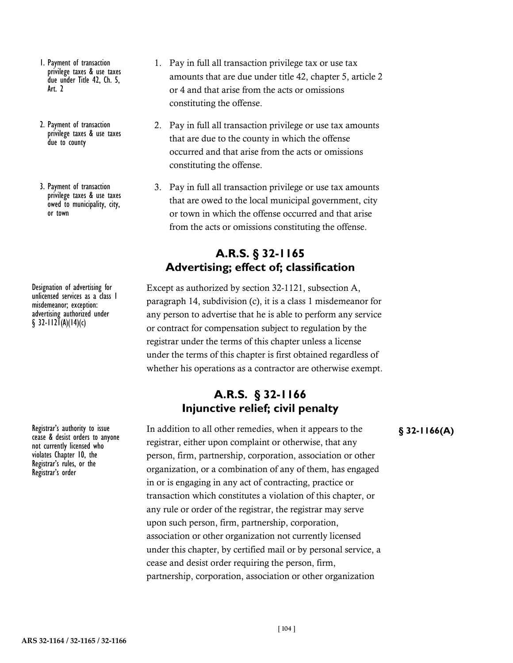- 1. Payment of transaction privilege taxes & use taxes due under Title 42, Ch. 5, Art. 2
- 2. Payment of transaction privilege taxes & use taxes due to county
- 3. Payment of transaction privilege taxes & use taxes owed to municipality, city, or town

Designation of advertising for unlicensed services as a class 1 misdemeanor; exception: advertising authorized under  $\S$  32-112 $\check{I}(A)(14)(c)$ 

cease & desist orders to anyone not currently licensed who violates Chapter 10, the Registrar's rules, or the Registrar's order

- 1. Pay in full all transaction privilege tax or use tax amounts that are due under title 42, chapter 5, article 2 or 4 and that arise from the acts or omissions constituting the offense.
- 2. Pay in full all transaction privilege or use tax amounts that are due to the county in which the offense occurred and that arise from the acts or omissions constituting the offense.
- 3. Pay in full all transaction privilege or use tax amounts that are owed to the local municipal government, city or town in which the offense occurred and that arise from the acts or omissions constituting the offense.

### **A.R.S. § 32-1165 Advertising; effect of; classification**

Except as authorized by section 32-1121, subsection A, paragraph 14, subdivision (c), it is a class 1 misdemeanor for any person to advertise that he is able to perform any service or contract for compensation subject to regulation by the registrar under the terms of this chapter unless a license under the terms of this chapter is first obtained regardless of whether his operations as a contractor are otherwise exempt.

### **A.R.S. § 32-1166 Injunctive relief; civil penalty**

Registrar's authority to issue In addition to all other remedies, when it appears to the **§** 32-1166(A) registrar, either upon complaint or otherwise, that any person, firm, partnership, corporation, association or other organization, or a combination of any of them, has engaged in or is engaging in any act of contracting, practice or transaction which constitutes a violation of this chapter, or any rule or order of the registrar, the registrar may serve upon such person, firm, partnership, corporation, association or other organization not currently licensed under this chapter, by certified mail or by personal service, a cease and desist order requiring the person, firm, partnership, corporation, association or other organization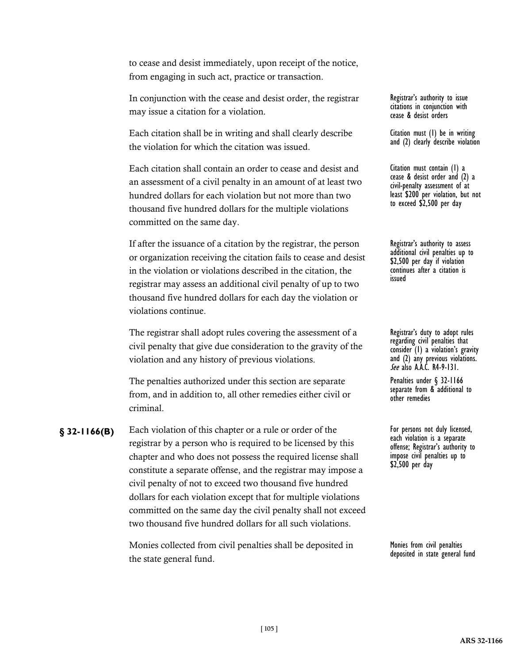to cease and desist immediately, upon receipt of the notice, from engaging in such act, practice or transaction.

In conjunction with the cease and desist order, the registrar may issue a citation for a violation.

Each citation shall be in writing and shall clearly describe the violation for which the citation was issued.

Each citation shall contain an order to cease and desist and an assessment of a civil penalty in an amount of at least two hundred dollars for each violation but not more than two thousand five hundred dollars for the multiple violations committed on the same day.

If after the issuance of a citation by the registrar, the person or organization receiving the citation fails to cease and desist in the violation or violations described in the citation, the registrar may assess an additional civil penalty of up to two thousand five hundred dollars for each day the violation or violations continue.

The registrar shall adopt rules covering the assessment of a civil penalty that give due consideration to the gravity of the violation and any history of previous violations.

The penalties authorized under this section are separate from, and in addition to, all other remedies either civil or criminal.

**§ 32-1166(B)** Each violation of this chapter or a rule or order of the **For persons not duly licensed**, registrar by a person who is required to be licensed by this chapter and who does not possess the required license shall constitute a separate offense, and the registrar may impose a civil penalty of not to exceed two thousand five hundred dollars for each violation except that for multiple violations committed on the same day the civil penalty shall not exceed two thousand five hundred dollars for all such violations.

> Monies collected from civil penalties shall be deposited in the state general fund.

Registrar's authority to issue citations in conjunction with cease & desist orders

Citation must (1) be in writing and (2) clearly describe violation

Citation must contain (1) a cease & desist order and (2) a civil-penalty assessment of at least \$200 per violation, but not to exceed \$2,500 per day

Registrar's authority to assess additional civil penalties up to \$2,500 per day if violation continues after a citation is issued

Registrar's duty to adopt rules regarding civil penalties that consider (1) a violation's gravity and (2) any previous violations. *See* also A.A.C. R4-9-131.

Penalties under § 32-1166 separate from & additional to other remedies

each violation is a separate offense; Registrar's authority to impose civil penalties up to \$2,500 per day

Monies from civil penalties deposited in state general fund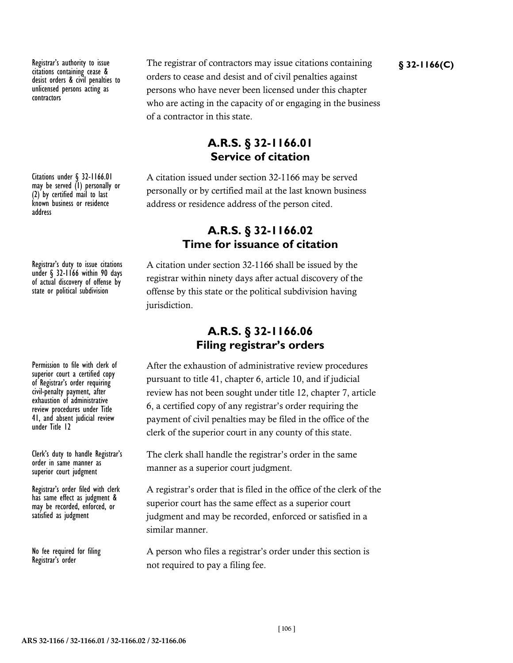citations containing cease & desist orders & civil penalties to unlicensed persons acting as contractors

Citations under § 32-1166.01 may be served (1) personally or (2) by certified mail to last known business or residence address

Registrar's duty to issue citations under § 32-1166 within 90 days of actual discovery of offense by state or political subdivision

Permission to file with clerk of superior court a certified copy of Registrar's order requiring civil-penalty payment, after exhaustion of administrative review procedures under Title 41, and absent judicial review under Title 12

Clerk's duty to handle Registrar's order in same manner as superior court judgment

Registrar's order filed with clerk has same effect as judgment & may be recorded, enforced, or satisfied as judgment

No fee required for filing Registrar's order

Registrar's authority to issue The registrar of contractors may issue citations containing **§** 32-1166(C) orders to cease and desist and of civil penalties against persons who have never been licensed under this chapter who are acting in the capacity of or engaging in the business of a contractor in this state.

## **A.R.S. § 32-1166.01 Service of citation**

A citation issued under section 32-1166 may be served personally or by certified mail at the last known business address or residence address of the person cited.

#### **A.R.S. § 32-1166.02 Time for issuance of citation**

A citation under section 32-1166 shall be issued by the registrar within ninety days after actual discovery of the offense by this state or the political subdivision having jurisdiction.

#### **A.R.S. § 32-1166.06 Filing registrar's orders**

After the exhaustion of administrative review procedures pursuant to title 41, chapter 6, article 10, and if judicial review has not been sought under title 12, chapter 7, article 6, a certified copy of any registrar's order requiring the payment of civil penalties may be filed in the office of the clerk of the superior court in any county of this state.

The clerk shall handle the registrar's order in the same manner as a superior court judgment.

A registrar's order that is filed in the office of the clerk of the superior court has the same effect as a superior court judgment and may be recorded, enforced or satisfied in a similar manner.

A person who files a registrar's order under this section is not required to pay a filing fee.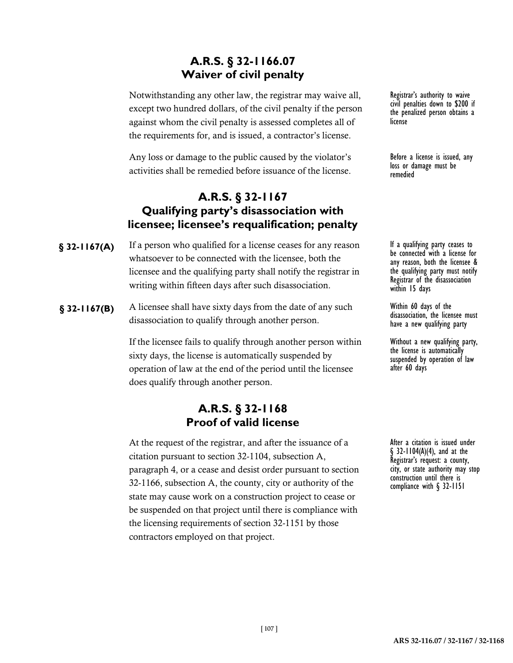## **A.R.S. § 32-1166.07 Waiver of civil penalty**

Notwithstanding any other law, the registrar may waive all, except two hundred dollars, of the civil penalty if the person against whom the civil penalty is assessed completes all of the requirements for, and is issued, a contractor's license.

Any loss or damage to the public caused by the violator's activities shall be remedied before issuance of the license.

## **A.R.S. § 32-1167 Qualifying party's disassociation with licensee; licensee's requalification; penalty**

- **§** 32-1167(A) If a person who qualified for a license ceases for any reason If a qualifying party ceases to whatsoever to be connected with the licensee, both the licensee and the qualifying party shall notify the registrar in writing within fifteen days after such disassociation.
- **§ 32-1167(B)** A licensee shall have sixty days from the date of any such Within 60 days of the disassociation to qualify through another person.

If the licensee fails to qualify through another person within sixty days, the license is automatically suspended by operation of law at the end of the period until the licensee does qualify through another person.

#### **A.R.S. § 32-1168 Proof of valid license**

At the request of the registrar, and after the issuance of a citation pursuant to section 32-1104, subsection A, paragraph 4, or a cease and desist order pursuant to section 32-1166, subsection A, the county, city or authority of the state may cause work on a construction project to cease or be suspended on that project until there is compliance with the licensing requirements of section 32-1151 by those contractors employed on that project.

Registrar's authority to waive civil penalties down to \$200 if the penalized person obtains a license

Before a license is issued, any loss or damage must be remedied

be connected with a license for any reason, both the licensee & the qualifying party must notify Registrar of the disassociation within 15 days

disassociation, the licensee must have a new qualifying party

Without a new qualifying party, the license is automatically suspended by operation of law after 60 days

After a citation is issued under § 32-1104(A)(4), and at the Registrar's request: a county, city, or state authority may stop construction until there is compliance with § 32-1151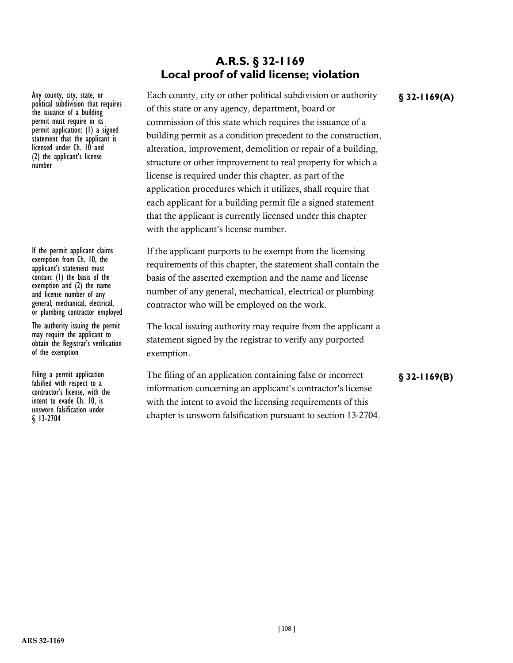#### Any county, city, state, or<br>political subdivision that requires the issuance of a building permit must require in its permit application: (1) a signed statement that the applicant is licensed under Ch. 10 and (2) the applicant's license number

If the permit applicant claims exemption from Ch. 10, the applicant's statement must contain: (1) the basis of the exemption and  $(2)$  the name and license number of any general, mechanical, electrical, or plumbing contractor employed

The authority issuing the permit may require the applicant to obtain the Registrar's verification of the exemption

falsified with respect to a contractor's license, with the intent to evade Ch. 10, is unsworn falsification under § 13-2704

# **A.R.S. § 32-1169 Local proof of valid license; violation**

Any county, city, state, or **Each county, city or other political subdivision or authority § 32-1169(A)** of this state or any agency, department, board or commission of this state which requires the issuance of a building permit as a condition precedent to the construction, alteration, improvement, demolition or repair of a building, structure or other improvement to real property for which a license is required under this chapter, as part of the application procedures which it utilizes, shall require that each applicant for a building permit file a signed statement that the applicant is currently licensed under this chapter with the applicant's license number.

> If the applicant purports to be exempt from the licensing requirements of this chapter, the statement shall contain the basis of the asserted exemption and the name and license number of any general, mechanical, electrical or plumbing contractor who will be employed on the work.

> The local issuing authority may require from the applicant a statement signed by the registrar to verify any purported exemption.

Filing a permit application The filing of an application containing false or incorrect **§ 32-1169(B)** information concerning an applicant's contractor's license with the intent to avoid the licensing requirements of this chapter is unsworn falsification pursuant to section 13-2704.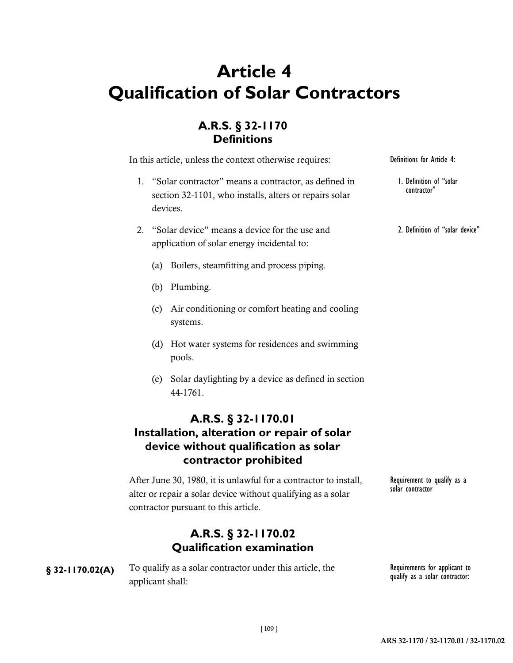# **Article 4 Qualification of Solar Contractors**

# **A.R.S. § 32-1170 Definitions**

In this article, unless the context otherwise requires:

- 1. "Solar contractor" means a contractor, as defined in section 32-1101, who installs, alters or repairs solar devices.
- 2. "Solar device" means a device for the use and application of solar energy incidental to:
	- (a) Boilers, steamfitting and process piping.
	- (b) Plumbing.
	- (c) Air conditioning or comfort heating and cooling systems.
	- (d) Hot water systems for residences and swimming pools.
	- (e) Solar daylighting by a device as defined in section 44-1761.

## **A.R.S. § 32-1170.01 Installation, alteration or repair of solar device without qualification as solar contractor prohibited**

After June 30, 1980, it is unlawful for a contractor to install, alter or repair a solar device without qualifying as a solar contractor pursuant to this article.

### **A.R.S. § 32-1170.02 Qualification examination**

**§** 32-1170.02(A) To qualify as a solar contractor under this article, the Requirements for applicant to applicant shall:

qualify as a solar contractor:

Requirement to qualify as a

solar contractor

Definitions for Article 4:

1. Definition of "solar contractor"

2. Definition of "solar device"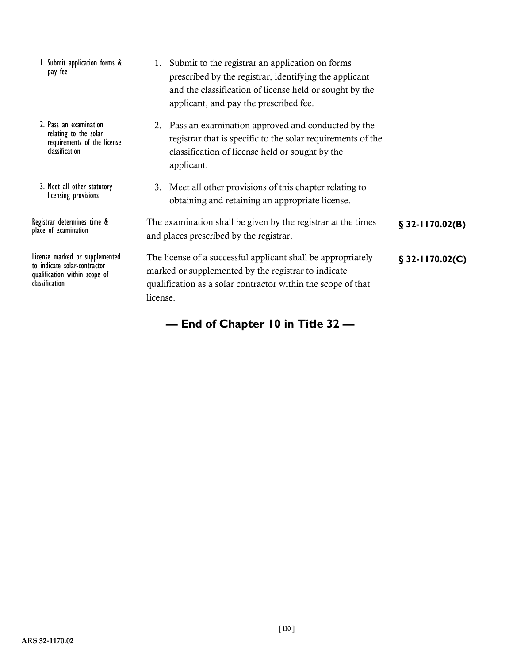- 1. Submit application forms & pay fee
- 2. Pass an examination relating to the solar requirements of the license classification
- 3. Meet all other statutory licensing provisions

**§ 32-1170.02(B)** Registrar determines time & place of examination

to indicate solar-contractor qualification within scope of classification

- 1. Submit to the registrar an application on forms prescribed by the registrar, identifying the applicant and the classification of license held or sought by the applicant, and pay the prescribed fee.
- 2. Pass an examination approved and conducted by the registrar that is specific to the solar requirements of the classification of license held or sought by the applicant.
- 3. Meet all other provisions of this chapter relating to obtaining and retaining an appropriate license.

| The examination shall be given by the registrar at the times | $\S$ 32-1170.02(B) |
|--------------------------------------------------------------|--------------------|
| and places prescribed by the registrar.                      |                    |

License marked or supplemented The license of a successful applicant shall be appropriately **§ 32-1170.02(C)** marked or supplemented by the registrar to indicate qualification as a solar contractor within the scope of that license.

**— End of Chapter 10 in Title 32 —**